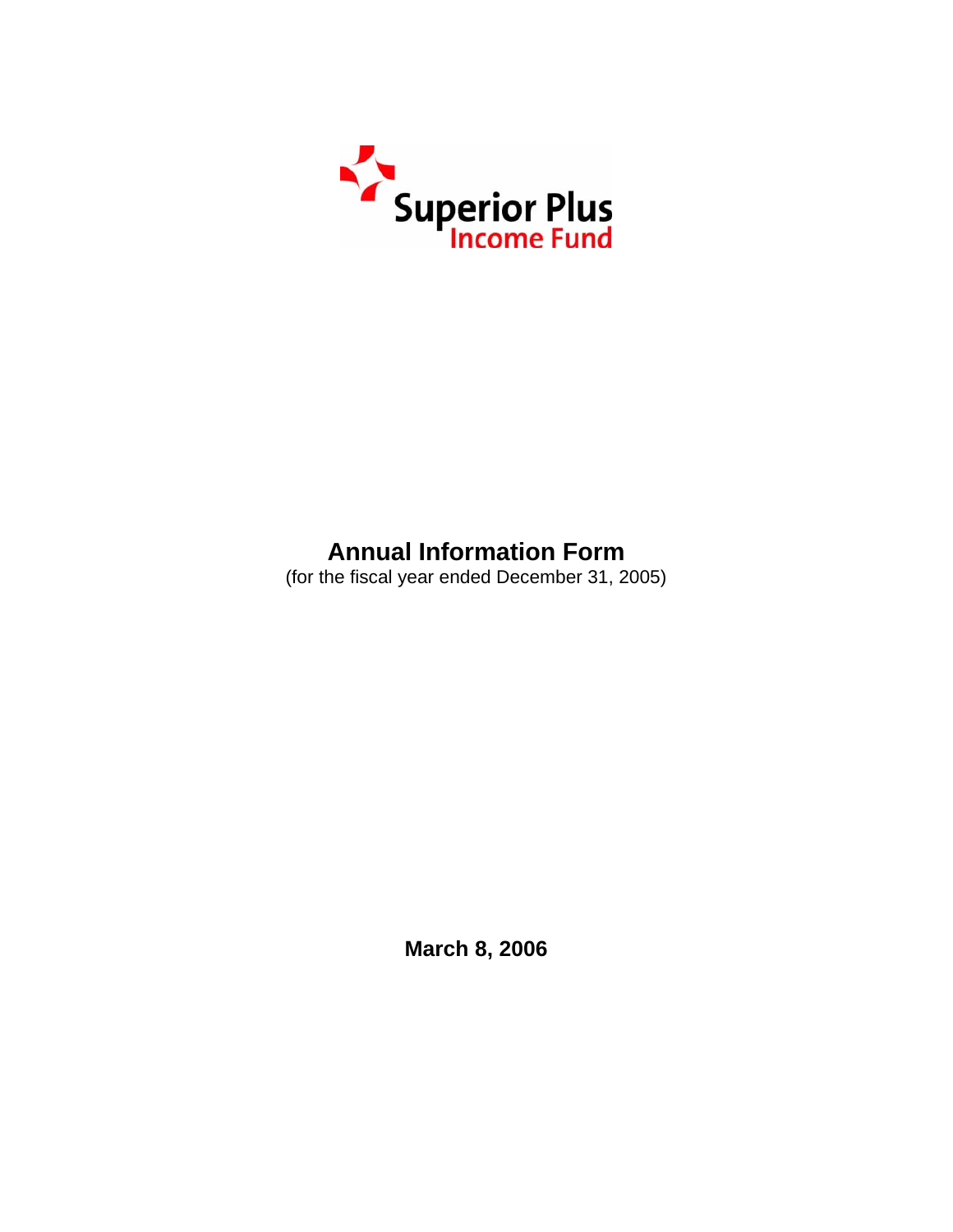

# **Annual Information Form**

(for the fiscal year ended December 31, 2005)

**March 8, 2006**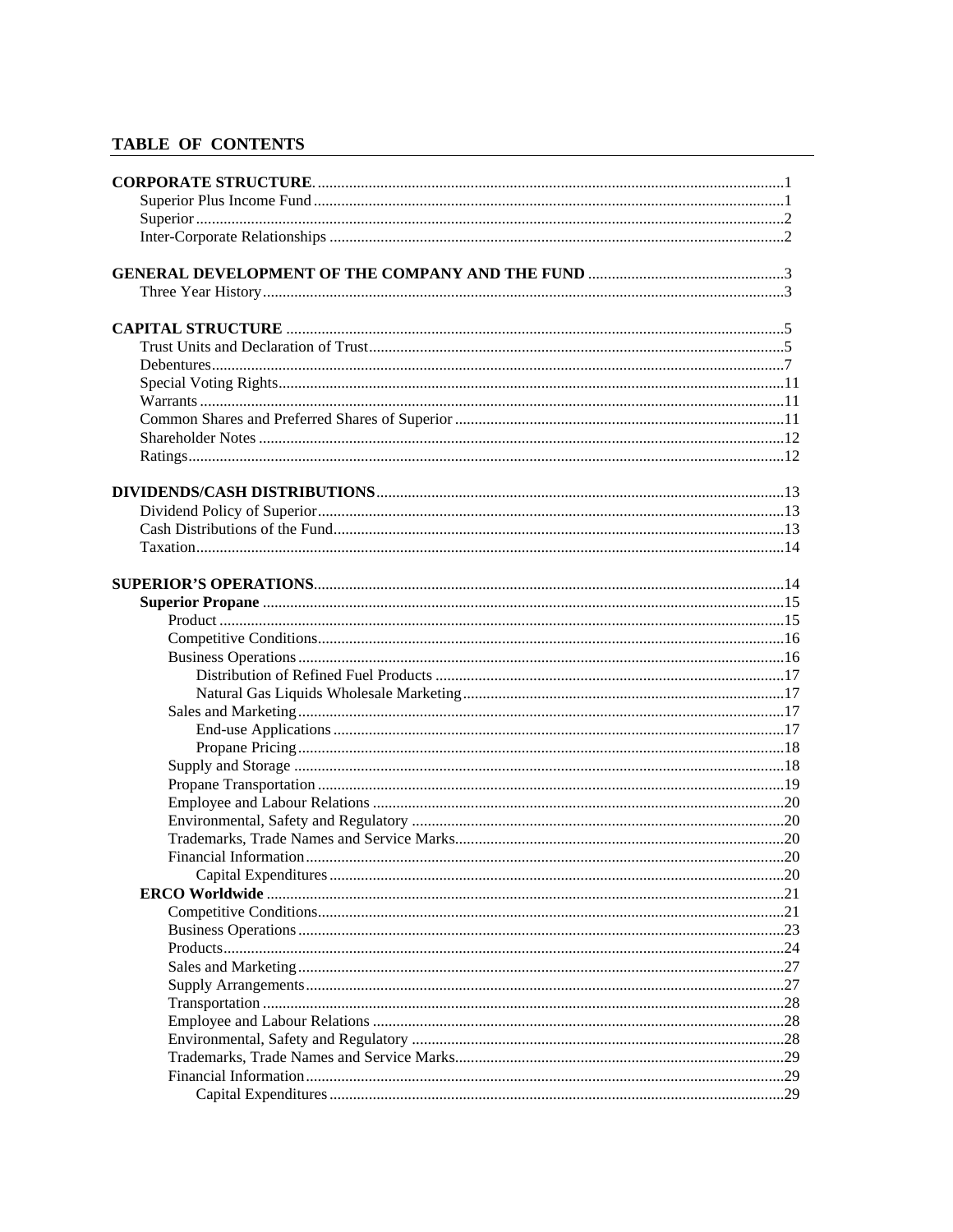### TABLE OF CONTENTS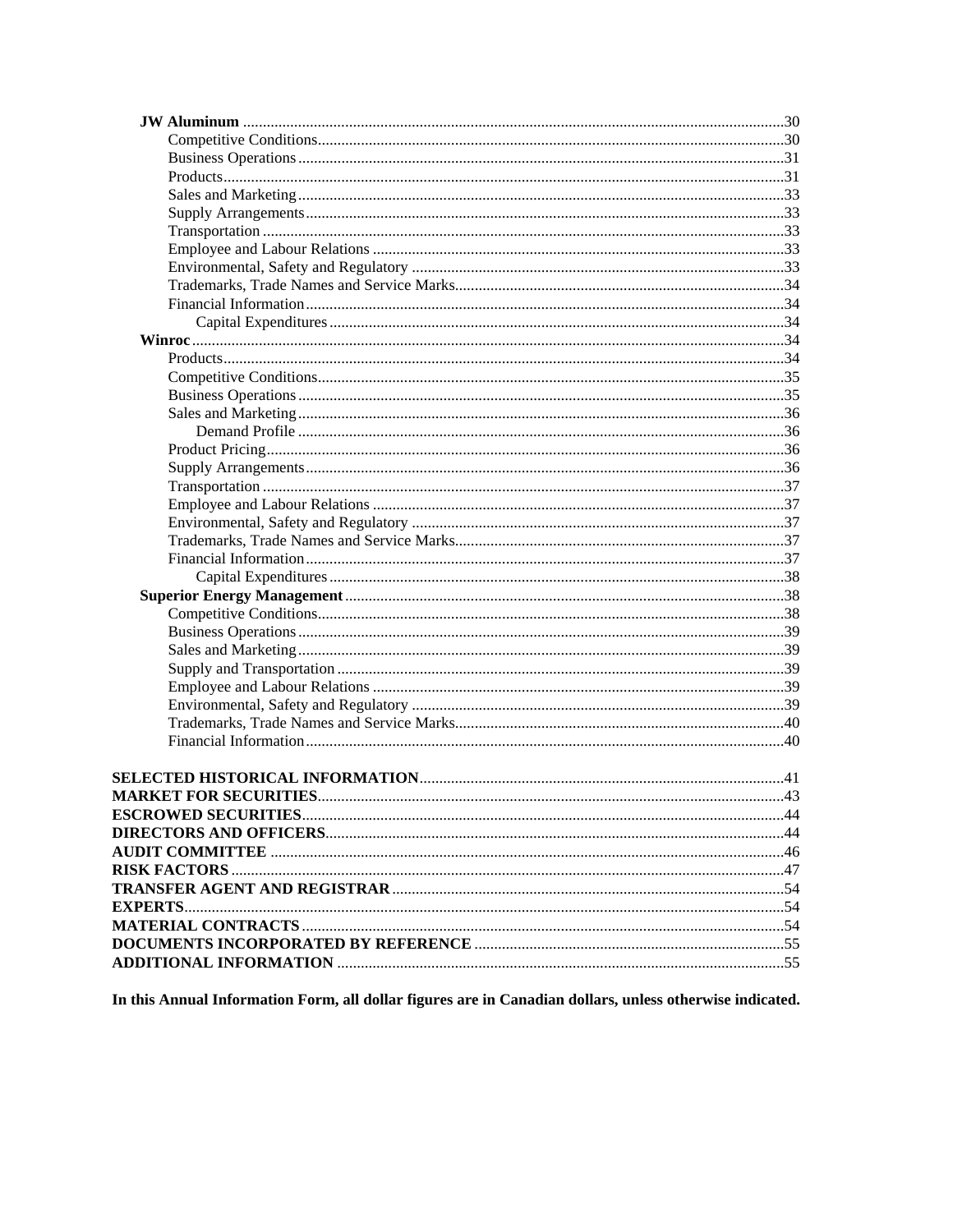In this Annual Information Form, all dollar figures are in Canadian dollars, unless otherwise indicated.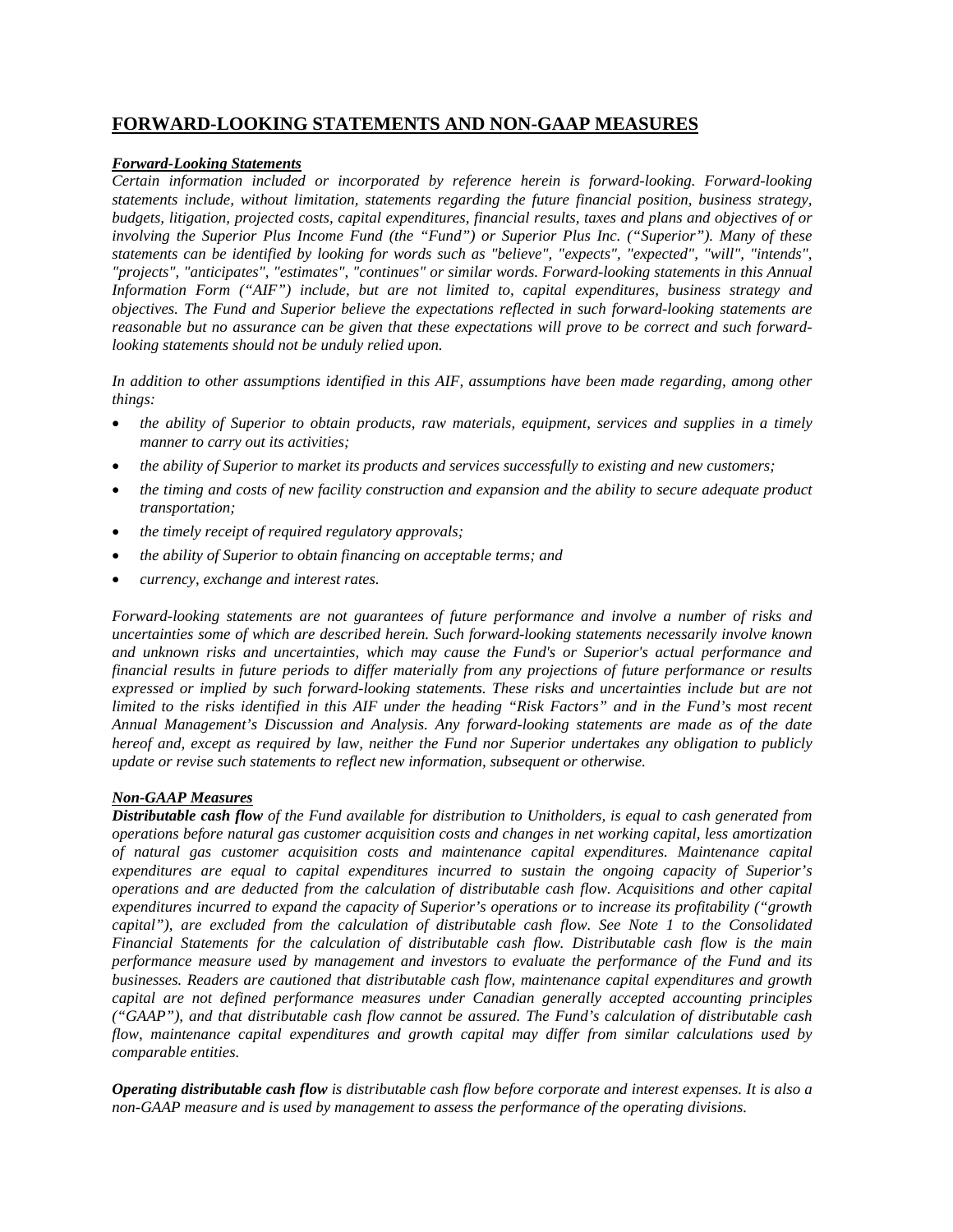# **FORWARD-LOOKING STATEMENTS AND NON-GAAP MEASURES**

#### *Forward-Looking Statements*

*Certain information included or incorporated by reference herein is forward-looking. Forward-looking statements include, without limitation, statements regarding the future financial position, business strategy, budgets, litigation, projected costs, capital expenditures, financial results, taxes and plans and objectives of or involving the Superior Plus Income Fund (the "Fund") or Superior Plus Inc. ("Superior"). Many of these statements can be identified by looking for words such as "believe", "expects", "expected", "will", "intends", "projects", "anticipates", "estimates", "continues" or similar words. Forward-looking statements in this Annual Information Form ("AIF") include, but are not limited to, capital expenditures, business strategy and objectives. The Fund and Superior believe the expectations reflected in such forward-looking statements are reasonable but no assurance can be given that these expectations will prove to be correct and such forwardlooking statements should not be unduly relied upon.* 

*In addition to other assumptions identified in this AIF, assumptions have been made regarding, among other things:* 

- *the ability of Superior to obtain products, raw materials, equipment, services and supplies in a timely manner to carry out its activities;*
- *the ability of Superior to market its products and services successfully to existing and new customers;*
- *the timing and costs of new facility construction and expansion and the ability to secure adequate product transportation;*
- *the timely receipt of required regulatory approvals;*
- *the ability of Superior to obtain financing on acceptable terms; and*
- *currency, exchange and interest rates.*

*Forward-looking statements are not guarantees of future performance and involve a number of risks and uncertainties some of which are described herein. Such forward-looking statements necessarily involve known and unknown risks and uncertainties, which may cause the Fund's or Superior's actual performance and financial results in future periods to differ materially from any projections of future performance or results expressed or implied by such forward-looking statements. These risks and uncertainties include but are not limited to the risks identified in this AIF under the heading "Risk Factors" and in the Fund's most recent Annual Management's Discussion and Analysis. Any forward-looking statements are made as of the date hereof and, except as required by law, neither the Fund nor Superior undertakes any obligation to publicly update or revise such statements to reflect new information, subsequent or otherwise.* 

#### *Non-GAAP Measures*

*Distributable cash flow of the Fund available for distribution to Unitholders, is equal to cash generated from operations before natural gas customer acquisition costs and changes in net working capital, less amortization of natural gas customer acquisition costs and maintenance capital expenditures. Maintenance capital expenditures are equal to capital expenditures incurred to sustain the ongoing capacity of Superior's operations and are deducted from the calculation of distributable cash flow. Acquisitions and other capital expenditures incurred to expand the capacity of Superior's operations or to increase its profitability ("growth capital"), are excluded from the calculation of distributable cash flow. See Note 1 to the Consolidated Financial Statements for the calculation of distributable cash flow. Distributable cash flow is the main performance measure used by management and investors to evaluate the performance of the Fund and its businesses. Readers are cautioned that distributable cash flow, maintenance capital expenditures and growth capital are not defined performance measures under Canadian generally accepted accounting principles ("GAAP"), and that distributable cash flow cannot be assured. The Fund's calculation of distributable cash flow, maintenance capital expenditures and growth capital may differ from similar calculations used by comparable entities.* 

*Operating distributable cash flow is distributable cash flow before corporate and interest expenses. It is also a non-GAAP measure and is used by management to assess the performance of the operating divisions.*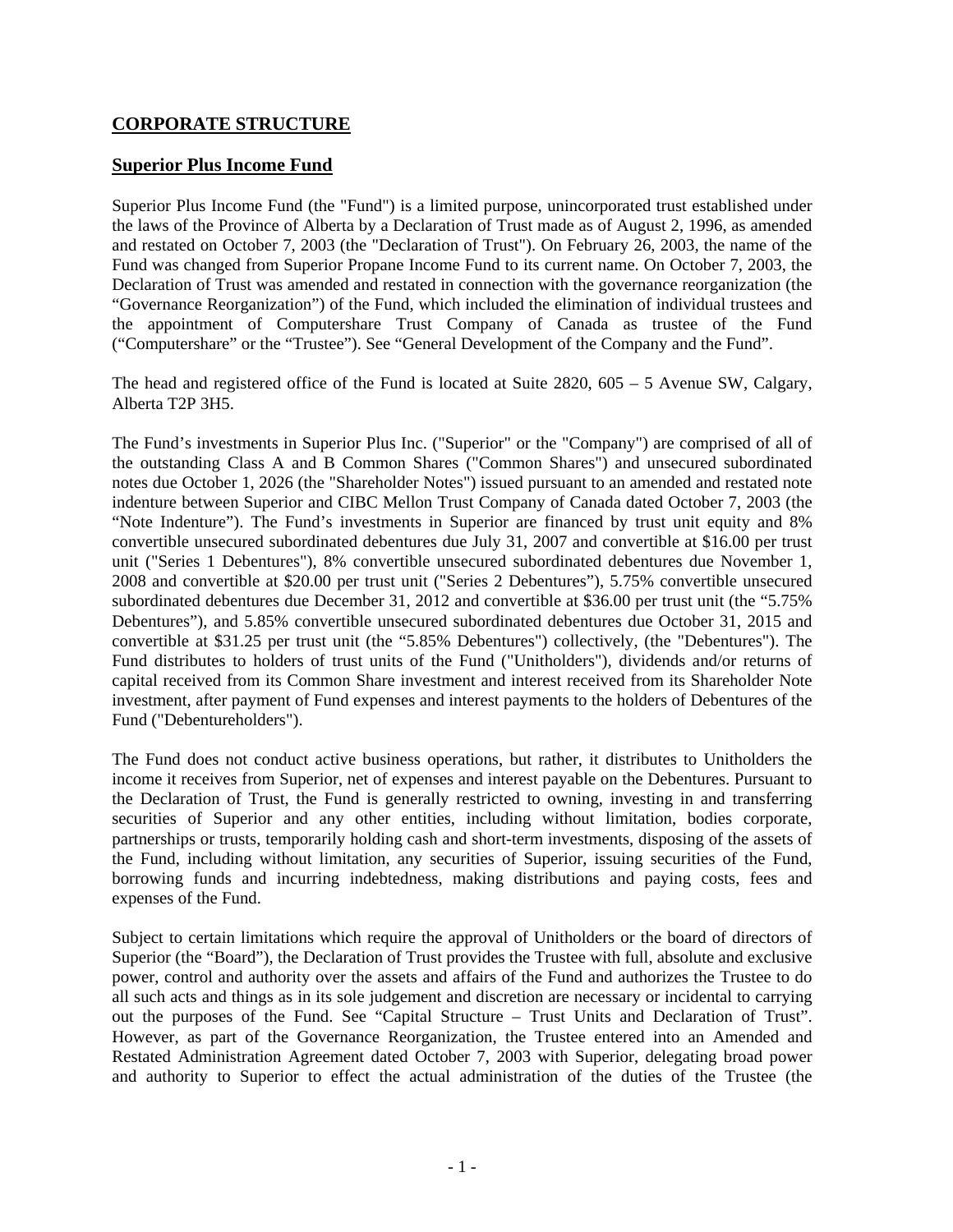# **CORPORATE STRUCTURE**

# **Superior Plus Income Fund**

Superior Plus Income Fund (the "Fund") is a limited purpose, unincorporated trust established under the laws of the Province of Alberta by a Declaration of Trust made as of August 2, 1996, as amended and restated on October 7, 2003 (the "Declaration of Trust"). On February 26, 2003, the name of the Fund was changed from Superior Propane Income Fund to its current name. On October 7, 2003, the Declaration of Trust was amended and restated in connection with the governance reorganization (the "Governance Reorganization") of the Fund, which included the elimination of individual trustees and the appointment of Computershare Trust Company of Canada as trustee of the Fund ("Computershare" or the "Trustee"). See "General Development of the Company and the Fund".

The head and registered office of the Fund is located at Suite 2820, 605 – 5 Avenue SW, Calgary, Alberta T2P 3H5.

The Fund's investments in Superior Plus Inc. ("Superior" or the "Company") are comprised of all of the outstanding Class A and B Common Shares ("Common Shares") and unsecured subordinated notes due October 1, 2026 (the "Shareholder Notes") issued pursuant to an amended and restated note indenture between Superior and CIBC Mellon Trust Company of Canada dated October 7, 2003 (the "Note Indenture"). The Fund's investments in Superior are financed by trust unit equity and 8% convertible unsecured subordinated debentures due July 31, 2007 and convertible at \$16.00 per trust unit ("Series 1 Debentures"), 8% convertible unsecured subordinated debentures due November 1, 2008 and convertible at \$20.00 per trust unit ("Series 2 Debentures"), 5.75% convertible unsecured subordinated debentures due December 31, 2012 and convertible at \$36.00 per trust unit (the "5.75% Debentures"), and 5.85% convertible unsecured subordinated debentures due October 31, 2015 and convertible at \$31.25 per trust unit (the "5.85% Debentures") collectively, (the "Debentures"). The Fund distributes to holders of trust units of the Fund ("Unitholders"), dividends and/or returns of capital received from its Common Share investment and interest received from its Shareholder Note investment, after payment of Fund expenses and interest payments to the holders of Debentures of the Fund ("Debentureholders").

The Fund does not conduct active business operations, but rather, it distributes to Unitholders the income it receives from Superior, net of expenses and interest payable on the Debentures. Pursuant to the Declaration of Trust, the Fund is generally restricted to owning, investing in and transferring securities of Superior and any other entities, including without limitation, bodies corporate, partnerships or trusts, temporarily holding cash and short-term investments, disposing of the assets of the Fund, including without limitation, any securities of Superior, issuing securities of the Fund, borrowing funds and incurring indebtedness, making distributions and paying costs, fees and expenses of the Fund.

Subject to certain limitations which require the approval of Unitholders or the board of directors of Superior (the "Board"), the Declaration of Trust provides the Trustee with full, absolute and exclusive power, control and authority over the assets and affairs of the Fund and authorizes the Trustee to do all such acts and things as in its sole judgement and discretion are necessary or incidental to carrying out the purposes of the Fund. See "Capital Structure – Trust Units and Declaration of Trust". However, as part of the Governance Reorganization, the Trustee entered into an Amended and Restated Administration Agreement dated October 7, 2003 with Superior, delegating broad power and authority to Superior to effect the actual administration of the duties of the Trustee (the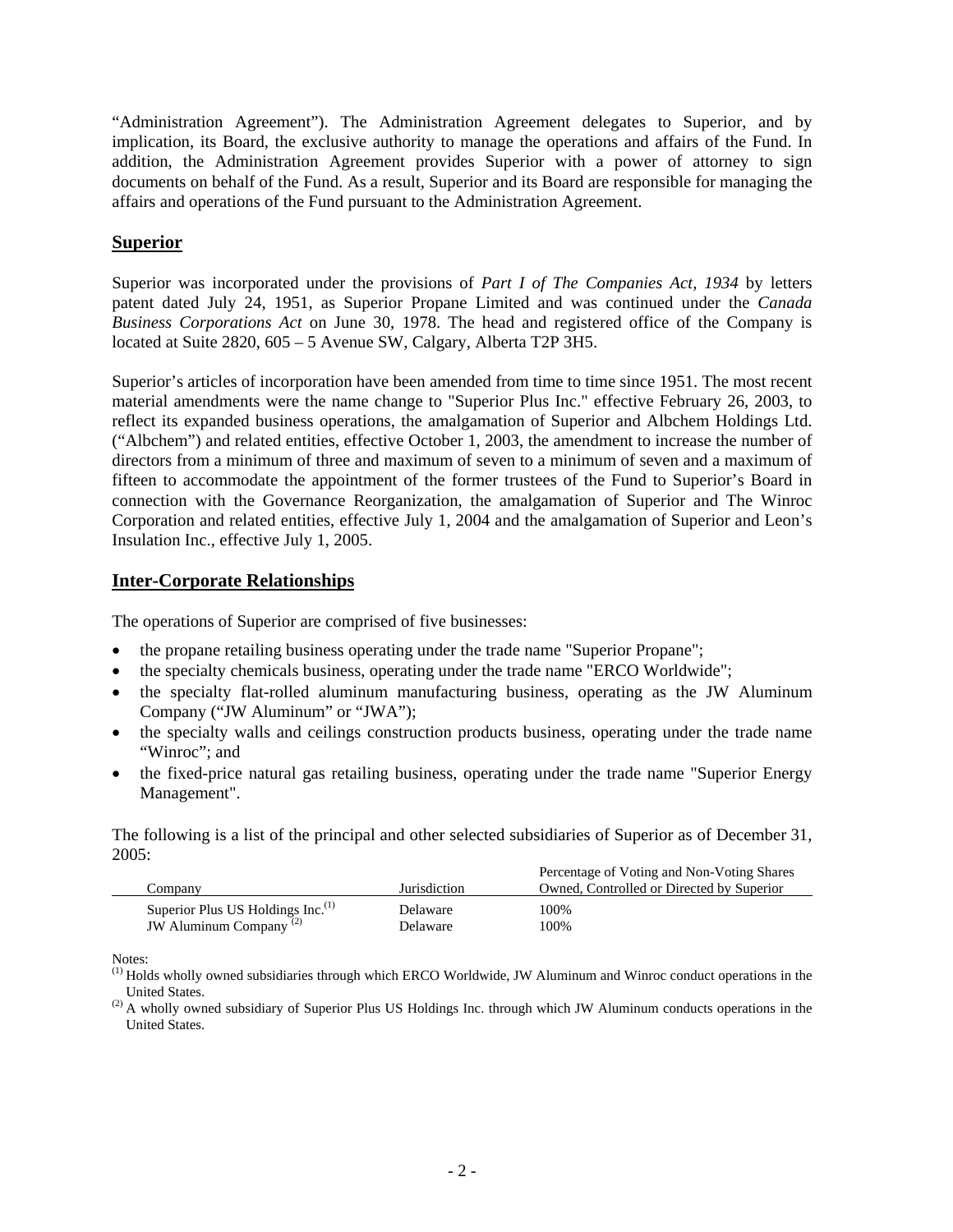"Administration Agreement"). The Administration Agreement delegates to Superior, and by implication, its Board, the exclusive authority to manage the operations and affairs of the Fund. In addition, the Administration Agreement provides Superior with a power of attorney to sign documents on behalf of the Fund. As a result, Superior and its Board are responsible for managing the affairs and operations of the Fund pursuant to the Administration Agreement.

# **Superior**

Superior was incorporated under the provisions of *Part I of The Companies Act, 1934* by letters patent dated July 24, 1951, as Superior Propane Limited and was continued under the *Canada Business Corporations Act* on June 30, 1978. The head and registered office of the Company is located at Suite 2820, 605 – 5 Avenue SW, Calgary, Alberta T2P 3H5.

Superior's articles of incorporation have been amended from time to time since 1951. The most recent material amendments were the name change to "Superior Plus Inc." effective February 26, 2003, to reflect its expanded business operations, the amalgamation of Superior and Albchem Holdings Ltd. ("Albchem") and related entities, effective October 1, 2003, the amendment to increase the number of directors from a minimum of three and maximum of seven to a minimum of seven and a maximum of fifteen to accommodate the appointment of the former trustees of the Fund to Superior's Board in connection with the Governance Reorganization, the amalgamation of Superior and The Winroc Corporation and related entities, effective July 1, 2004 and the amalgamation of Superior and Leon's Insulation Inc., effective July 1, 2005.

### **Inter-Corporate Relationships**

The operations of Superior are comprised of five businesses:

- the propane retailing business operating under the trade name "Superior Propane";
- the specialty chemicals business, operating under the trade name "ERCO Worldwide";
- the specialty flat-rolled aluminum manufacturing business, operating as the JW Aluminum Company ("JW Aluminum" or "JWA");
- the specialty walls and ceilings construction products business, operating under the trade name "Winroc": and
- the fixed-price natural gas retailing business, operating under the trade name "Superior Energy" Management".

The following is a list of the principal and other selected subsidiaries of Superior as of December 31,  $2005:$ 

|                                                                                     |                      | Percentage of Voting and Non-Voting Shares |
|-------------------------------------------------------------------------------------|----------------------|--------------------------------------------|
| Company                                                                             | <b>Iurisdiction</b>  | Owned. Controlled or Directed by Superior  |
| Superior Plus US Holdings Inc. <sup>(1)</sup><br>JW Aluminum Company <sup>(2)</sup> | Delaware<br>Delaware | 100%<br>100%                               |

Notes:

(1) Holds wholly owned subsidiaries through which ERCO Worldwide, JW Aluminum and Winroc conduct operations in the United States.

<sup>(2)</sup> A wholly owned subsidiary of Superior Plus US Holdings Inc. through which JW Aluminum conducts operations in the United States.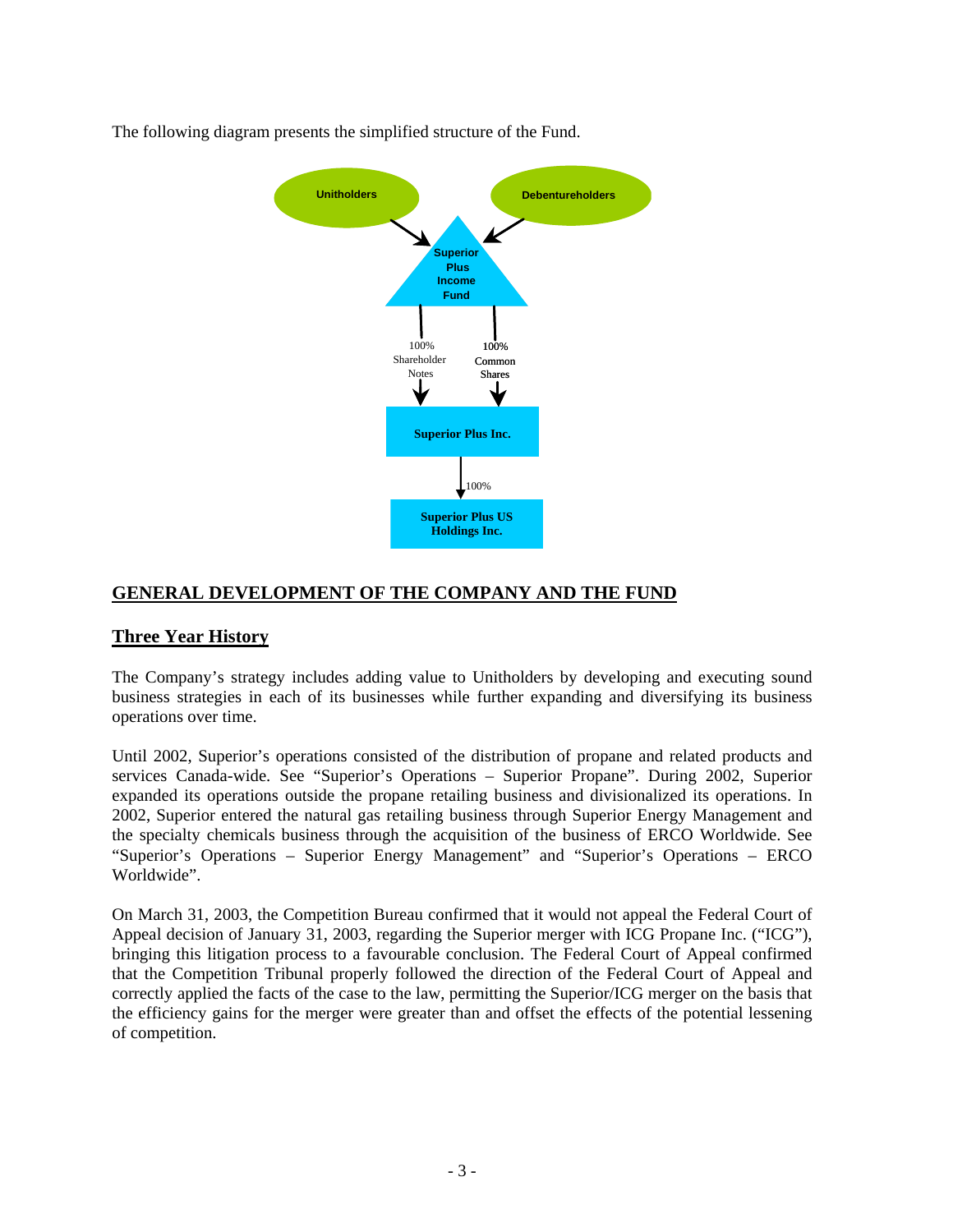

The following diagram presents the simplified structure of the Fund.

# **GENERAL DEVELOPMENT OF THE COMPANY AND THE FUND**

# **Three Year History**

The Company's strategy includes adding value to Unitholders by developing and executing sound business strategies in each of its businesses while further expanding and diversifying its business operations over time.

Until 2002, Superior's operations consisted of the distribution of propane and related products and services Canada-wide. See "Superior's Operations – Superior Propane". During 2002, Superior expanded its operations outside the propane retailing business and divisionalized its operations. In 2002, Superior entered the natural gas retailing business through Superior Energy Management and the specialty chemicals business through the acquisition of the business of ERCO Worldwide. See "Superior's Operations – Superior Energy Management" and "Superior's Operations – ERCO Worldwide".

On March 31, 2003, the Competition Bureau confirmed that it would not appeal the Federal Court of Appeal decision of January 31, 2003, regarding the Superior merger with ICG Propane Inc. ("ICG"), bringing this litigation process to a favourable conclusion. The Federal Court of Appeal confirmed that the Competition Tribunal properly followed the direction of the Federal Court of Appeal and correctly applied the facts of the case to the law, permitting the Superior/ICG merger on the basis that the efficiency gains for the merger were greater than and offset the effects of the potential lessening of competition.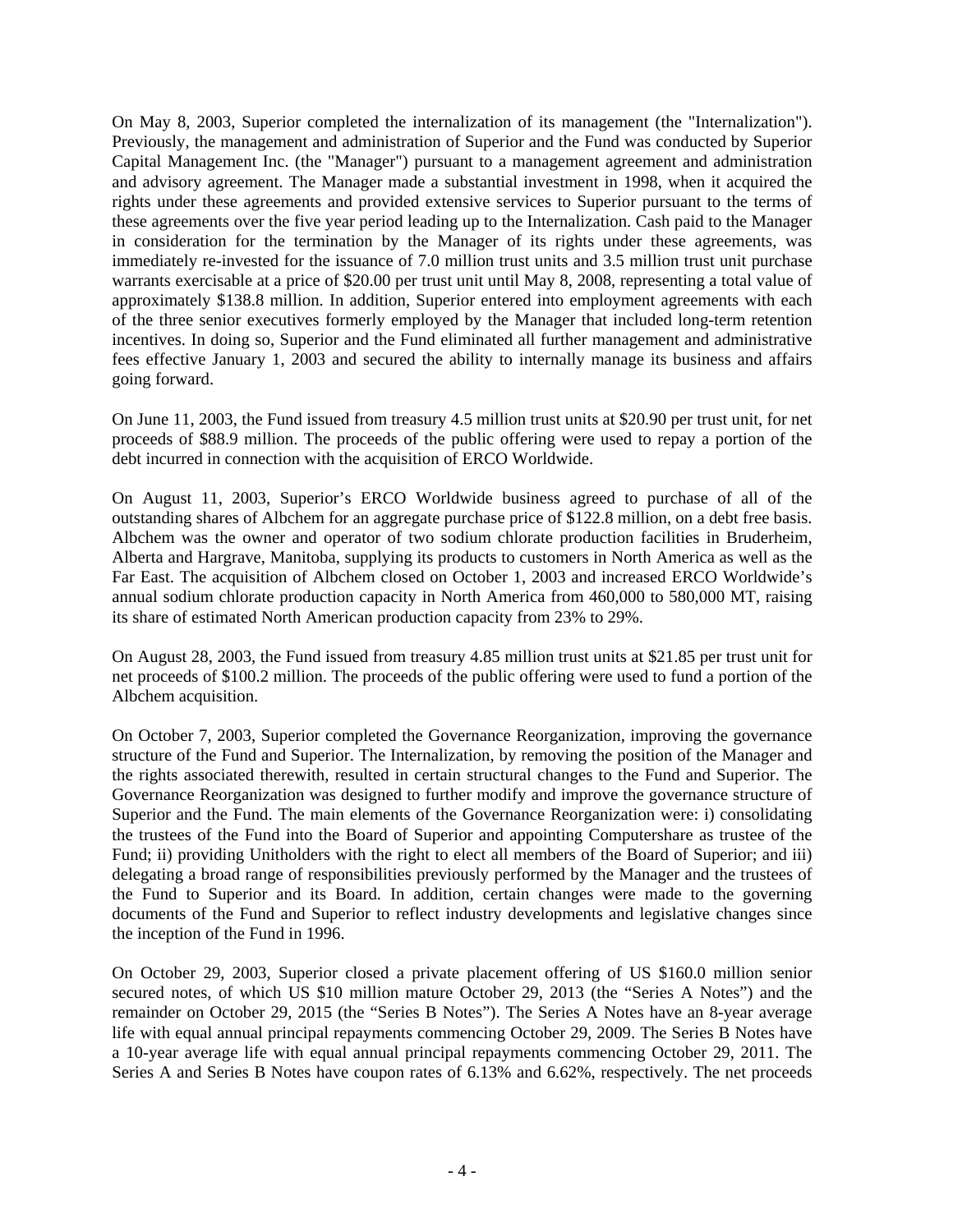On May 8, 2003, Superior completed the internalization of its management (the "Internalization"). Previously, the management and administration of Superior and the Fund was conducted by Superior Capital Management Inc. (the "Manager") pursuant to a management agreement and administration and advisory agreement. The Manager made a substantial investment in 1998, when it acquired the rights under these agreements and provided extensive services to Superior pursuant to the terms of these agreements over the five year period leading up to the Internalization. Cash paid to the Manager in consideration for the termination by the Manager of its rights under these agreements, was immediately re-invested for the issuance of 7.0 million trust units and 3.5 million trust unit purchase warrants exercisable at a price of \$20.00 per trust unit until May 8, 2008, representing a total value of approximately \$138.8 million. In addition, Superior entered into employment agreements with each of the three senior executives formerly employed by the Manager that included long-term retention incentives. In doing so, Superior and the Fund eliminated all further management and administrative fees effective January 1, 2003 and secured the ability to internally manage its business and affairs going forward.

On June 11, 2003, the Fund issued from treasury 4.5 million trust units at \$20.90 per trust unit, for net proceeds of \$88.9 million. The proceeds of the public offering were used to repay a portion of the debt incurred in connection with the acquisition of ERCO Worldwide.

On August 11, 2003, Superior's ERCO Worldwide business agreed to purchase of all of the outstanding shares of Albchem for an aggregate purchase price of \$122.8 million, on a debt free basis. Albchem was the owner and operator of two sodium chlorate production facilities in Bruderheim, Alberta and Hargrave, Manitoba, supplying its products to customers in North America as well as the Far East. The acquisition of Albchem closed on October 1, 2003 and increased ERCO Worldwide's annual sodium chlorate production capacity in North America from 460,000 to 580,000 MT, raising its share of estimated North American production capacity from 23% to 29%.

On August 28, 2003, the Fund issued from treasury 4.85 million trust units at \$21.85 per trust unit for net proceeds of \$100.2 million. The proceeds of the public offering were used to fund a portion of the Albchem acquisition.

On October 7, 2003, Superior completed the Governance Reorganization, improving the governance structure of the Fund and Superior. The Internalization, by removing the position of the Manager and the rights associated therewith, resulted in certain structural changes to the Fund and Superior. The Governance Reorganization was designed to further modify and improve the governance structure of Superior and the Fund. The main elements of the Governance Reorganization were: i) consolidating the trustees of the Fund into the Board of Superior and appointing Computershare as trustee of the Fund; ii) providing Unitholders with the right to elect all members of the Board of Superior; and iii) delegating a broad range of responsibilities previously performed by the Manager and the trustees of the Fund to Superior and its Board. In addition, certain changes were made to the governing documents of the Fund and Superior to reflect industry developments and legislative changes since the inception of the Fund in 1996.

On October 29, 2003, Superior closed a private placement offering of US \$160.0 million senior secured notes, of which US \$10 million mature October 29, 2013 (the "Series A Notes") and the remainder on October 29, 2015 (the "Series B Notes"). The Series A Notes have an 8-year average life with equal annual principal repayments commencing October 29, 2009. The Series B Notes have a 10-year average life with equal annual principal repayments commencing October 29, 2011. The Series A and Series B Notes have coupon rates of 6.13% and 6.62%, respectively. The net proceeds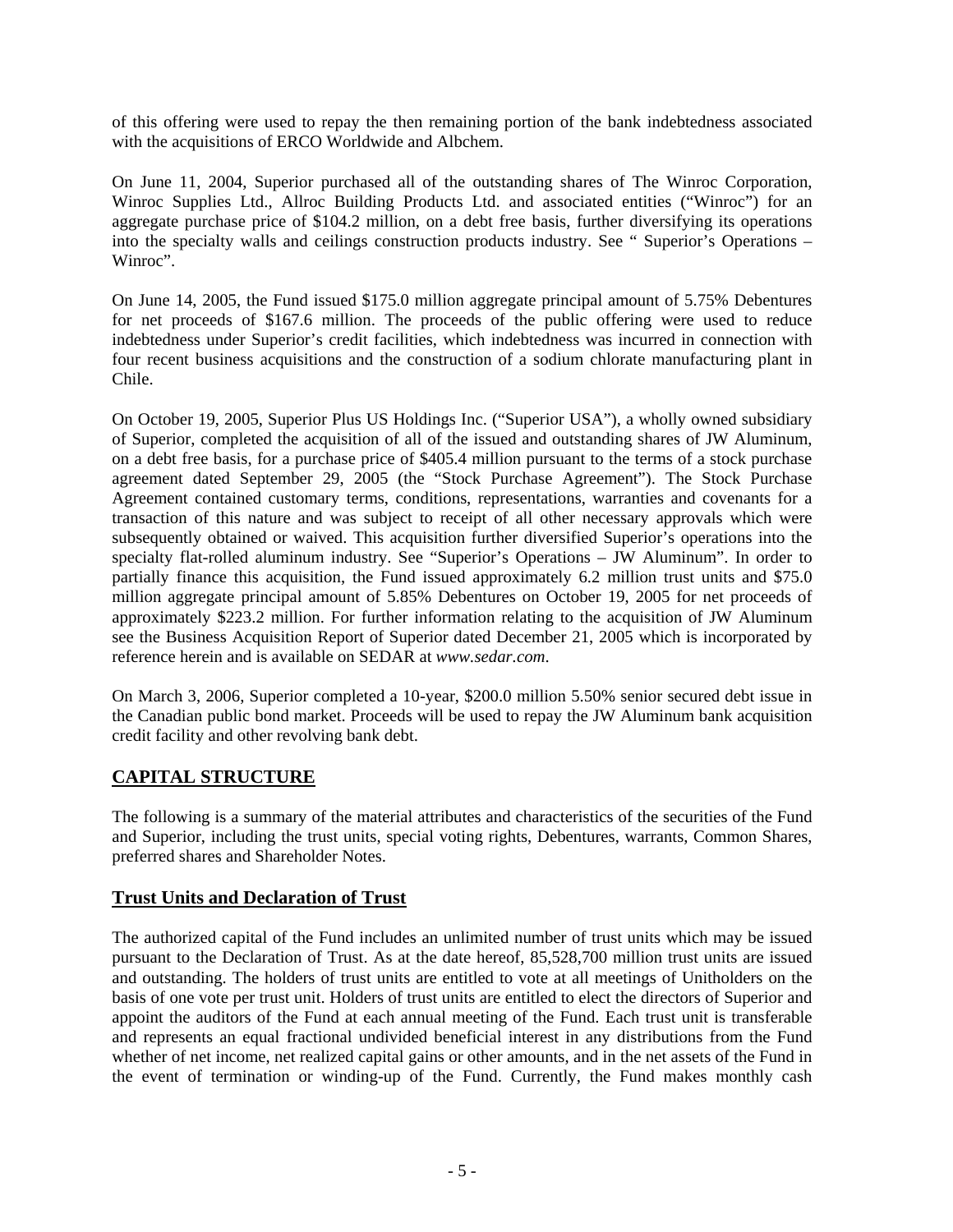of this offering were used to repay the then remaining portion of the bank indebtedness associated with the acquisitions of ERCO Worldwide and Albchem.

On June 11, 2004, Superior purchased all of the outstanding shares of The Winroc Corporation, Winroc Supplies Ltd., Allroc Building Products Ltd. and associated entities ("Winroc") for an aggregate purchase price of \$104.2 million, on a debt free basis, further diversifying its operations into the specialty walls and ceilings construction products industry. See " Superior's Operations – Winroc".

On June 14, 2005, the Fund issued \$175.0 million aggregate principal amount of 5.75% Debentures for net proceeds of \$167.6 million. The proceeds of the public offering were used to reduce indebtedness under Superior's credit facilities, which indebtedness was incurred in connection with four recent business acquisitions and the construction of a sodium chlorate manufacturing plant in Chile.

On October 19, 2005, Superior Plus US Holdings Inc. ("Superior USA"), a wholly owned subsidiary of Superior, completed the acquisition of all of the issued and outstanding shares of JW Aluminum, on a debt free basis, for a purchase price of \$405.4 million pursuant to the terms of a stock purchase agreement dated September 29, 2005 (the "Stock Purchase Agreement"). The Stock Purchase Agreement contained customary terms, conditions, representations, warranties and covenants for a transaction of this nature and was subject to receipt of all other necessary approvals which were subsequently obtained or waived. This acquisition further diversified Superior's operations into the specialty flat-rolled aluminum industry. See "Superior's Operations – JW Aluminum". In order to partially finance this acquisition, the Fund issued approximately 6.2 million trust units and \$75.0 million aggregate principal amount of 5.85% Debentures on October 19, 2005 for net proceeds of approximately \$223.2 million. For further information relating to the acquisition of JW Aluminum see the Business Acquisition Report of Superior dated December 21, 2005 which is incorporated by reference herein and is available on SEDAR at *www.sedar.com*.

On March 3, 2006, Superior completed a 10-year, \$200.0 million 5.50% senior secured debt issue in the Canadian public bond market. Proceeds will be used to repay the JW Aluminum bank acquisition credit facility and other revolving bank debt.

# **CAPITAL STRUCTURE**

The following is a summary of the material attributes and characteristics of the securities of the Fund and Superior, including the trust units, special voting rights, Debentures, warrants, Common Shares, preferred shares and Shareholder Notes.

# **Trust Units and Declaration of Trust**

The authorized capital of the Fund includes an unlimited number of trust units which may be issued pursuant to the Declaration of Trust. As at the date hereof, 85,528,700 million trust units are issued and outstanding. The holders of trust units are entitled to vote at all meetings of Unitholders on the basis of one vote per trust unit. Holders of trust units are entitled to elect the directors of Superior and appoint the auditors of the Fund at each annual meeting of the Fund. Each trust unit is transferable and represents an equal fractional undivided beneficial interest in any distributions from the Fund whether of net income, net realized capital gains or other amounts, and in the net assets of the Fund in the event of termination or winding-up of the Fund. Currently, the Fund makes monthly cash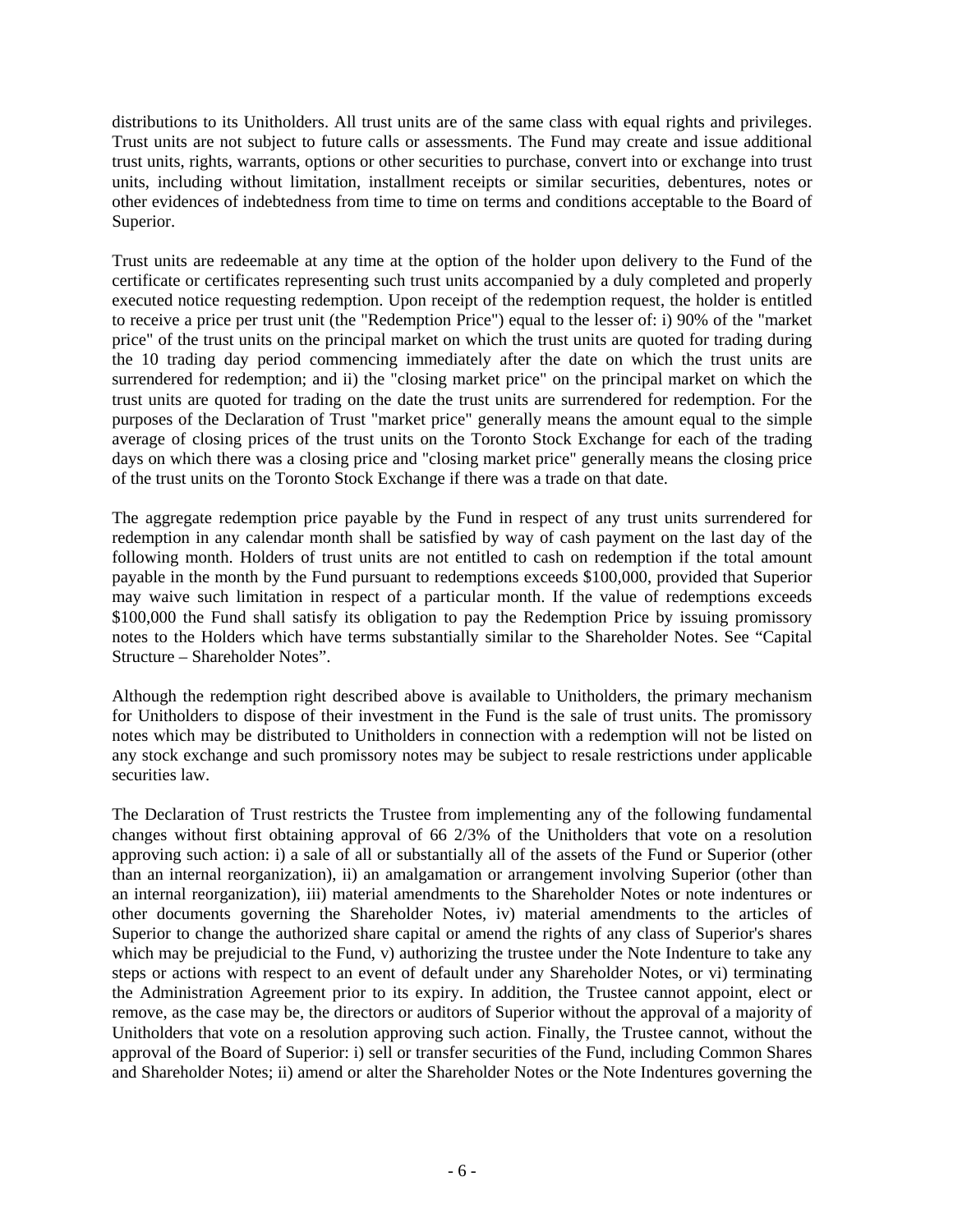distributions to its Unitholders. All trust units are of the same class with equal rights and privileges. Trust units are not subject to future calls or assessments. The Fund may create and issue additional trust units, rights, warrants, options or other securities to purchase, convert into or exchange into trust units, including without limitation, installment receipts or similar securities, debentures, notes or other evidences of indebtedness from time to time on terms and conditions acceptable to the Board of Superior.

Trust units are redeemable at any time at the option of the holder upon delivery to the Fund of the certificate or certificates representing such trust units accompanied by a duly completed and properly executed notice requesting redemption. Upon receipt of the redemption request, the holder is entitled to receive a price per trust unit (the "Redemption Price") equal to the lesser of: i) 90% of the "market price" of the trust units on the principal market on which the trust units are quoted for trading during the 10 trading day period commencing immediately after the date on which the trust units are surrendered for redemption; and ii) the "closing market price" on the principal market on which the trust units are quoted for trading on the date the trust units are surrendered for redemption. For the purposes of the Declaration of Trust "market price" generally means the amount equal to the simple average of closing prices of the trust units on the Toronto Stock Exchange for each of the trading days on which there was a closing price and "closing market price" generally means the closing price of the trust units on the Toronto Stock Exchange if there was a trade on that date.

The aggregate redemption price payable by the Fund in respect of any trust units surrendered for redemption in any calendar month shall be satisfied by way of cash payment on the last day of the following month. Holders of trust units are not entitled to cash on redemption if the total amount payable in the month by the Fund pursuant to redemptions exceeds \$100,000, provided that Superior may waive such limitation in respect of a particular month. If the value of redemptions exceeds \$100,000 the Fund shall satisfy its obligation to pay the Redemption Price by issuing promissory notes to the Holders which have terms substantially similar to the Shareholder Notes. See "Capital Structure – Shareholder Notes".

Although the redemption right described above is available to Unitholders, the primary mechanism for Unitholders to dispose of their investment in the Fund is the sale of trust units. The promissory notes which may be distributed to Unitholders in connection with a redemption will not be listed on any stock exchange and such promissory notes may be subject to resale restrictions under applicable securities law.

The Declaration of Trust restricts the Trustee from implementing any of the following fundamental changes without first obtaining approval of 66 2/3% of the Unitholders that vote on a resolution approving such action: i) a sale of all or substantially all of the assets of the Fund or Superior (other than an internal reorganization), ii) an amalgamation or arrangement involving Superior (other than an internal reorganization), iii) material amendments to the Shareholder Notes or note indentures or other documents governing the Shareholder Notes, iv) material amendments to the articles of Superior to change the authorized share capital or amend the rights of any class of Superior's shares which may be prejudicial to the Fund, v) authorizing the trustee under the Note Indenture to take any steps or actions with respect to an event of default under any Shareholder Notes, or vi) terminating the Administration Agreement prior to its expiry. In addition, the Trustee cannot appoint, elect or remove, as the case may be, the directors or auditors of Superior without the approval of a majority of Unitholders that vote on a resolution approving such action. Finally, the Trustee cannot, without the approval of the Board of Superior: i) sell or transfer securities of the Fund, including Common Shares and Shareholder Notes; ii) amend or alter the Shareholder Notes or the Note Indentures governing the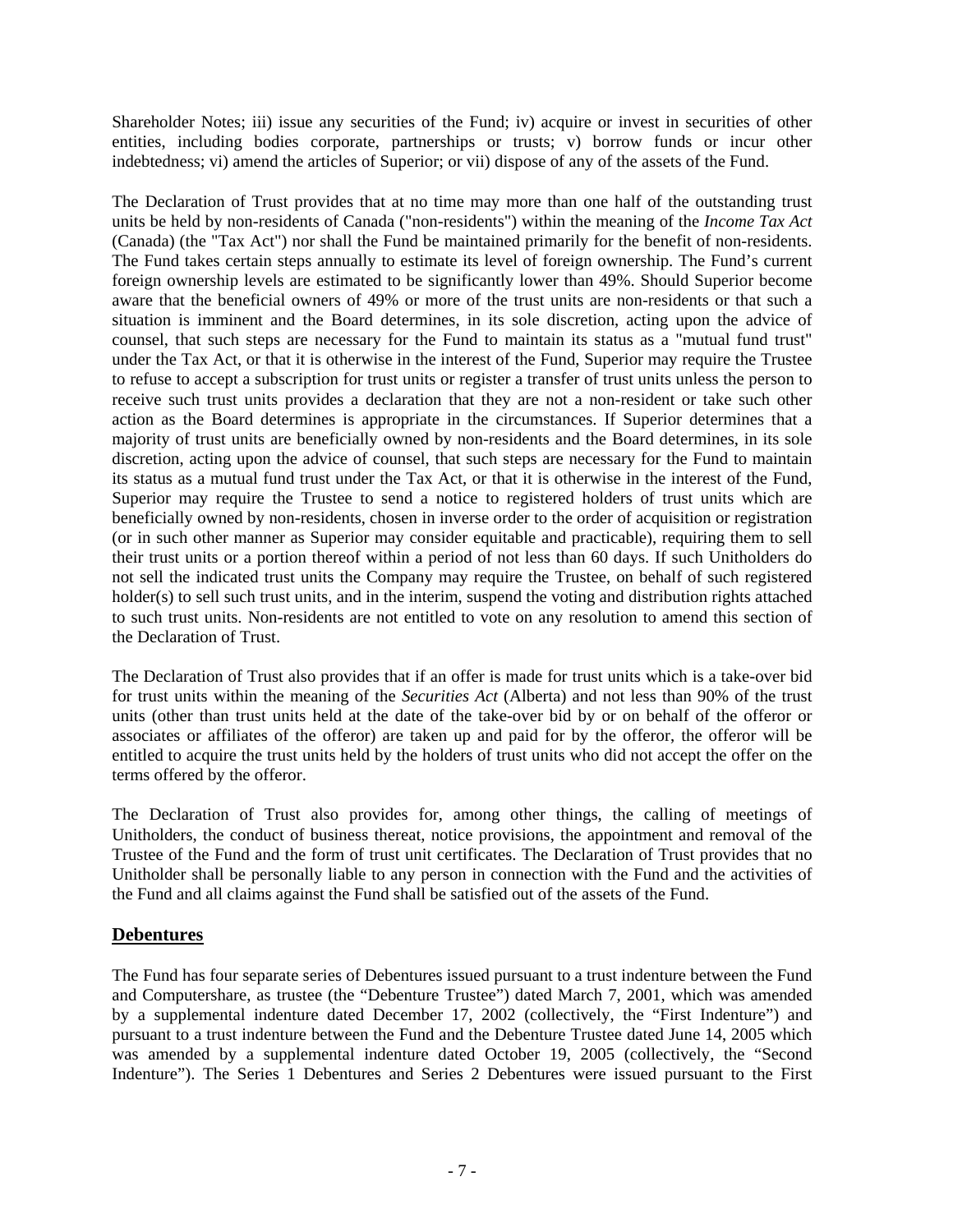Shareholder Notes; iii) issue any securities of the Fund; iv) acquire or invest in securities of other entities, including bodies corporate, partnerships or trusts; v) borrow funds or incur other indebtedness; vi) amend the articles of Superior; or vii) dispose of any of the assets of the Fund.

The Declaration of Trust provides that at no time may more than one half of the outstanding trust units be held by non-residents of Canada ("non-residents") within the meaning of the *Income Tax Act* (Canada) (the "Tax Act") nor shall the Fund be maintained primarily for the benefit of non-residents. The Fund takes certain steps annually to estimate its level of foreign ownership. The Fund's current foreign ownership levels are estimated to be significantly lower than 49%. Should Superior become aware that the beneficial owners of 49% or more of the trust units are non-residents or that such a situation is imminent and the Board determines, in its sole discretion, acting upon the advice of counsel, that such steps are necessary for the Fund to maintain its status as a "mutual fund trust" under the Tax Act, or that it is otherwise in the interest of the Fund, Superior may require the Trustee to refuse to accept a subscription for trust units or register a transfer of trust units unless the person to receive such trust units provides a declaration that they are not a non-resident or take such other action as the Board determines is appropriate in the circumstances. If Superior determines that a majority of trust units are beneficially owned by non-residents and the Board determines, in its sole discretion, acting upon the advice of counsel, that such steps are necessary for the Fund to maintain its status as a mutual fund trust under the Tax Act, or that it is otherwise in the interest of the Fund, Superior may require the Trustee to send a notice to registered holders of trust units which are beneficially owned by non-residents, chosen in inverse order to the order of acquisition or registration (or in such other manner as Superior may consider equitable and practicable), requiring them to sell their trust units or a portion thereof within a period of not less than 60 days. If such Unitholders do not sell the indicated trust units the Company may require the Trustee, on behalf of such registered holder(s) to sell such trust units, and in the interim, suspend the voting and distribution rights attached to such trust units. Non-residents are not entitled to vote on any resolution to amend this section of the Declaration of Trust.

The Declaration of Trust also provides that if an offer is made for trust units which is a take-over bid for trust units within the meaning of the *Securities Act* (Alberta) and not less than 90% of the trust units (other than trust units held at the date of the take-over bid by or on behalf of the offeror or associates or affiliates of the offeror) are taken up and paid for by the offeror, the offeror will be entitled to acquire the trust units held by the holders of trust units who did not accept the offer on the terms offered by the offeror.

The Declaration of Trust also provides for, among other things, the calling of meetings of Unitholders, the conduct of business thereat, notice provisions, the appointment and removal of the Trustee of the Fund and the form of trust unit certificates. The Declaration of Trust provides that no Unitholder shall be personally liable to any person in connection with the Fund and the activities of the Fund and all claims against the Fund shall be satisfied out of the assets of the Fund.

# **Debentures**

The Fund has four separate series of Debentures issued pursuant to a trust indenture between the Fund and Computershare, as trustee (the "Debenture Trustee") dated March 7, 2001, which was amended by a supplemental indenture dated December 17, 2002 (collectively, the "First Indenture") and pursuant to a trust indenture between the Fund and the Debenture Trustee dated June 14, 2005 which was amended by a supplemental indenture dated October 19, 2005 (collectively, the "Second Indenture"). The Series 1 Debentures and Series 2 Debentures were issued pursuant to the First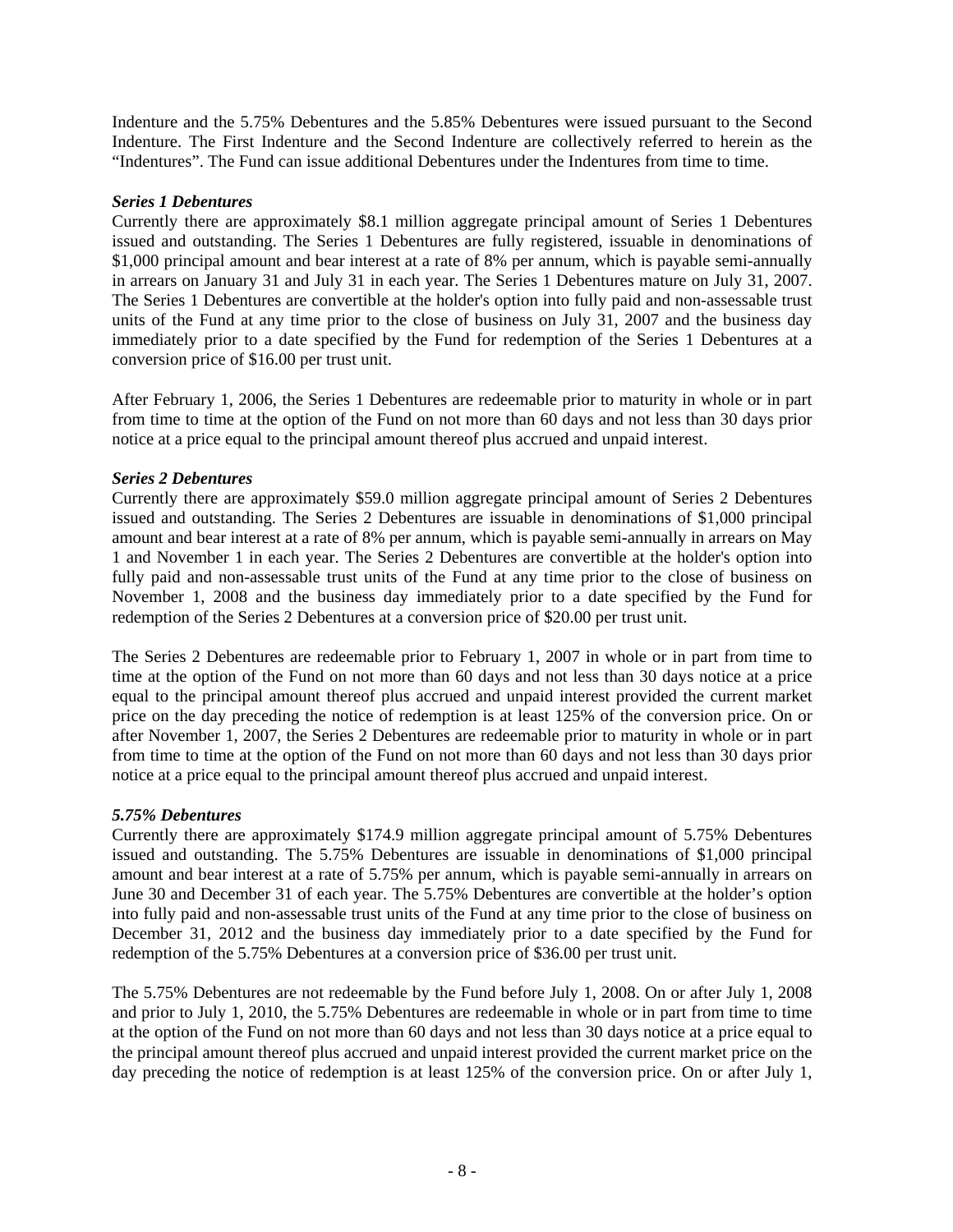Indenture and the 5.75% Debentures and the 5.85% Debentures were issued pursuant to the Second Indenture. The First Indenture and the Second Indenture are collectively referred to herein as the "Indentures". The Fund can issue additional Debentures under the Indentures from time to time.

#### *Series 1 Debentures*

Currently there are approximately \$8.1 million aggregate principal amount of Series 1 Debentures issued and outstanding. The Series 1 Debentures are fully registered, issuable in denominations of \$1,000 principal amount and bear interest at a rate of 8% per annum, which is payable semi-annually in arrears on January 31 and July 31 in each year. The Series 1 Debentures mature on July 31, 2007. The Series 1 Debentures are convertible at the holder's option into fully paid and non-assessable trust units of the Fund at any time prior to the close of business on July 31, 2007 and the business day immediately prior to a date specified by the Fund for redemption of the Series 1 Debentures at a conversion price of \$16.00 per trust unit.

After February 1, 2006, the Series 1 Debentures are redeemable prior to maturity in whole or in part from time to time at the option of the Fund on not more than 60 days and not less than 30 days prior notice at a price equal to the principal amount thereof plus accrued and unpaid interest.

### *Series 2 Debentures*

Currently there are approximately \$59.0 million aggregate principal amount of Series 2 Debentures issued and outstanding. The Series 2 Debentures are issuable in denominations of \$1,000 principal amount and bear interest at a rate of 8% per annum, which is payable semi-annually in arrears on May 1 and November 1 in each year. The Series 2 Debentures are convertible at the holder's option into fully paid and non-assessable trust units of the Fund at any time prior to the close of business on November 1, 2008 and the business day immediately prior to a date specified by the Fund for redemption of the Series 2 Debentures at a conversion price of \$20.00 per trust unit.

The Series 2 Debentures are redeemable prior to February 1, 2007 in whole or in part from time to time at the option of the Fund on not more than 60 days and not less than 30 days notice at a price equal to the principal amount thereof plus accrued and unpaid interest provided the current market price on the day preceding the notice of redemption is at least 125% of the conversion price. On or after November 1, 2007, the Series 2 Debentures are redeemable prior to maturity in whole or in part from time to time at the option of the Fund on not more than 60 days and not less than 30 days prior notice at a price equal to the principal amount thereof plus accrued and unpaid interest.

### *5.75% Debentures*

Currently there are approximately \$174.9 million aggregate principal amount of 5.75% Debentures issued and outstanding. The 5.75% Debentures are issuable in denominations of \$1,000 principal amount and bear interest at a rate of 5.75% per annum, which is payable semi-annually in arrears on June 30 and December 31 of each year. The 5.75% Debentures are convertible at the holder's option into fully paid and non-assessable trust units of the Fund at any time prior to the close of business on December 31, 2012 and the business day immediately prior to a date specified by the Fund for redemption of the 5.75% Debentures at a conversion price of \$36.00 per trust unit.

The 5.75% Debentures are not redeemable by the Fund before July 1, 2008. On or after July 1, 2008 and prior to July 1, 2010, the 5.75% Debentures are redeemable in whole or in part from time to time at the option of the Fund on not more than 60 days and not less than 30 days notice at a price equal to the principal amount thereof plus accrued and unpaid interest provided the current market price on the day preceding the notice of redemption is at least 125% of the conversion price. On or after July 1,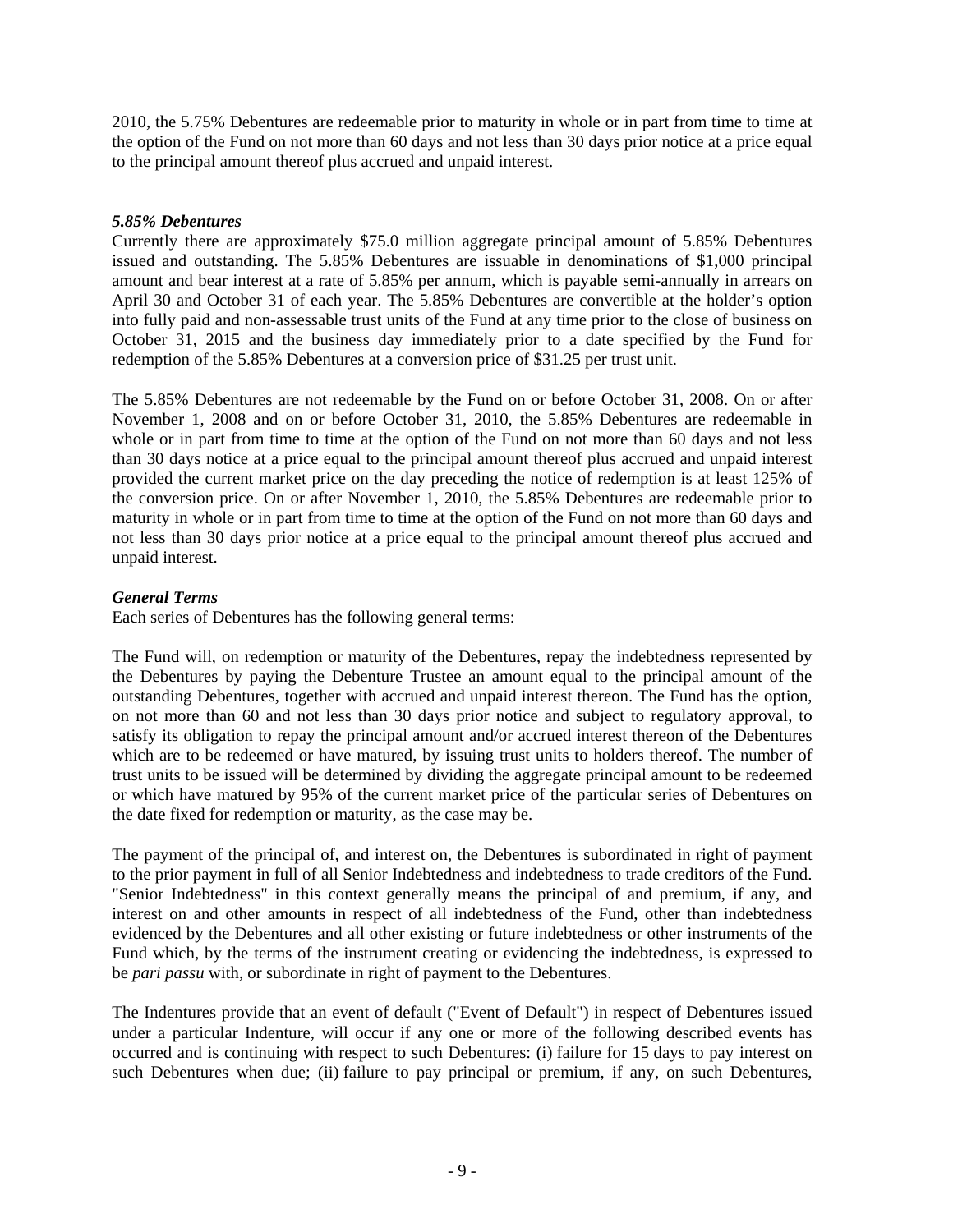2010, the 5.75% Debentures are redeemable prior to maturity in whole or in part from time to time at the option of the Fund on not more than 60 days and not less than 30 days prior notice at a price equal to the principal amount thereof plus accrued and unpaid interest.

### *5.85% Debentures*

Currently there are approximately \$75.0 million aggregate principal amount of 5.85% Debentures issued and outstanding. The 5.85% Debentures are issuable in denominations of \$1,000 principal amount and bear interest at a rate of 5.85% per annum, which is payable semi-annually in arrears on April 30 and October 31 of each year. The 5.85% Debentures are convertible at the holder's option into fully paid and non-assessable trust units of the Fund at any time prior to the close of business on October 31, 2015 and the business day immediately prior to a date specified by the Fund for redemption of the 5.85% Debentures at a conversion price of \$31.25 per trust unit.

The 5.85% Debentures are not redeemable by the Fund on or before October 31, 2008. On or after November 1, 2008 and on or before October 31, 2010, the 5.85% Debentures are redeemable in whole or in part from time to time at the option of the Fund on not more than 60 days and not less than 30 days notice at a price equal to the principal amount thereof plus accrued and unpaid interest provided the current market price on the day preceding the notice of redemption is at least 125% of the conversion price. On or after November 1, 2010, the 5.85% Debentures are redeemable prior to maturity in whole or in part from time to time at the option of the Fund on not more than 60 days and not less than 30 days prior notice at a price equal to the principal amount thereof plus accrued and unpaid interest.

#### *General Terms*

Each series of Debentures has the following general terms:

The Fund will, on redemption or maturity of the Debentures, repay the indebtedness represented by the Debentures by paying the Debenture Trustee an amount equal to the principal amount of the outstanding Debentures, together with accrued and unpaid interest thereon. The Fund has the option, on not more than 60 and not less than 30 days prior notice and subject to regulatory approval, to satisfy its obligation to repay the principal amount and/or accrued interest thereon of the Debentures which are to be redeemed or have matured, by issuing trust units to holders thereof. The number of trust units to be issued will be determined by dividing the aggregate principal amount to be redeemed or which have matured by 95% of the current market price of the particular series of Debentures on the date fixed for redemption or maturity, as the case may be.

The payment of the principal of, and interest on, the Debentures is subordinated in right of payment to the prior payment in full of all Senior Indebtedness and indebtedness to trade creditors of the Fund. "Senior Indebtedness" in this context generally means the principal of and premium, if any, and interest on and other amounts in respect of all indebtedness of the Fund, other than indebtedness evidenced by the Debentures and all other existing or future indebtedness or other instruments of the Fund which, by the terms of the instrument creating or evidencing the indebtedness, is expressed to be *pari passu* with, or subordinate in right of payment to the Debentures.

The Indentures provide that an event of default ("Event of Default") in respect of Debentures issued under a particular Indenture, will occur if any one or more of the following described events has occurred and is continuing with respect to such Debentures: (i) failure for 15 days to pay interest on such Debentures when due; (ii) failure to pay principal or premium, if any, on such Debentures,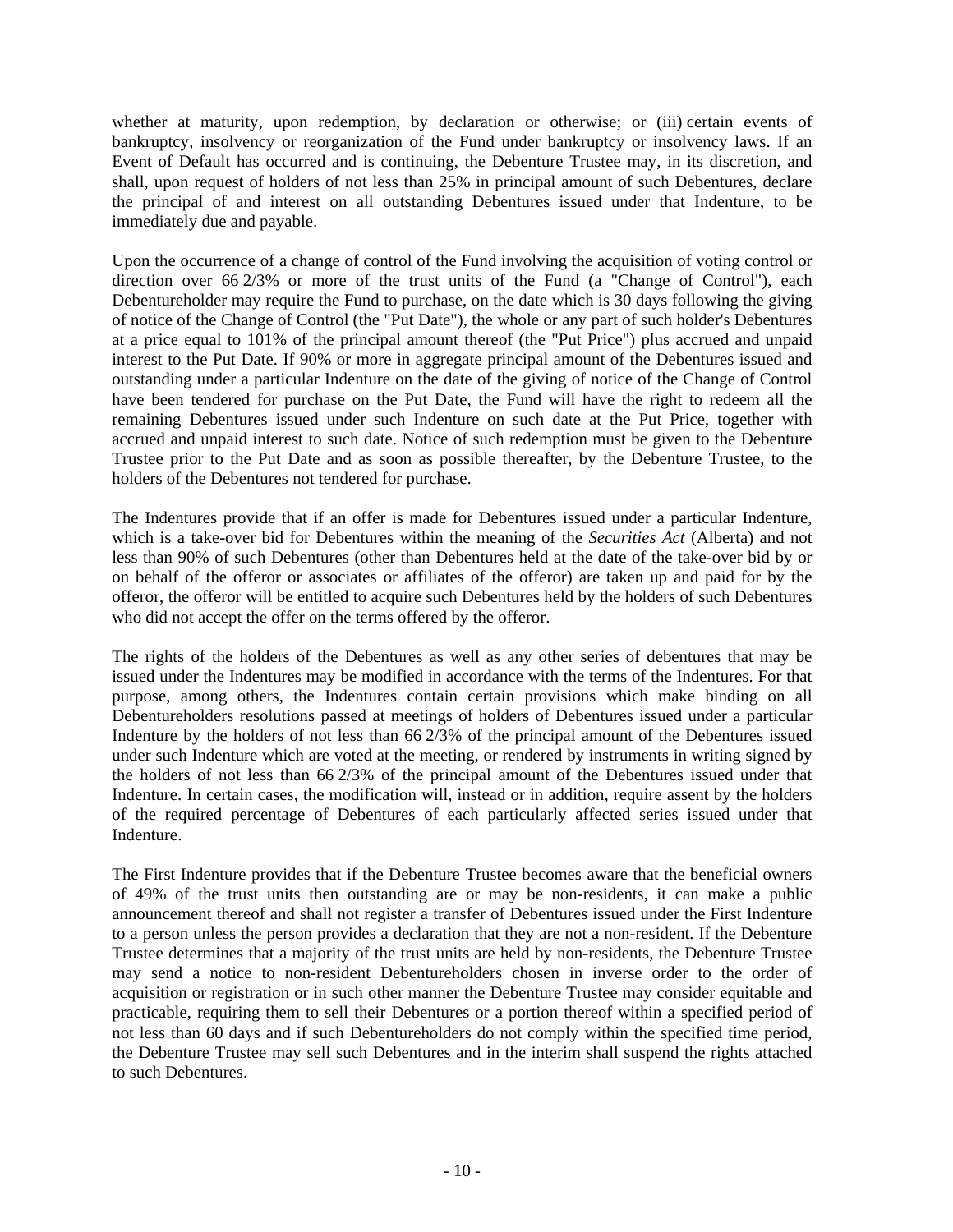whether at maturity, upon redemption, by declaration or otherwise; or (iii) certain events of bankruptcy, insolvency or reorganization of the Fund under bankruptcy or insolvency laws. If an Event of Default has occurred and is continuing, the Debenture Trustee may, in its discretion, and shall, upon request of holders of not less than 25% in principal amount of such Debentures, declare the principal of and interest on all outstanding Debentures issued under that Indenture, to be immediately due and payable.

Upon the occurrence of a change of control of the Fund involving the acquisition of voting control or direction over 66 2/3% or more of the trust units of the Fund (a "Change of Control"), each Debentureholder may require the Fund to purchase, on the date which is 30 days following the giving of notice of the Change of Control (the "Put Date"), the whole or any part of such holder's Debentures at a price equal to 101% of the principal amount thereof (the "Put Price") plus accrued and unpaid interest to the Put Date. If 90% or more in aggregate principal amount of the Debentures issued and outstanding under a particular Indenture on the date of the giving of notice of the Change of Control have been tendered for purchase on the Put Date, the Fund will have the right to redeem all the remaining Debentures issued under such Indenture on such date at the Put Price, together with accrued and unpaid interest to such date. Notice of such redemption must be given to the Debenture Trustee prior to the Put Date and as soon as possible thereafter, by the Debenture Trustee, to the holders of the Debentures not tendered for purchase.

The Indentures provide that if an offer is made for Debentures issued under a particular Indenture, which is a take-over bid for Debentures within the meaning of the *Securities Act* (Alberta) and not less than 90% of such Debentures (other than Debentures held at the date of the take-over bid by or on behalf of the offeror or associates or affiliates of the offeror) are taken up and paid for by the offeror, the offeror will be entitled to acquire such Debentures held by the holders of such Debentures who did not accept the offer on the terms offered by the offeror.

The rights of the holders of the Debentures as well as any other series of debentures that may be issued under the Indentures may be modified in accordance with the terms of the Indentures. For that purpose, among others, the Indentures contain certain provisions which make binding on all Debentureholders resolutions passed at meetings of holders of Debentures issued under a particular Indenture by the holders of not less than 66 2/3% of the principal amount of the Debentures issued under such Indenture which are voted at the meeting, or rendered by instruments in writing signed by the holders of not less than 66 2/3% of the principal amount of the Debentures issued under that Indenture. In certain cases, the modification will, instead or in addition, require assent by the holders of the required percentage of Debentures of each particularly affected series issued under that Indenture.

The First Indenture provides that if the Debenture Trustee becomes aware that the beneficial owners of 49% of the trust units then outstanding are or may be non-residents, it can make a public announcement thereof and shall not register a transfer of Debentures issued under the First Indenture to a person unless the person provides a declaration that they are not a non-resident. If the Debenture Trustee determines that a majority of the trust units are held by non-residents, the Debenture Trustee may send a notice to non-resident Debentureholders chosen in inverse order to the order of acquisition or registration or in such other manner the Debenture Trustee may consider equitable and practicable, requiring them to sell their Debentures or a portion thereof within a specified period of not less than 60 days and if such Debentureholders do not comply within the specified time period, the Debenture Trustee may sell such Debentures and in the interim shall suspend the rights attached to such Debentures.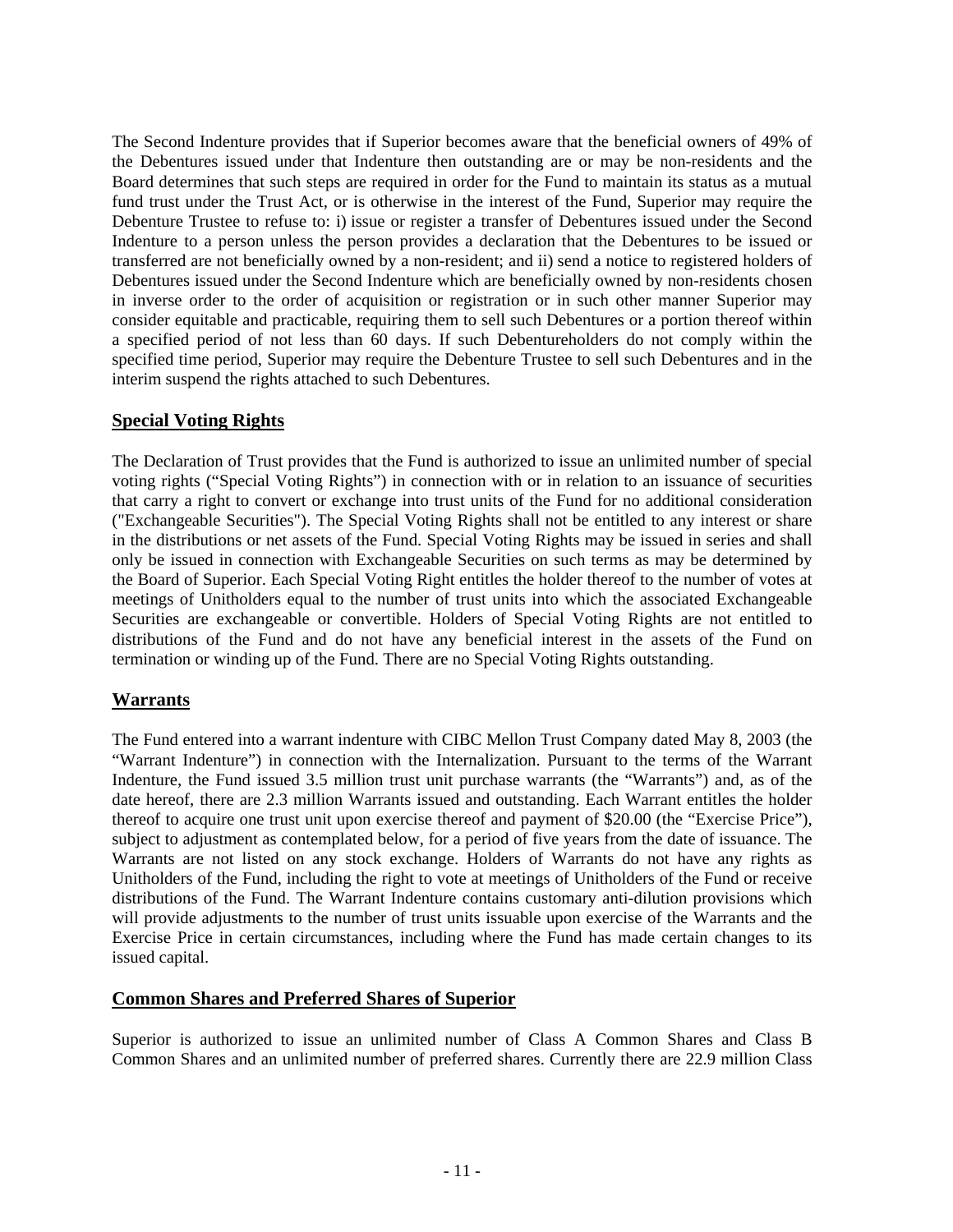The Second Indenture provides that if Superior becomes aware that the beneficial owners of 49% of the Debentures issued under that Indenture then outstanding are or may be non-residents and the Board determines that such steps are required in order for the Fund to maintain its status as a mutual fund trust under the Trust Act, or is otherwise in the interest of the Fund, Superior may require the Debenture Trustee to refuse to: i) issue or register a transfer of Debentures issued under the Second Indenture to a person unless the person provides a declaration that the Debentures to be issued or transferred are not beneficially owned by a non-resident; and ii) send a notice to registered holders of Debentures issued under the Second Indenture which are beneficially owned by non-residents chosen in inverse order to the order of acquisition or registration or in such other manner Superior may consider equitable and practicable, requiring them to sell such Debentures or a portion thereof within a specified period of not less than 60 days. If such Debentureholders do not comply within the specified time period, Superior may require the Debenture Trustee to sell such Debentures and in the interim suspend the rights attached to such Debentures.

# **Special Voting Rights**

The Declaration of Trust provides that the Fund is authorized to issue an unlimited number of special voting rights ("Special Voting Rights") in connection with or in relation to an issuance of securities that carry a right to convert or exchange into trust units of the Fund for no additional consideration ("Exchangeable Securities"). The Special Voting Rights shall not be entitled to any interest or share in the distributions or net assets of the Fund. Special Voting Rights may be issued in series and shall only be issued in connection with Exchangeable Securities on such terms as may be determined by the Board of Superior. Each Special Voting Right entitles the holder thereof to the number of votes at meetings of Unitholders equal to the number of trust units into which the associated Exchangeable Securities are exchangeable or convertible. Holders of Special Voting Rights are not entitled to distributions of the Fund and do not have any beneficial interest in the assets of the Fund on termination or winding up of the Fund. There are no Special Voting Rights outstanding.

# **Warrants**

The Fund entered into a warrant indenture with CIBC Mellon Trust Company dated May 8, 2003 (the "Warrant Indenture") in connection with the Internalization. Pursuant to the terms of the Warrant Indenture, the Fund issued 3.5 million trust unit purchase warrants (the "Warrants") and, as of the date hereof, there are 2.3 million Warrants issued and outstanding. Each Warrant entitles the holder thereof to acquire one trust unit upon exercise thereof and payment of \$20.00 (the "Exercise Price"), subject to adjustment as contemplated below, for a period of five years from the date of issuance. The Warrants are not listed on any stock exchange. Holders of Warrants do not have any rights as Unitholders of the Fund, including the right to vote at meetings of Unitholders of the Fund or receive distributions of the Fund. The Warrant Indenture contains customary anti-dilution provisions which will provide adjustments to the number of trust units issuable upon exercise of the Warrants and the Exercise Price in certain circumstances, including where the Fund has made certain changes to its issued capital.

### **Common Shares and Preferred Shares of Superior**

Superior is authorized to issue an unlimited number of Class A Common Shares and Class B Common Shares and an unlimited number of preferred shares. Currently there are 22.9 million Class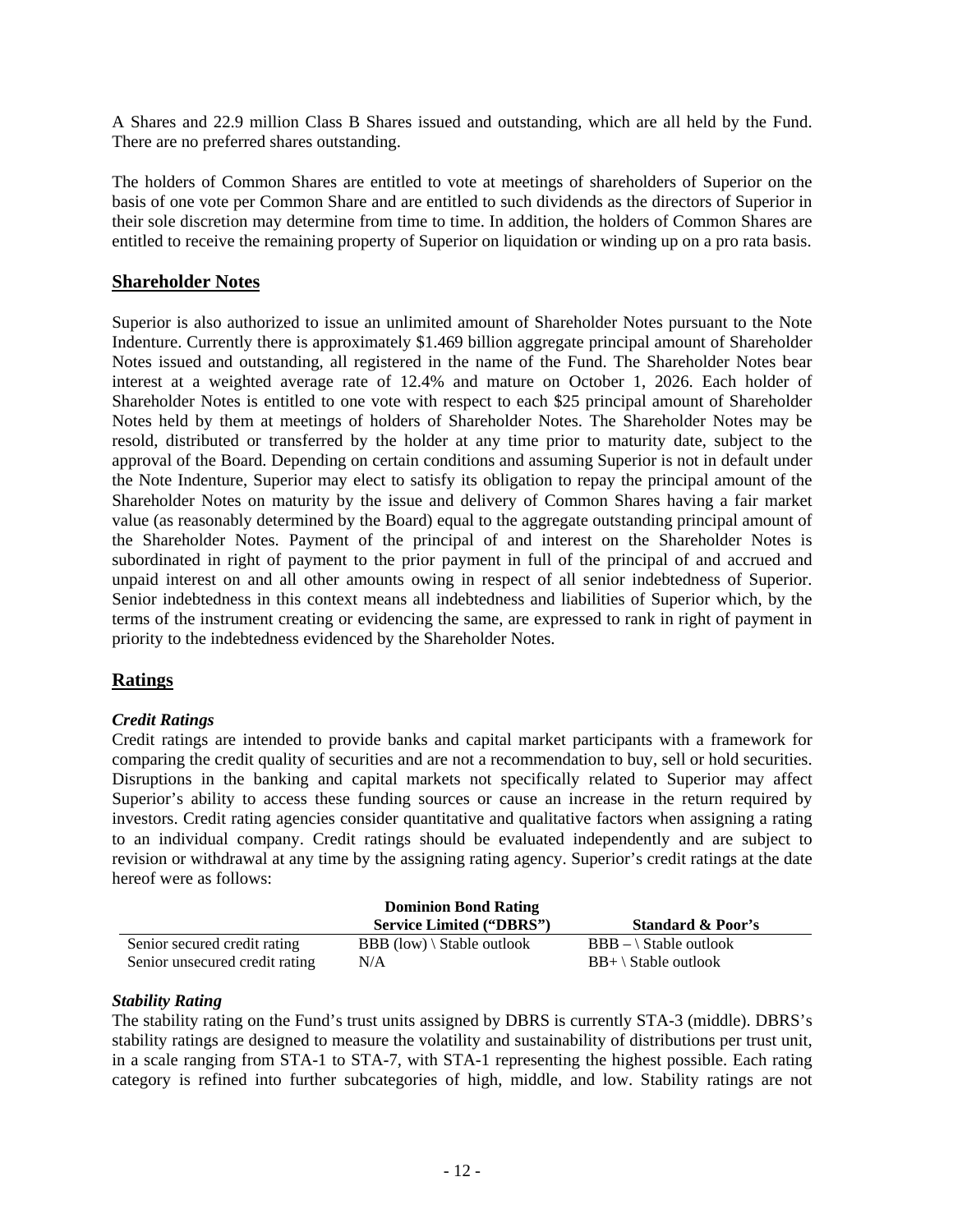A Shares and 22.9 million Class B Shares issued and outstanding, which are all held by the Fund. There are no preferred shares outstanding.

The holders of Common Shares are entitled to vote at meetings of shareholders of Superior on the basis of one vote per Common Share and are entitled to such dividends as the directors of Superior in their sole discretion may determine from time to time. In addition, the holders of Common Shares are entitled to receive the remaining property of Superior on liquidation or winding up on a pro rata basis.

# **Shareholder Notes**

Superior is also authorized to issue an unlimited amount of Shareholder Notes pursuant to the Note Indenture. Currently there is approximately \$1.469 billion aggregate principal amount of Shareholder Notes issued and outstanding, all registered in the name of the Fund. The Shareholder Notes bear interest at a weighted average rate of 12.4% and mature on October 1, 2026. Each holder of Shareholder Notes is entitled to one vote with respect to each \$25 principal amount of Shareholder Notes held by them at meetings of holders of Shareholder Notes. The Shareholder Notes may be resold, distributed or transferred by the holder at any time prior to maturity date, subject to the approval of the Board. Depending on certain conditions and assuming Superior is not in default under the Note Indenture, Superior may elect to satisfy its obligation to repay the principal amount of the Shareholder Notes on maturity by the issue and delivery of Common Shares having a fair market value (as reasonably determined by the Board) equal to the aggregate outstanding principal amount of the Shareholder Notes. Payment of the principal of and interest on the Shareholder Notes is subordinated in right of payment to the prior payment in full of the principal of and accrued and unpaid interest on and all other amounts owing in respect of all senior indebtedness of Superior. Senior indebtedness in this context means all indebtedness and liabilities of Superior which, by the terms of the instrument creating or evidencing the same, are expressed to rank in right of payment in priority to the indebtedness evidenced by the Shareholder Notes.

# **Ratings**

### *Credit Ratings*

Credit ratings are intended to provide banks and capital market participants with a framework for comparing the credit quality of securities and are not a recommendation to buy, sell or hold securities. Disruptions in the banking and capital markets not specifically related to Superior may affect Superior's ability to access these funding sources or cause an increase in the return required by investors. Credit rating agencies consider quantitative and qualitative factors when assigning a rating to an individual company. Credit ratings should be evaluated independently and are subject to revision or withdrawal at any time by the assigning rating agency. Superior's credit ratings at the date hereof were as follows:

|                                | <b>Dominion Bond Rating</b>                 |                                |
|--------------------------------|---------------------------------------------|--------------------------------|
|                                | <b>Service Limited ("DBRS")</b>             | <b>Standard &amp; Poor's</b>   |
| Senior secured credit rating   | <b>BBB</b> (low) $\setminus$ Stable outlook | $BBB - \$ Stable outlook       |
| Senior unsecured credit rating | N/A                                         | $BB+ \setminus$ Stable outlook |

### *Stability Rating*

The stability rating on the Fund's trust units assigned by DBRS is currently STA-3 (middle). DBRS's stability ratings are designed to measure the volatility and sustainability of distributions per trust unit, in a scale ranging from STA-1 to STA-7, with STA-1 representing the highest possible. Each rating category is refined into further subcategories of high, middle, and low. Stability ratings are not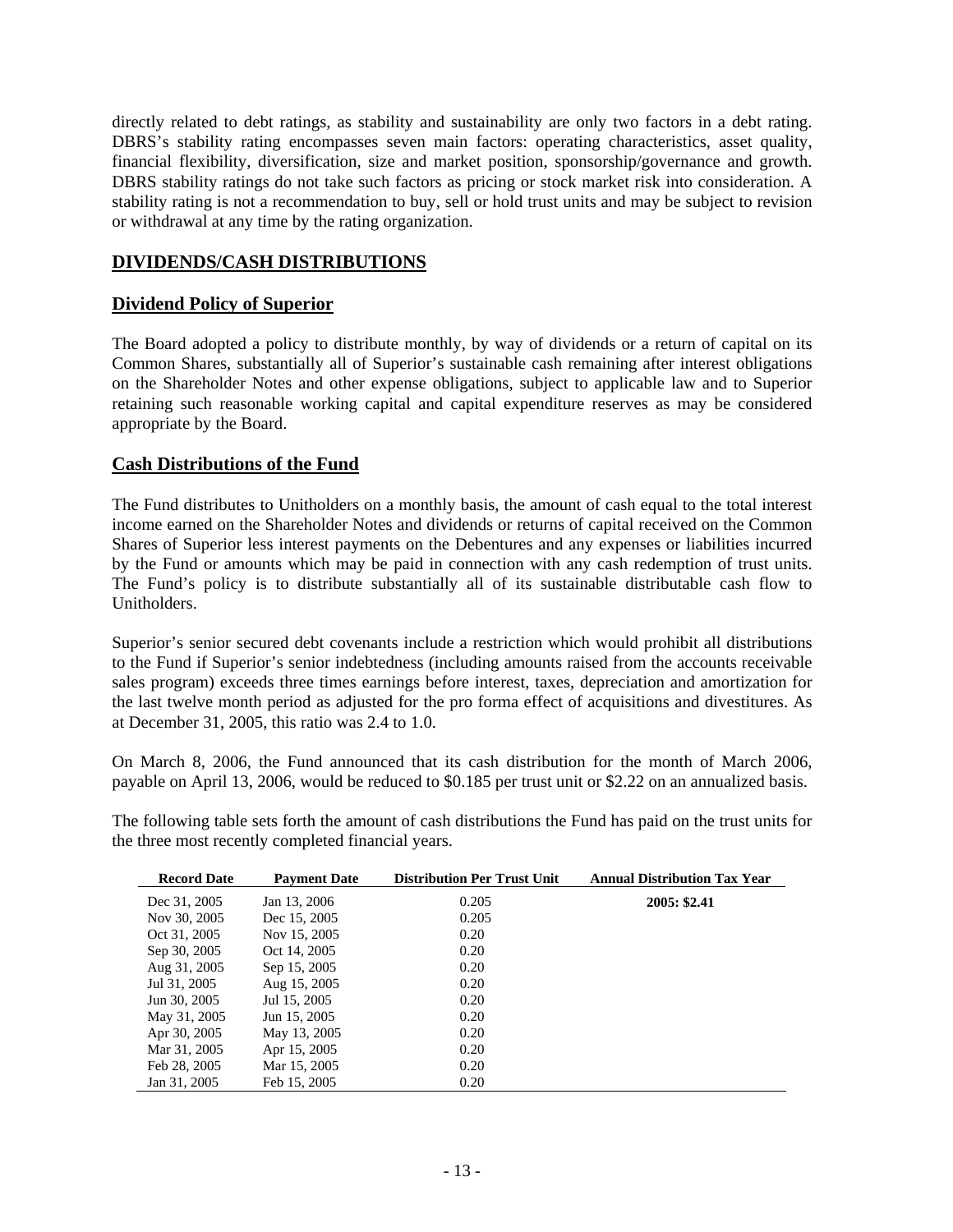directly related to debt ratings, as stability and sustainability are only two factors in a debt rating. DBRS's stability rating encompasses seven main factors: operating characteristics, asset quality, financial flexibility, diversification, size and market position, sponsorship/governance and growth. DBRS stability ratings do not take such factors as pricing or stock market risk into consideration. A stability rating is not a recommendation to buy, sell or hold trust units and may be subject to revision or withdrawal at any time by the rating organization.

# **DIVIDENDS/CASH DISTRIBUTIONS**

#### **Dividend Policy of Superior**

The Board adopted a policy to distribute monthly, by way of dividends or a return of capital on its Common Shares, substantially all of Superior's sustainable cash remaining after interest obligations on the Shareholder Notes and other expense obligations, subject to applicable law and to Superior retaining such reasonable working capital and capital expenditure reserves as may be considered appropriate by the Board.

### **Cash Distributions of the Fund**

The Fund distributes to Unitholders on a monthly basis, the amount of cash equal to the total interest income earned on the Shareholder Notes and dividends or returns of capital received on the Common Shares of Superior less interest payments on the Debentures and any expenses or liabilities incurred by the Fund or amounts which may be paid in connection with any cash redemption of trust units. The Fund's policy is to distribute substantially all of its sustainable distributable cash flow to Unitholders.

Superior's senior secured debt covenants include a restriction which would prohibit all distributions to the Fund if Superior's senior indebtedness (including amounts raised from the accounts receivable sales program) exceeds three times earnings before interest, taxes, depreciation and amortization for the last twelve month period as adjusted for the pro forma effect of acquisitions and divestitures. As at December 31, 2005, this ratio was 2.4 to 1.0.

On March 8, 2006, the Fund announced that its cash distribution for the month of March 2006, payable on April 13, 2006, would be reduced to \$0.185 per trust unit or \$2.22 on an annualized basis.

The following table sets forth the amount of cash distributions the Fund has paid on the trust units for the three most recently completed financial years.

| <b>Record Date</b> | <b>Payment Date</b> | <b>Distribution Per Trust Unit</b> | <b>Annual Distribution Tax Year</b> |
|--------------------|---------------------|------------------------------------|-------------------------------------|
| Dec 31, 2005       | Jan 13, 2006        | 0.205                              | 2005: \$2.41                        |
| Nov 30, 2005       | Dec 15, 2005        | 0.205                              |                                     |
| Oct 31, 2005       | Nov 15, 2005        | 0.20                               |                                     |
| Sep 30, 2005       | Oct 14, 2005        | 0.20                               |                                     |
| Aug 31, 2005       | Sep 15, 2005        | 0.20                               |                                     |
| Jul 31, 2005       | Aug 15, 2005        | 0.20                               |                                     |
| Jun 30, 2005       | Jul 15, 2005        | 0.20                               |                                     |
| May 31, 2005       | Jun 15, 2005        | 0.20                               |                                     |
| Apr 30, 2005       | May 13, 2005        | 0.20                               |                                     |
| Mar 31, 2005       | Apr 15, 2005        | 0.20                               |                                     |
| Feb 28, 2005       | Mar 15, 2005        | 0.20                               |                                     |
| Jan 31, 2005       | Feb 15, 2005        | 0.20                               |                                     |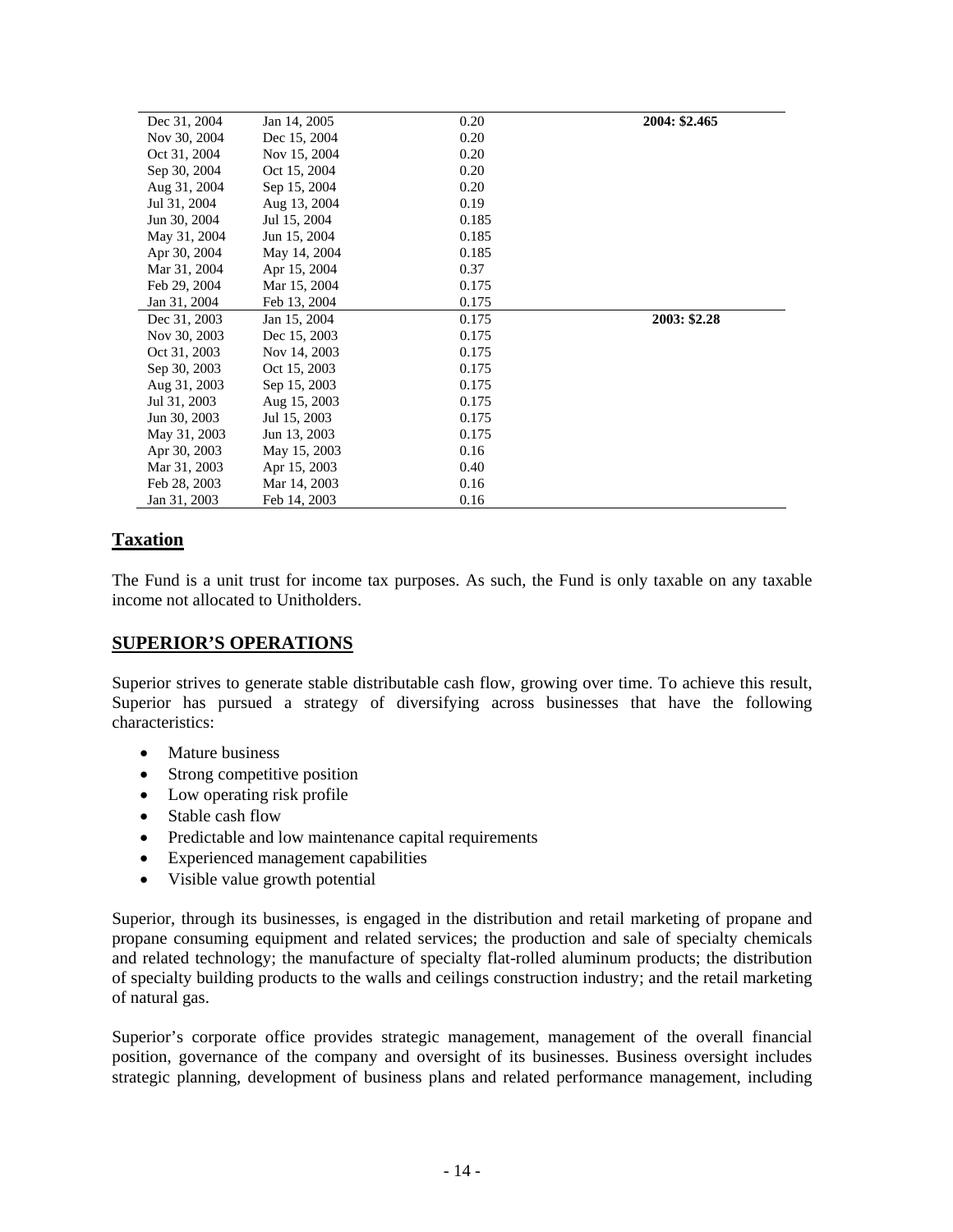| Dec 31, 2004 | Jan 14, 2005 | 0.20  | 2004: \$2.465 |
|--------------|--------------|-------|---------------|
| Nov 30, 2004 | Dec 15, 2004 | 0.20  |               |
| Oct 31, 2004 | Nov 15, 2004 | 0.20  |               |
| Sep 30, 2004 | Oct 15, 2004 | 0.20  |               |
| Aug 31, 2004 | Sep 15, 2004 | 0.20  |               |
| Jul 31, 2004 | Aug 13, 2004 | 0.19  |               |
| Jun 30, 2004 | Jul 15, 2004 | 0.185 |               |
| May 31, 2004 | Jun 15, 2004 | 0.185 |               |
| Apr 30, 2004 | May 14, 2004 | 0.185 |               |
| Mar 31, 2004 | Apr 15, 2004 | 0.37  |               |
| Feb 29, 2004 | Mar 15, 2004 | 0.175 |               |
| Jan 31, 2004 | Feb 13, 2004 | 0.175 |               |
| Dec 31, 2003 | Jan 15, 2004 | 0.175 | 2003: \$2.28  |
| Nov 30, 2003 | Dec 15, 2003 | 0.175 |               |
| Oct 31, 2003 | Nov 14, 2003 | 0.175 |               |
| Sep 30, 2003 | Oct 15, 2003 | 0.175 |               |
| Aug 31, 2003 | Sep 15, 2003 | 0.175 |               |
| Jul 31, 2003 | Aug 15, 2003 | 0.175 |               |
| Jun 30, 2003 | Jul 15, 2003 | 0.175 |               |
| May 31, 2003 | Jun 13, 2003 | 0.175 |               |
| Apr 30, 2003 | May 15, 2003 | 0.16  |               |
| Mar 31, 2003 | Apr 15, 2003 | 0.40  |               |
| Feb 28, 2003 | Mar 14, 2003 | 0.16  |               |
| Jan 31, 2003 | Feb 14, 2003 | 0.16  |               |

# **Taxation**

The Fund is a unit trust for income tax purposes. As such, the Fund is only taxable on any taxable income not allocated to Unitholders.

# **SUPERIOR'S OPERATIONS**

Superior strives to generate stable distributable cash flow, growing over time. To achieve this result, Superior has pursued a strategy of diversifying across businesses that have the following characteristics:

- Mature business
- Strong competitive position
- Low operating risk profile
- Stable cash flow
- Predictable and low maintenance capital requirements
- Experienced management capabilities
- Visible value growth potential

Superior, through its businesses, is engaged in the distribution and retail marketing of propane and propane consuming equipment and related services; the production and sale of specialty chemicals and related technology; the manufacture of specialty flat-rolled aluminum products; the distribution of specialty building products to the walls and ceilings construction industry; and the retail marketing of natural gas.

Superior's corporate office provides strategic management, management of the overall financial position, governance of the company and oversight of its businesses. Business oversight includes strategic planning, development of business plans and related performance management, including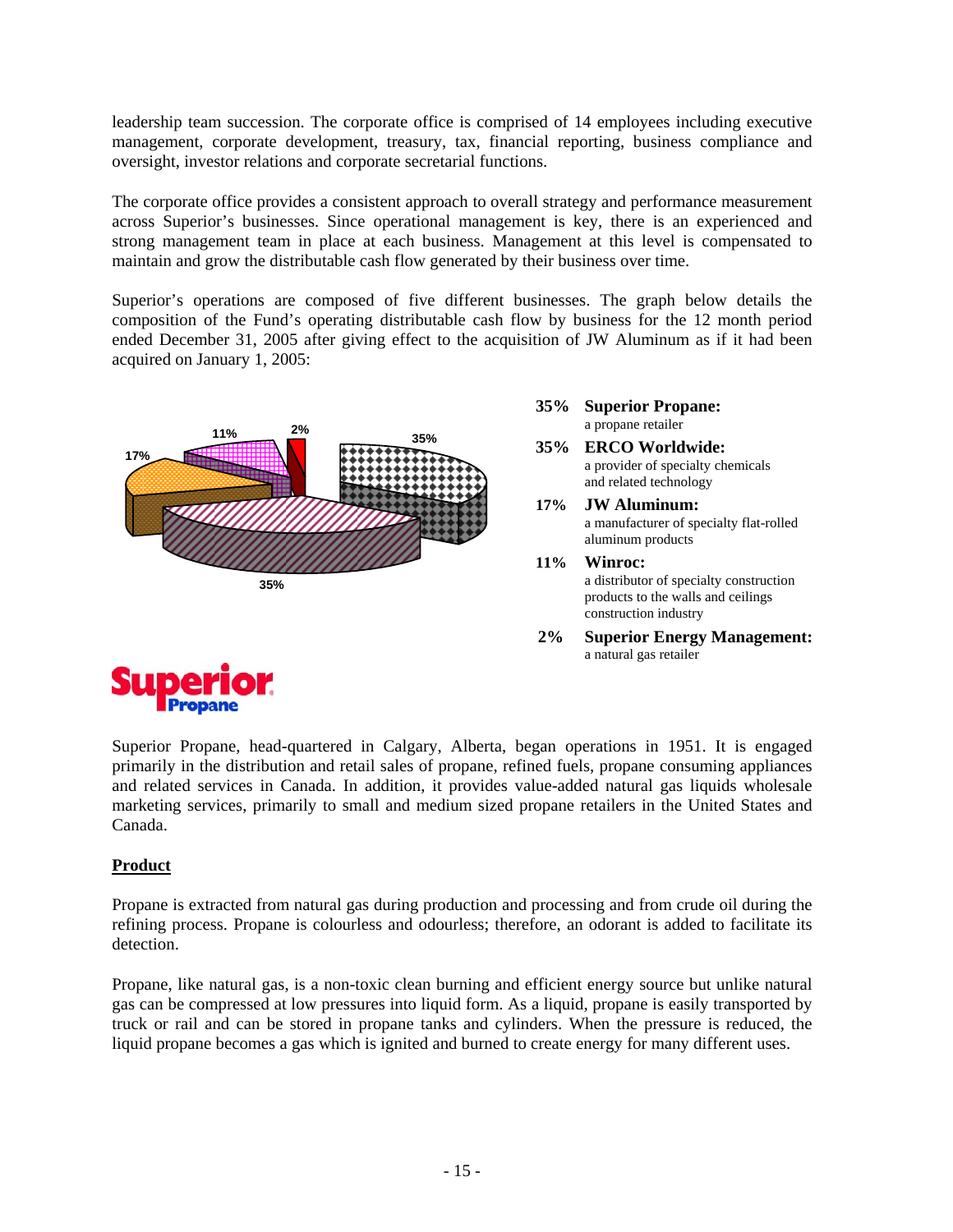leadership team succession. The corporate office is comprised of 14 employees including executive management, corporate development, treasury, tax, financial reporting, business compliance and oversight, investor relations and corporate secretarial functions.

The corporate office provides a consistent approach to overall strategy and performance measurement across Superior's businesses. Since operational management is key, there is an experienced and strong management team in place at each business. Management at this level is compensated to maintain and grow the distributable cash flow generated by their business over time.

Superior's operations are composed of five different businesses. The graph below details the composition of the Fund's operating distributable cash flow by business for the 12 month period ended December 31, 2005 after giving effect to the acquisition of JW Aluminum as if it had been acquired on January 1, 2005:



- **35% Superior Propane:**  a propane retailer
- **35% ERCO Worldwide:** a provider of specialty chemicals and related technology
- **17% JW Aluminum:**  a manufacturer of specialty flat-rolled aluminum products
- **11% Winroc:**  a distributor of specialty construction products to the walls and ceilings construction industry
- **2% Superior Energy Management:**  a natural gas retailer



Superior Propane, head-quartered in Calgary, Alberta, began operations in 1951. It is engaged primarily in the distribution and retail sales of propane, refined fuels, propane consuming appliances and related services in Canada. In addition, it provides value-added natural gas liquids wholesale marketing services, primarily to small and medium sized propane retailers in the United States and Canada.

# **Product**

Propane is extracted from natural gas during production and processing and from crude oil during the refining process. Propane is colourless and odourless; therefore, an odorant is added to facilitate its detection.

Propane, like natural gas, is a non-toxic clean burning and efficient energy source but unlike natural gas can be compressed at low pressures into liquid form. As a liquid, propane is easily transported by truck or rail and can be stored in propane tanks and cylinders. When the pressure is reduced, the liquid propane becomes a gas which is ignited and burned to create energy for many different uses.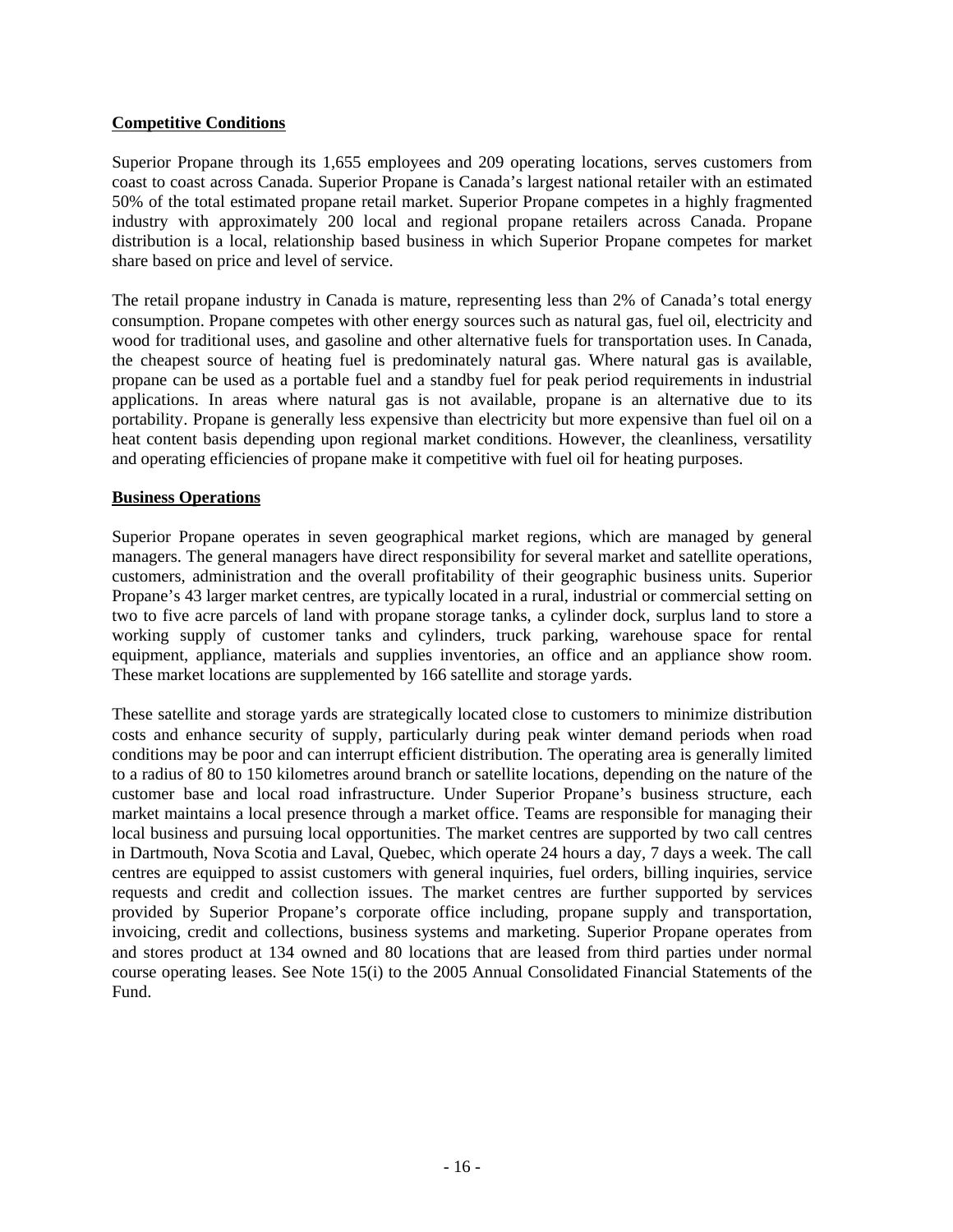### **Competitive Conditions**

Superior Propane through its 1,655 employees and 209 operating locations, serves customers from coast to coast across Canada. Superior Propane is Canada's largest national retailer with an estimated 50% of the total estimated propane retail market. Superior Propane competes in a highly fragmented industry with approximately 200 local and regional propane retailers across Canada. Propane distribution is a local, relationship based business in which Superior Propane competes for market share based on price and level of service.

The retail propane industry in Canada is mature, representing less than 2% of Canada's total energy consumption. Propane competes with other energy sources such as natural gas, fuel oil, electricity and wood for traditional uses, and gasoline and other alternative fuels for transportation uses. In Canada, the cheapest source of heating fuel is predominately natural gas. Where natural gas is available, propane can be used as a portable fuel and a standby fuel for peak period requirements in industrial applications. In areas where natural gas is not available, propane is an alternative due to its portability. Propane is generally less expensive than electricity but more expensive than fuel oil on a heat content basis depending upon regional market conditions. However, the cleanliness, versatility and operating efficiencies of propane make it competitive with fuel oil for heating purposes.

### **Business Operations**

Superior Propane operates in seven geographical market regions, which are managed by general managers. The general managers have direct responsibility for several market and satellite operations, customers, administration and the overall profitability of their geographic business units. Superior Propane's 43 larger market centres, are typically located in a rural, industrial or commercial setting on two to five acre parcels of land with propane storage tanks, a cylinder dock, surplus land to store a working supply of customer tanks and cylinders, truck parking, warehouse space for rental equipment, appliance, materials and supplies inventories, an office and an appliance show room. These market locations are supplemented by 166 satellite and storage yards.

These satellite and storage yards are strategically located close to customers to minimize distribution costs and enhance security of supply, particularly during peak winter demand periods when road conditions may be poor and can interrupt efficient distribution. The operating area is generally limited to a radius of 80 to 150 kilometres around branch or satellite locations, depending on the nature of the customer base and local road infrastructure. Under Superior Propane's business structure, each market maintains a local presence through a market office. Teams are responsible for managing their local business and pursuing local opportunities. The market centres are supported by two call centres in Dartmouth, Nova Scotia and Laval, Quebec, which operate 24 hours a day, 7 days a week. The call centres are equipped to assist customers with general inquiries, fuel orders, billing inquiries, service requests and credit and collection issues. The market centres are further supported by services provided by Superior Propane's corporate office including, propane supply and transportation, invoicing, credit and collections, business systems and marketing. Superior Propane operates from and stores product at 134 owned and 80 locations that are leased from third parties under normal course operating leases. See Note 15(i) to the 2005 Annual Consolidated Financial Statements of the Fund.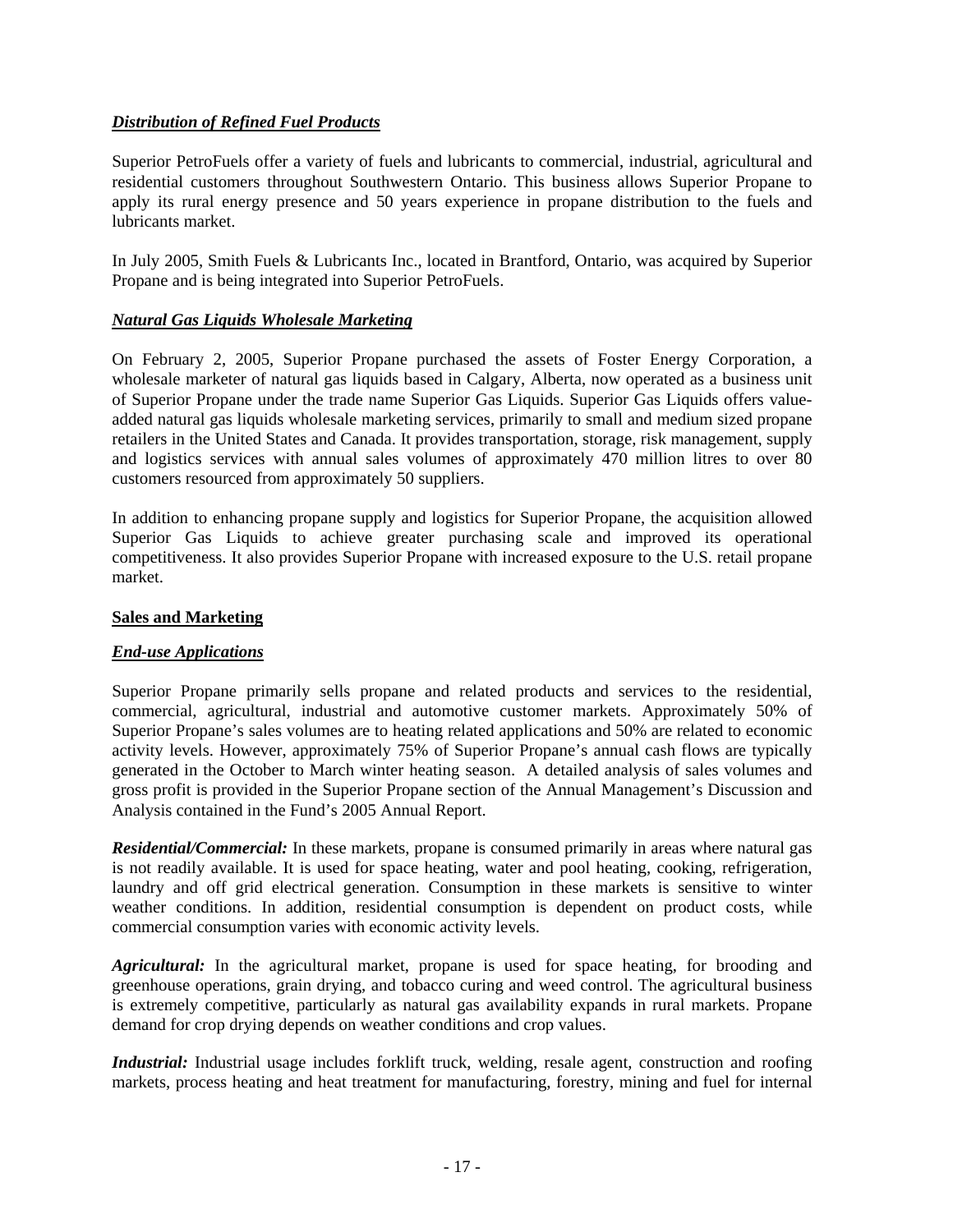# *Distribution of Refined Fuel Products*

Superior PetroFuels offer a variety of fuels and lubricants to commercial, industrial, agricultural and residential customers throughout Southwestern Ontario. This business allows Superior Propane to apply its rural energy presence and 50 years experience in propane distribution to the fuels and lubricants market.

In July 2005, Smith Fuels & Lubricants Inc., located in Brantford, Ontario, was acquired by Superior Propane and is being integrated into Superior PetroFuels.

### *Natural Gas Liquids Wholesale Marketing*

On February 2, 2005, Superior Propane purchased the assets of Foster Energy Corporation, a wholesale marketer of natural gas liquids based in Calgary, Alberta, now operated as a business unit of Superior Propane under the trade name Superior Gas Liquids. Superior Gas Liquids offers valueadded natural gas liquids wholesale marketing services, primarily to small and medium sized propane retailers in the United States and Canada. It provides transportation, storage, risk management, supply and logistics services with annual sales volumes of approximately 470 million litres to over 80 customers resourced from approximately 50 suppliers.

In addition to enhancing propane supply and logistics for Superior Propane, the acquisition allowed Superior Gas Liquids to achieve greater purchasing scale and improved its operational competitiveness. It also provides Superior Propane with increased exposure to the U.S. retail propane market.

### **Sales and Marketing**

### *End-use Applications*

Superior Propane primarily sells propane and related products and services to the residential, commercial, agricultural, industrial and automotive customer markets. Approximately 50% of Superior Propane's sales volumes are to heating related applications and 50% are related to economic activity levels. However, approximately 75% of Superior Propane's annual cash flows are typically generated in the October to March winter heating season. A detailed analysis of sales volumes and gross profit is provided in the Superior Propane section of the Annual Management's Discussion and Analysis contained in the Fund's 2005 Annual Report.

*Residential/Commercial:* In these markets, propane is consumed primarily in areas where natural gas is not readily available. It is used for space heating, water and pool heating, cooking, refrigeration, laundry and off grid electrical generation. Consumption in these markets is sensitive to winter weather conditions. In addition, residential consumption is dependent on product costs, while commercial consumption varies with economic activity levels.

*Agricultural:* In the agricultural market, propane is used for space heating, for brooding and greenhouse operations, grain drying, and tobacco curing and weed control. The agricultural business is extremely competitive, particularly as natural gas availability expands in rural markets. Propane demand for crop drying depends on weather conditions and crop values.

*Industrial:* Industrial usage includes forklift truck, welding, resale agent, construction and roofing markets, process heating and heat treatment for manufacturing, forestry, mining and fuel for internal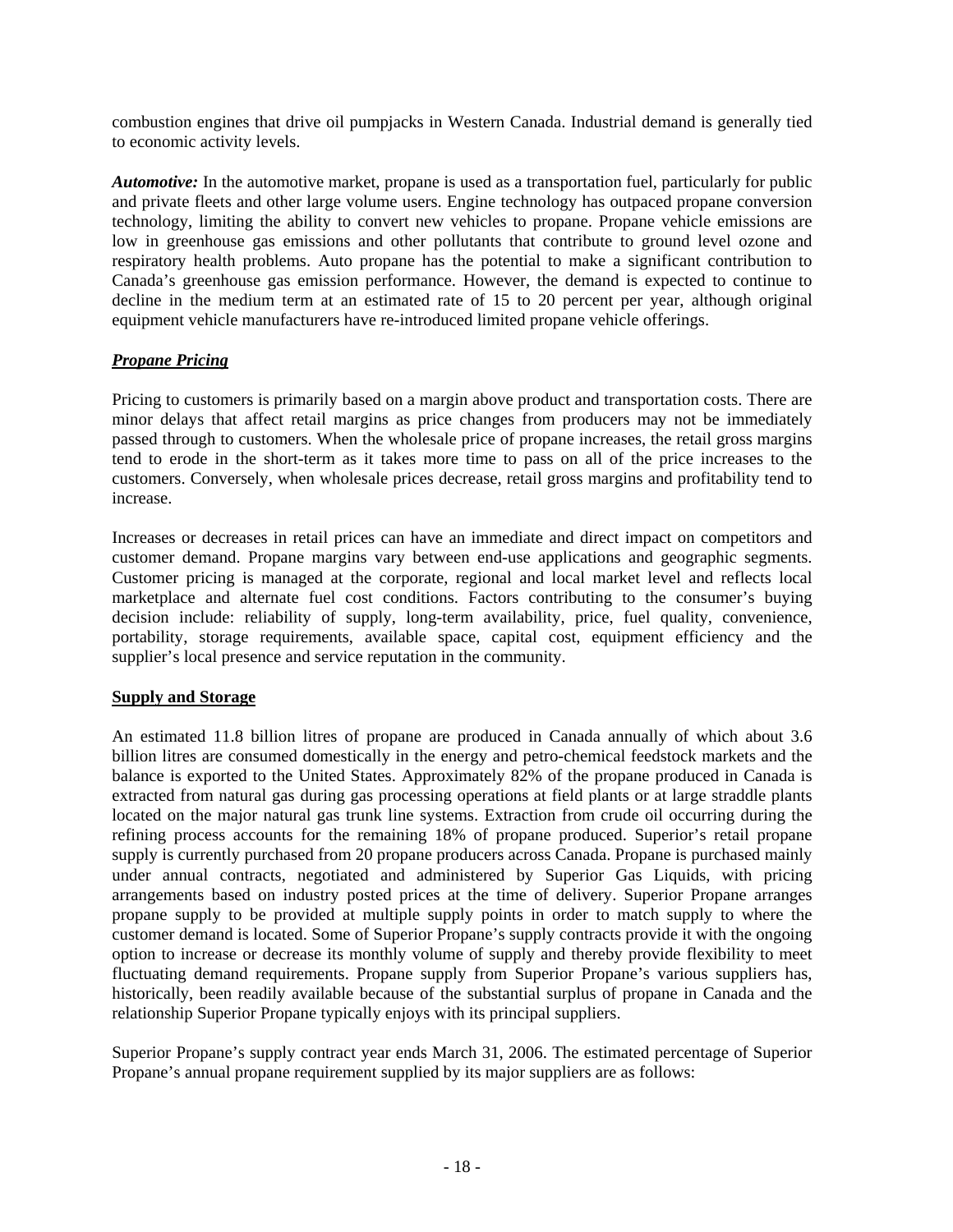combustion engines that drive oil pumpjacks in Western Canada. Industrial demand is generally tied to economic activity levels.

*Automotive:* In the automotive market, propane is used as a transportation fuel, particularly for public and private fleets and other large volume users. Engine technology has outpaced propane conversion technology, limiting the ability to convert new vehicles to propane. Propane vehicle emissions are low in greenhouse gas emissions and other pollutants that contribute to ground level ozone and respiratory health problems. Auto propane has the potential to make a significant contribution to Canada's greenhouse gas emission performance. However, the demand is expected to continue to decline in the medium term at an estimated rate of 15 to 20 percent per year, although original equipment vehicle manufacturers have re-introduced limited propane vehicle offerings.

# *Propane Pricing*

Pricing to customers is primarily based on a margin above product and transportation costs. There are minor delays that affect retail margins as price changes from producers may not be immediately passed through to customers. When the wholesale price of propane increases, the retail gross margins tend to erode in the short-term as it takes more time to pass on all of the price increases to the customers. Conversely, when wholesale prices decrease, retail gross margins and profitability tend to increase.

Increases or decreases in retail prices can have an immediate and direct impact on competitors and customer demand. Propane margins vary between end-use applications and geographic segments. Customer pricing is managed at the corporate, regional and local market level and reflects local marketplace and alternate fuel cost conditions. Factors contributing to the consumer's buying decision include: reliability of supply, long-term availability, price, fuel quality, convenience, portability, storage requirements, available space, capital cost, equipment efficiency and the supplier's local presence and service reputation in the community.

### **Supply and Storage**

An estimated 11.8 billion litres of propane are produced in Canada annually of which about 3.6 billion litres are consumed domestically in the energy and petro-chemical feedstock markets and the balance is exported to the United States. Approximately 82% of the propane produced in Canada is extracted from natural gas during gas processing operations at field plants or at large straddle plants located on the major natural gas trunk line systems. Extraction from crude oil occurring during the refining process accounts for the remaining 18% of propane produced. Superior's retail propane supply is currently purchased from 20 propane producers across Canada. Propane is purchased mainly under annual contracts, negotiated and administered by Superior Gas Liquids, with pricing arrangements based on industry posted prices at the time of delivery. Superior Propane arranges propane supply to be provided at multiple supply points in order to match supply to where the customer demand is located. Some of Superior Propane's supply contracts provide it with the ongoing option to increase or decrease its monthly volume of supply and thereby provide flexibility to meet fluctuating demand requirements. Propane supply from Superior Propane's various suppliers has, historically, been readily available because of the substantial surplus of propane in Canada and the relationship Superior Propane typically enjoys with its principal suppliers.

Superior Propane's supply contract year ends March 31, 2006. The estimated percentage of Superior Propane's annual propane requirement supplied by its major suppliers are as follows: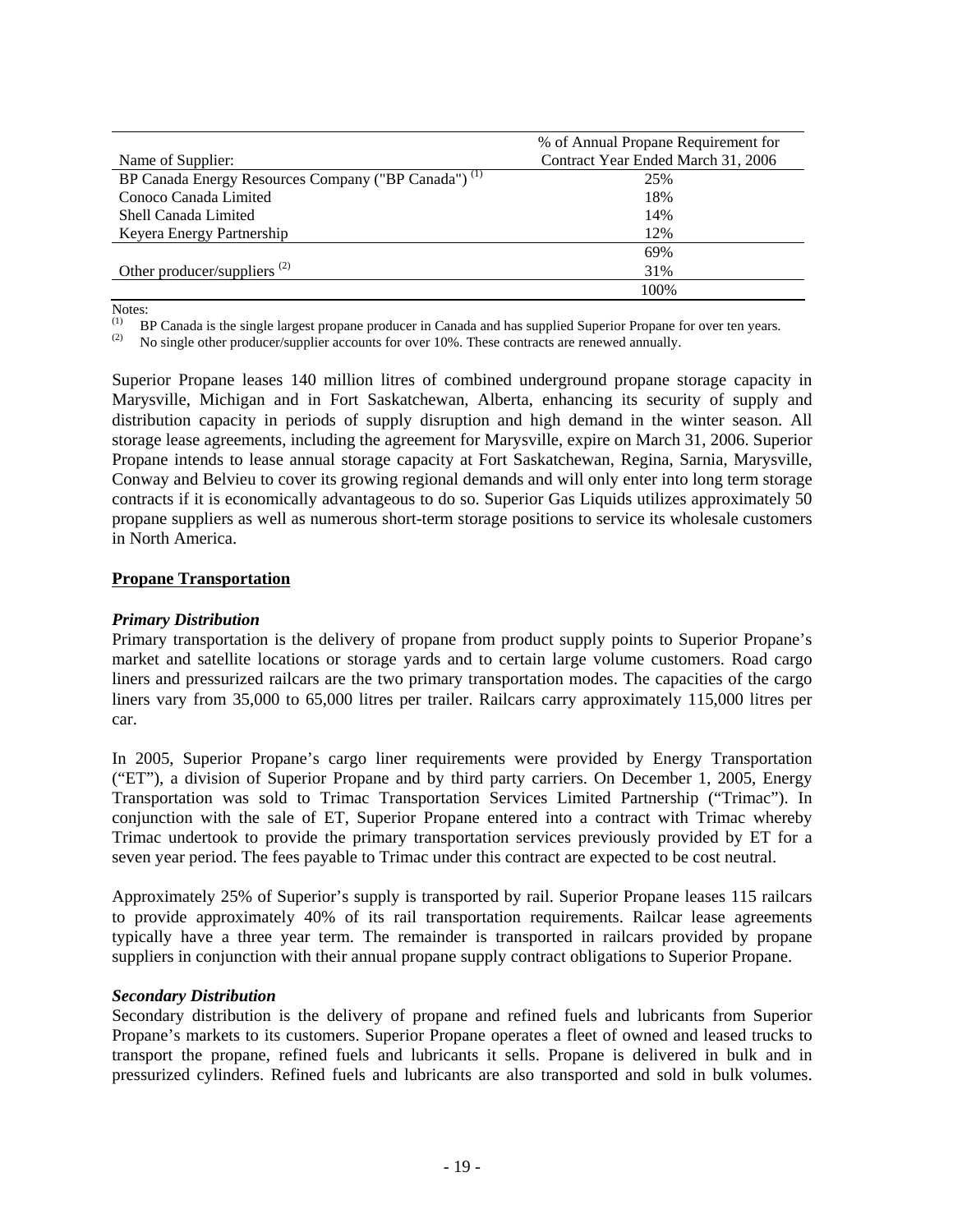|                                                                 | % of Annual Propane Requirement for |
|-----------------------------------------------------------------|-------------------------------------|
| Name of Supplier:                                               | Contract Year Ended March 31, 2006  |
| BP Canada Energy Resources Company ("BP Canada") <sup>(1)</sup> | 25%                                 |
| Conoco Canada Limited                                           | 18%                                 |
| Shell Canada Limited                                            | 14%                                 |
| Keyera Energy Partnership                                       | 12%                                 |
|                                                                 | 69%                                 |
| Other producer/suppliers $(2)$                                  | 31%                                 |
|                                                                 | 100%                                |

Notes:

(1) BP Canada is the single largest propane producer in Canada and has supplied Superior Propane for over ten years.<br>(2) Be single other producer/supplier assessments for over  $10\%$ . These sentencts are reported appuelly

(2) No single other producer/supplier accounts for over 10%. These contracts are renewed annually.

Superior Propane leases 140 million litres of combined underground propane storage capacity in Marysville, Michigan and in Fort Saskatchewan, Alberta, enhancing its security of supply and distribution capacity in periods of supply disruption and high demand in the winter season. All storage lease agreements, including the agreement for Marysville, expire on March 31, 2006. Superior Propane intends to lease annual storage capacity at Fort Saskatchewan, Regina, Sarnia, Marysville, Conway and Belvieu to cover its growing regional demands and will only enter into long term storage contracts if it is economically advantageous to do so. Superior Gas Liquids utilizes approximately 50 propane suppliers as well as numerous short-term storage positions to service its wholesale customers in North America.

#### **Propane Transportation**

#### *Primary Distribution*

Primary transportation is the delivery of propane from product supply points to Superior Propane's market and satellite locations or storage yards and to certain large volume customers. Road cargo liners and pressurized railcars are the two primary transportation modes. The capacities of the cargo liners vary from 35,000 to 65,000 litres per trailer. Railcars carry approximately 115,000 litres per car.

In 2005, Superior Propane's cargo liner requirements were provided by Energy Transportation ("ET"), a division of Superior Propane and by third party carriers. On December 1, 2005, Energy Transportation was sold to Trimac Transportation Services Limited Partnership ("Trimac"). In conjunction with the sale of ET, Superior Propane entered into a contract with Trimac whereby Trimac undertook to provide the primary transportation services previously provided by ET for a seven year period. The fees payable to Trimac under this contract are expected to be cost neutral.

Approximately 25% of Superior's supply is transported by rail. Superior Propane leases 115 railcars to provide approximately 40% of its rail transportation requirements. Railcar lease agreements typically have a three year term. The remainder is transported in railcars provided by propane suppliers in conjunction with their annual propane supply contract obligations to Superior Propane.

#### *Secondary Distribution*

Secondary distribution is the delivery of propane and refined fuels and lubricants from Superior Propane's markets to its customers. Superior Propane operates a fleet of owned and leased trucks to transport the propane, refined fuels and lubricants it sells. Propane is delivered in bulk and in pressurized cylinders. Refined fuels and lubricants are also transported and sold in bulk volumes.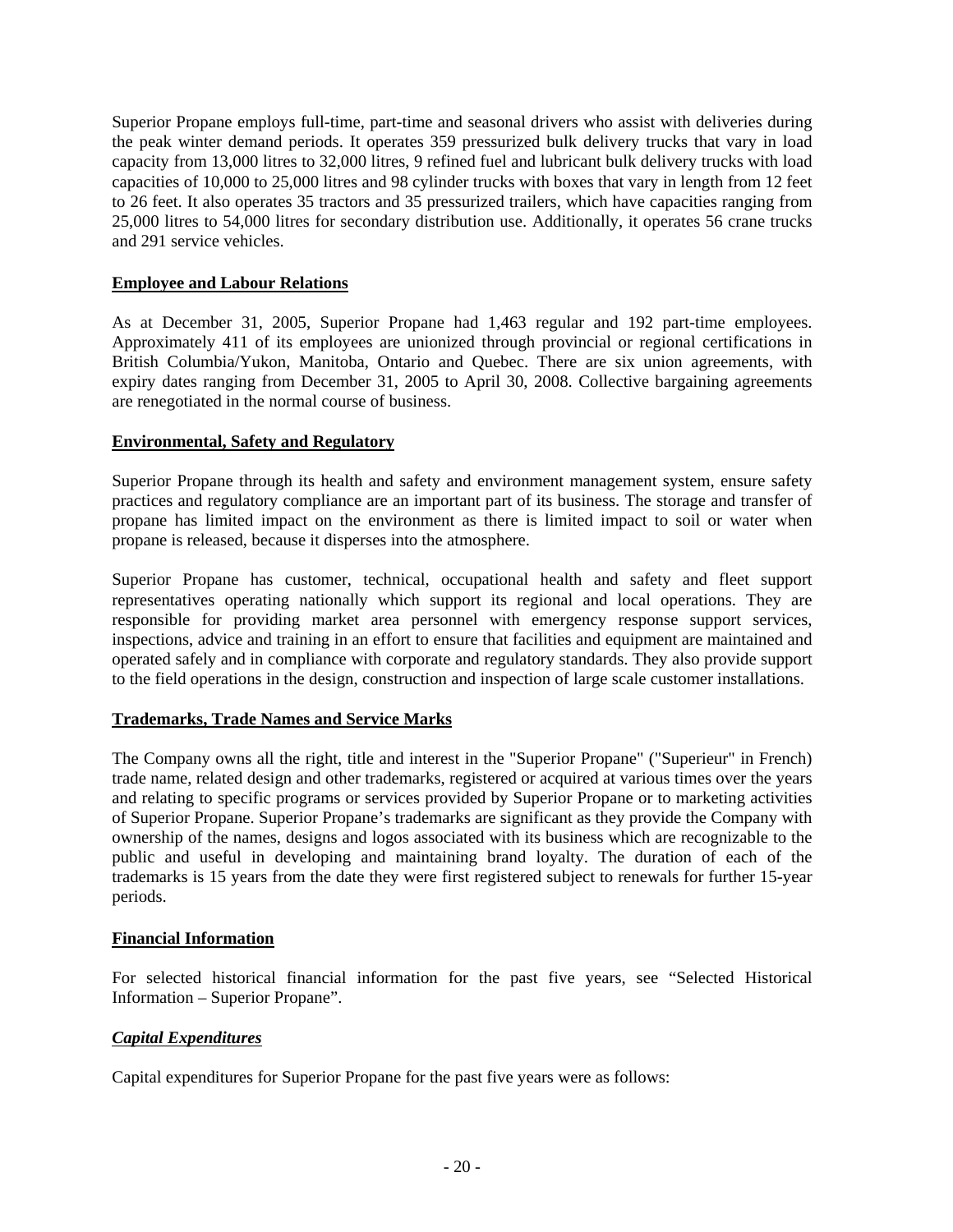Superior Propane employs full-time, part-time and seasonal drivers who assist with deliveries during the peak winter demand periods. It operates 359 pressurized bulk delivery trucks that vary in load capacity from 13,000 litres to 32,000 litres, 9 refined fuel and lubricant bulk delivery trucks with load capacities of 10,000 to 25,000 litres and 98 cylinder trucks with boxes that vary in length from 12 feet to 26 feet. It also operates 35 tractors and 35 pressurized trailers, which have capacities ranging from 25,000 litres to 54,000 litres for secondary distribution use. Additionally, it operates 56 crane trucks and 291 service vehicles.

### **Employee and Labour Relations**

As at December 31, 2005, Superior Propane had 1,463 regular and 192 part-time employees. Approximately 411 of its employees are unionized through provincial or regional certifications in British Columbia/Yukon, Manitoba, Ontario and Quebec. There are six union agreements, with expiry dates ranging from December 31, 2005 to April 30, 2008. Collective bargaining agreements are renegotiated in the normal course of business.

### **Environmental, Safety and Regulatory**

Superior Propane through its health and safety and environment management system, ensure safety practices and regulatory compliance are an important part of its business. The storage and transfer of propane has limited impact on the environment as there is limited impact to soil or water when propane is released, because it disperses into the atmosphere.

Superior Propane has customer, technical, occupational health and safety and fleet support representatives operating nationally which support its regional and local operations. They are responsible for providing market area personnel with emergency response support services, inspections, advice and training in an effort to ensure that facilities and equipment are maintained and operated safely and in compliance with corporate and regulatory standards. They also provide support to the field operations in the design, construction and inspection of large scale customer installations.

### **Trademarks, Trade Names and Service Marks**

The Company owns all the right, title and interest in the "Superior Propane" ("Superieur" in French) trade name, related design and other trademarks, registered or acquired at various times over the years and relating to specific programs or services provided by Superior Propane or to marketing activities of Superior Propane. Superior Propane's trademarks are significant as they provide the Company with ownership of the names, designs and logos associated with its business which are recognizable to the public and useful in developing and maintaining brand loyalty. The duration of each of the trademarks is 15 years from the date they were first registered subject to renewals for further 15-year periods.

### **Financial Information**

For selected historical financial information for the past five years, see "Selected Historical Information – Superior Propane".

### *Capital Expenditures*

Capital expenditures for Superior Propane for the past five years were as follows: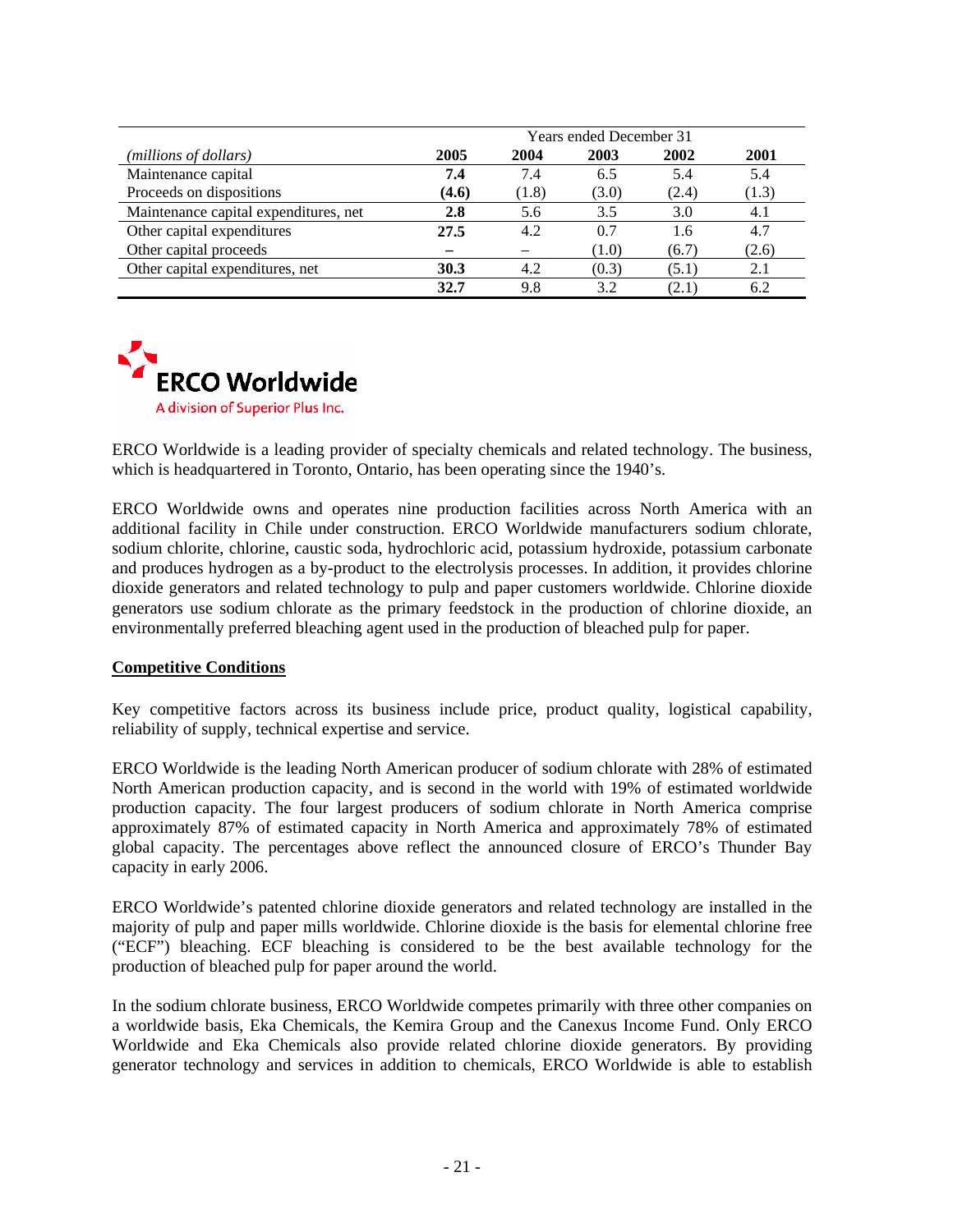|                                       | <b>Years ended December 31</b> |       |       |       |       |
|---------------------------------------|--------------------------------|-------|-------|-------|-------|
| (millions of dollars)                 | 2005                           | 2004  | 2003  | 2002  | 2001  |
| Maintenance capital                   | 7.4                            | 7.4   | 6.5   | 5.4   | 5.4   |
| Proceeds on dispositions              | (4.6)                          | (1.8) | (3.0) | (2.4) | (1.3) |
| Maintenance capital expenditures, net | 2.8                            | 5.6   | 3.5   | 3.0   | 4.1   |
| Other capital expenditures            | 27.5                           | 4.2   | 0.7   | 1.6   | 4.7   |
| Other capital proceeds                |                                |       | (1.0) | (6.7) | (2.6) |
| Other capital expenditures, net       | 30.3                           | 4.2   | (0.3) | (5.1) | 2.1   |
|                                       | 32.7                           | 9.8   | 3.2   | (2.1) | 6.2   |



ERCO Worldwide is a leading provider of specialty chemicals and related technology. The business, which is headquartered in Toronto, Ontario, has been operating since the 1940's.

ERCO Worldwide owns and operates nine production facilities across North America with an additional facility in Chile under construction. ERCO Worldwide manufacturers sodium chlorate, sodium chlorite, chlorine, caustic soda, hydrochloric acid, potassium hydroxide, potassium carbonate and produces hydrogen as a by-product to the electrolysis processes. In addition, it provides chlorine dioxide generators and related technology to pulp and paper customers worldwide. Chlorine dioxide generators use sodium chlorate as the primary feedstock in the production of chlorine dioxide, an environmentally preferred bleaching agent used in the production of bleached pulp for paper.

### **Competitive Conditions**

Key competitive factors across its business include price, product quality, logistical capability, reliability of supply, technical expertise and service.

ERCO Worldwide is the leading North American producer of sodium chlorate with 28% of estimated North American production capacity, and is second in the world with 19% of estimated worldwide production capacity. The four largest producers of sodium chlorate in North America comprise approximately 87% of estimated capacity in North America and approximately 78% of estimated global capacity. The percentages above reflect the announced closure of ERCO's Thunder Bay capacity in early 2006.

ERCO Worldwide's patented chlorine dioxide generators and related technology are installed in the majority of pulp and paper mills worldwide. Chlorine dioxide is the basis for elemental chlorine free ("ECF") bleaching. ECF bleaching is considered to be the best available technology for the production of bleached pulp for paper around the world.

In the sodium chlorate business, ERCO Worldwide competes primarily with three other companies on a worldwide basis, Eka Chemicals, the Kemira Group and the Canexus Income Fund. Only ERCO Worldwide and Eka Chemicals also provide related chlorine dioxide generators. By providing generator technology and services in addition to chemicals, ERCO Worldwide is able to establish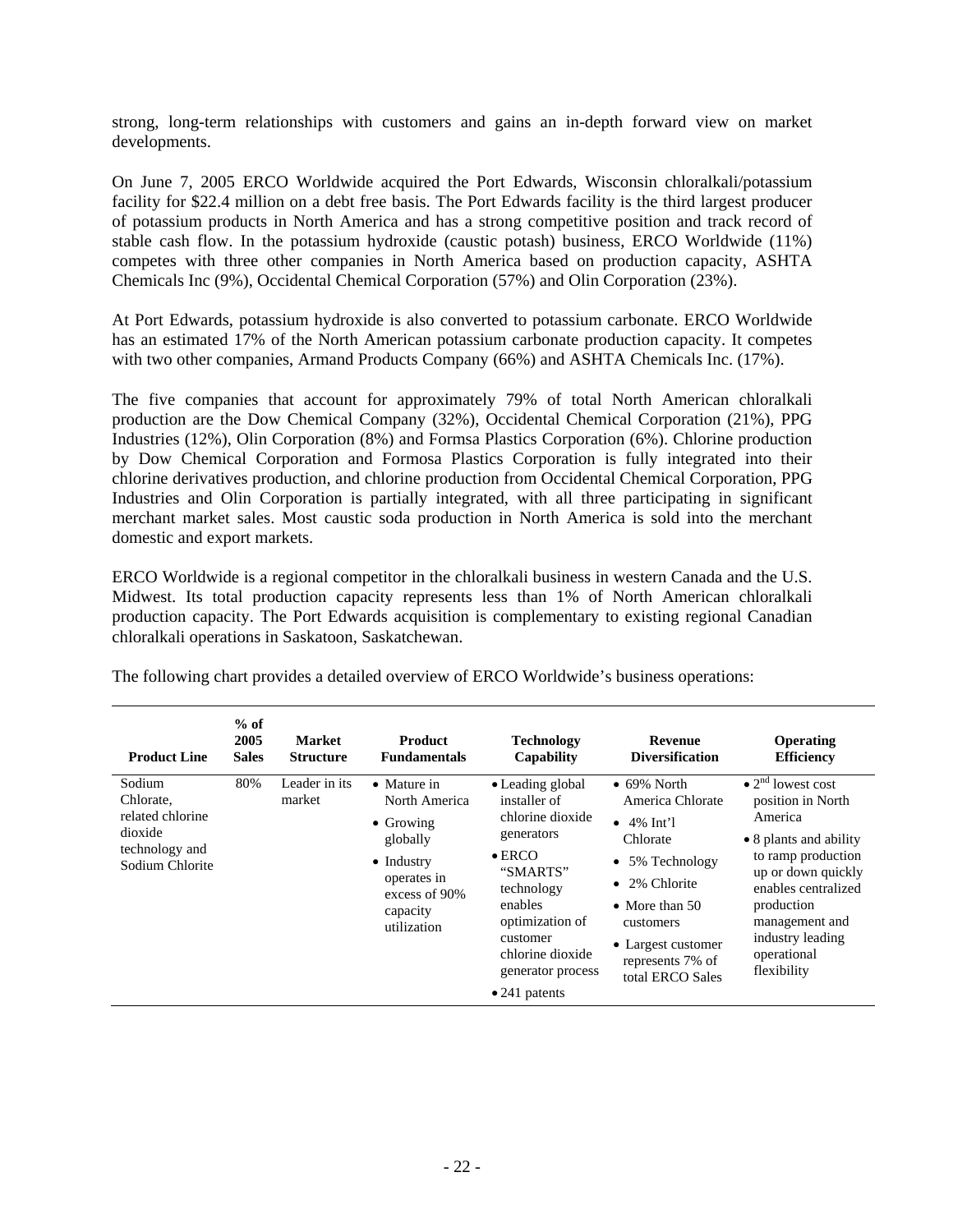strong, long-term relationships with customers and gains an in-depth forward view on market developments.

On June 7, 2005 ERCO Worldwide acquired the Port Edwards, Wisconsin chloralkali/potassium facility for \$22.4 million on a debt free basis. The Port Edwards facility is the third largest producer of potassium products in North America and has a strong competitive position and track record of stable cash flow. In the potassium hydroxide (caustic potash) business, ERCO Worldwide (11%) competes with three other companies in North America based on production capacity, ASHTA Chemicals Inc (9%), Occidental Chemical Corporation (57%) and Olin Corporation (23%).

At Port Edwards, potassium hydroxide is also converted to potassium carbonate. ERCO Worldwide has an estimated 17% of the North American potassium carbonate production capacity. It competes with two other companies, Armand Products Company (66%) and ASHTA Chemicals Inc. (17%).

The five companies that account for approximately 79% of total North American chloralkali production are the Dow Chemical Company (32%), Occidental Chemical Corporation (21%), PPG Industries (12%), Olin Corporation (8%) and Formsa Plastics Corporation (6%). Chlorine production by Dow Chemical Corporation and Formosa Plastics Corporation is fully integrated into their chlorine derivatives production, and chlorine production from Occidental Chemical Corporation, PPG Industries and Olin Corporation is partially integrated, with all three participating in significant merchant market sales. Most caustic soda production in North America is sold into the merchant domestic and export markets.

ERCO Worldwide is a regional competitor in the chloralkali business in western Canada and the U.S. Midwest. Its total production capacity represents less than 1% of North American chloralkali production capacity. The Port Edwards acquisition is complementary to existing regional Canadian chloralkali operations in Saskatoon, Saskatchewan.

| <b>Product Line</b>                                                                     | $%$ of<br>2005<br><b>Sales</b> | <b>Market</b><br><b>Structure</b> | <b>Product</b><br><b>Fundamentals</b>                                                                                                                  | <b>Technology</b><br>Capability                                                                                                                                                                                            | <b>Revenue</b><br><b>Diversification</b>                                                                                                                                                                     | Operating<br><b>Efficiency</b>                                                                                                                                                                                                                       |
|-----------------------------------------------------------------------------------------|--------------------------------|-----------------------------------|--------------------------------------------------------------------------------------------------------------------------------------------------------|----------------------------------------------------------------------------------------------------------------------------------------------------------------------------------------------------------------------------|--------------------------------------------------------------------------------------------------------------------------------------------------------------------------------------------------------------|------------------------------------------------------------------------------------------------------------------------------------------------------------------------------------------------------------------------------------------------------|
| Sodium<br>Chlorate,<br>related chlorine<br>dioxide<br>technology and<br>Sodium Chlorite | 80%                            | Leader in its<br>market           | $\bullet$ Mature in<br>North America<br>$\bullet$ Growing<br>globally<br>$\bullet$ Industry<br>operates in<br>excess of 90%<br>capacity<br>utilization | • Leading global<br>installer of<br>chlorine dioxide<br>generators<br>$\bullet$ ERCO<br>"SMARTS"<br>technology<br>enables<br>optimization of<br>customer<br>chlorine dioxide<br>generator process<br>$\bullet$ 241 patents | $\bullet$ 69% North<br>America Chlorate<br>$\bullet$ 4% Int'l<br>Chlorate<br>• 5% Technology<br>• 2% Chlorite<br>• More than $50$<br>customers<br>• Largest customer<br>represents 7% of<br>total ERCO Sales | $\bullet$ 2 <sup>nd</sup> lowest cost<br>position in North<br>America<br>• 8 plants and ability<br>to ramp production<br>up or down quickly<br>enables centralized<br>production<br>management and<br>industry leading<br>operational<br>flexibility |

The following chart provides a detailed overview of ERCO Worldwide's business operations: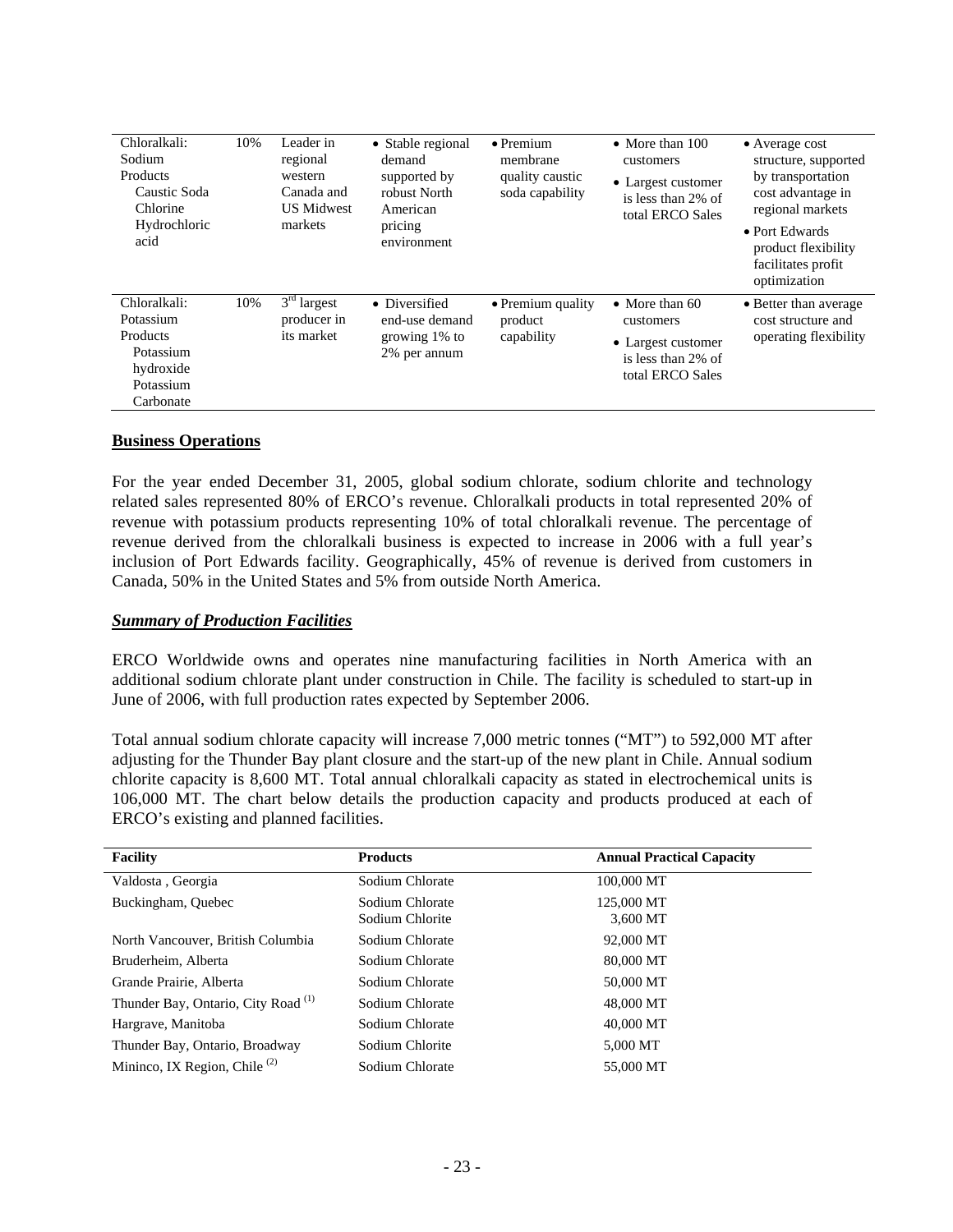| Chloralkali:<br>Sodium<br>Products<br>Caustic Soda<br>Chlorine<br>Hydrochloric<br>acid    | 10% | Leader in<br>regional<br>western<br>Canada and<br><b>US Midwest</b><br>markets | • Stable regional<br>demand<br>supported by<br>robust North<br>American<br>pricing<br>environment | $\bullet$ Premium<br>membrane<br>quality caustic<br>soda capability | $\bullet$ More than 100<br>customers<br>• Largest customer<br>is less than 2% of<br>total ERCO Sales | $\bullet$ Average cost<br>structure, supported<br>by transportation<br>cost advantage in<br>regional markets<br>• Port Edwards<br>product flexibility<br>facilitates profit<br>optimization |
|-------------------------------------------------------------------------------------------|-----|--------------------------------------------------------------------------------|---------------------------------------------------------------------------------------------------|---------------------------------------------------------------------|------------------------------------------------------------------------------------------------------|---------------------------------------------------------------------------------------------------------------------------------------------------------------------------------------------|
| Chloralkali:<br>Potassium<br>Products<br>Potassium<br>hydroxide<br>Potassium<br>Carbonate | 10% | $3rd$ largest<br>producer in<br>its market                                     | • Diversified<br>end-use demand<br>growing 1% to<br>2% per annum                                  | • Premium quality<br>product<br>capability                          | • More than $60$<br>customers<br>• Largest customer<br>is less than 2% of<br>total ERCO Sales        | • Better than average<br>cost structure and<br>operating flexibility                                                                                                                        |

### **Business Operations**

For the year ended December 31, 2005, global sodium chlorate, sodium chlorite and technology related sales represented 80% of ERCO's revenue. Chloralkali products in total represented 20% of revenue with potassium products representing 10% of total chloralkali revenue. The percentage of revenue derived from the chloralkali business is expected to increase in 2006 with a full year's inclusion of Port Edwards facility. Geographically, 45% of revenue is derived from customers in Canada, 50% in the United States and 5% from outside North America.

#### *Summary of Production Facilities*

ERCO Worldwide owns and operates nine manufacturing facilities in North America with an additional sodium chlorate plant under construction in Chile. The facility is scheduled to start-up in June of 2006, with full production rates expected by September 2006.

Total annual sodium chlorate capacity will increase 7,000 metric tonnes ("MT") to 592,000 MT after adjusting for the Thunder Bay plant closure and the start-up of the new plant in Chile. Annual sodium chlorite capacity is 8,600 MT. Total annual chloralkali capacity as stated in electrochemical units is 106,000 MT. The chart below details the production capacity and products produced at each of ERCO's existing and planned facilities.

| <b>Facility</b>                                       | <b>Products</b>                    | <b>Annual Practical Capacity</b> |
|-------------------------------------------------------|------------------------------------|----------------------------------|
| Valdosta, Georgia                                     | Sodium Chlorate                    | 100,000 MT                       |
| Buckingham, Ouebec                                    | Sodium Chlorate<br>Sodium Chlorite | 125,000 MT<br>3.600 MT           |
| North Vancouver, British Columbia                     | Sodium Chlorate                    | 92,000 MT                        |
| Bruderheim, Alberta                                   | Sodium Chlorate                    | 80,000 MT                        |
| Grande Prairie, Alberta                               | Sodium Chlorate                    | 50,000 MT                        |
| Thunder Bay, Ontario, City Road <sup>(1)</sup>        | Sodium Chlorate                    | 48,000 MT                        |
| Hargrave, Manitoba                                    | Sodium Chlorate                    | 40,000 MT                        |
| Thunder Bay, Ontario, Broadway                        | Sodium Chlorite                    | 5,000 MT                         |
| Mininco, IX Region, Chile <sup><math>(2)</math></sup> | Sodium Chlorate                    | 55,000 MT                        |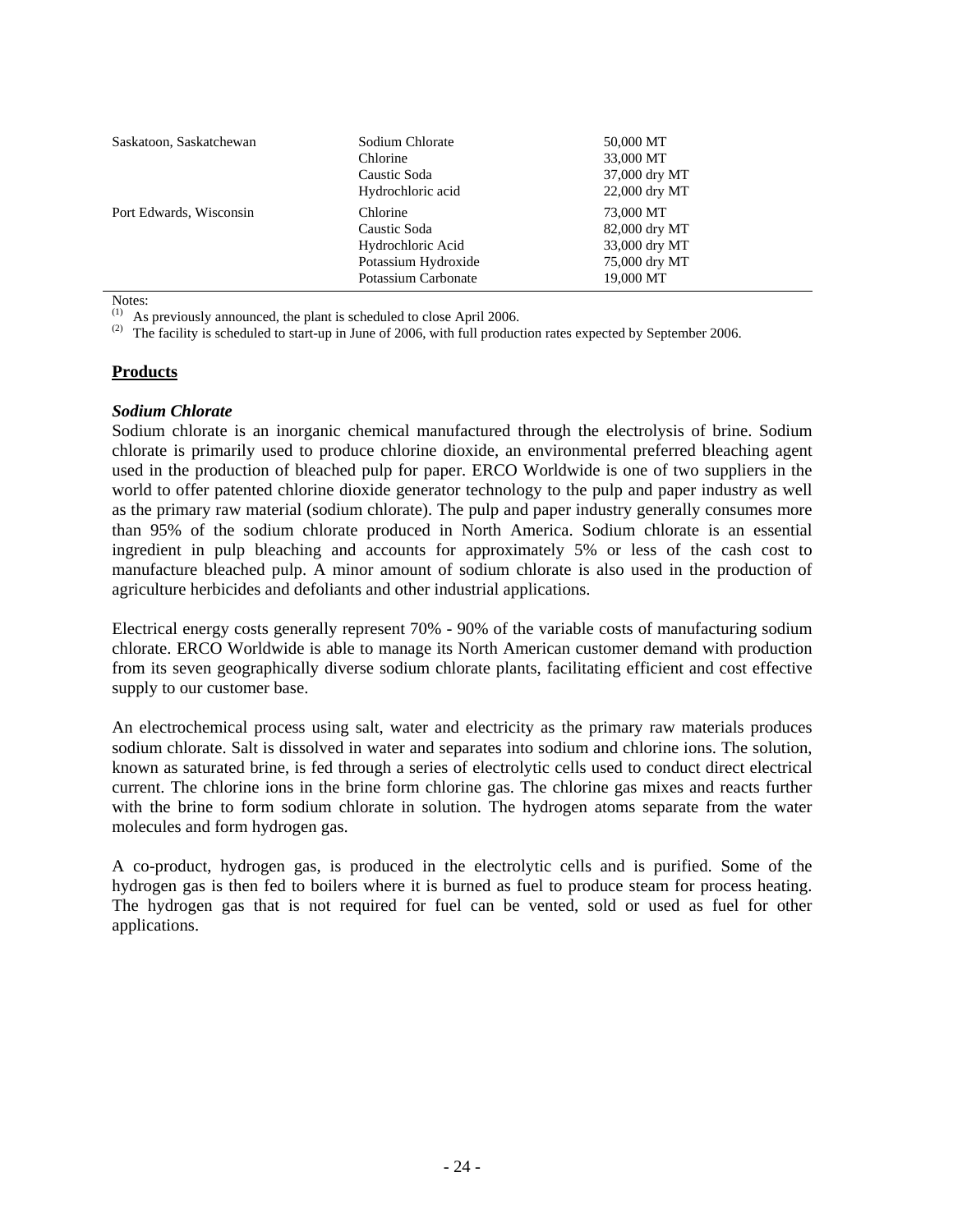| Saskatoon, Saskatchewan | Sodium Chlorate<br>Chlorine<br>Caustic Soda<br>Hydrochloric acid                            | 50,000 MT<br>33,000 MT<br>37,000 dry MT<br>22,000 dry MT                  |
|-------------------------|---------------------------------------------------------------------------------------------|---------------------------------------------------------------------------|
| Port Edwards, Wisconsin | Chlorine<br>Caustic Soda<br>Hydrochloric Acid<br>Potassium Hydroxide<br>Potassium Carbonate | 73,000 MT<br>82,000 dry MT<br>33,000 dry MT<br>75,000 dry MT<br>19,000 MT |

Notes:

 $(1)$  As previously announced, the plant is scheduled to close April 2006.

<sup>(2)</sup> The facility is scheduled to start-up in June of 2006, with full production rates expected by September 2006.

### **Products**

#### *Sodium Chlorate*

Sodium chlorate is an inorganic chemical manufactured through the electrolysis of brine. Sodium chlorate is primarily used to produce chlorine dioxide, an environmental preferred bleaching agent used in the production of bleached pulp for paper. ERCO Worldwide is one of two suppliers in the world to offer patented chlorine dioxide generator technology to the pulp and paper industry as well as the primary raw material (sodium chlorate). The pulp and paper industry generally consumes more than 95% of the sodium chlorate produced in North America. Sodium chlorate is an essential ingredient in pulp bleaching and accounts for approximately 5% or less of the cash cost to manufacture bleached pulp. A minor amount of sodium chlorate is also used in the production of agriculture herbicides and defoliants and other industrial applications.

Electrical energy costs generally represent 70% - 90% of the variable costs of manufacturing sodium chlorate. ERCO Worldwide is able to manage its North American customer demand with production from its seven geographically diverse sodium chlorate plants, facilitating efficient and cost effective supply to our customer base.

An electrochemical process using salt, water and electricity as the primary raw materials produces sodium chlorate. Salt is dissolved in water and separates into sodium and chlorine ions. The solution, known as saturated brine, is fed through a series of electrolytic cells used to conduct direct electrical current. The chlorine ions in the brine form chlorine gas. The chlorine gas mixes and reacts further with the brine to form sodium chlorate in solution. The hydrogen atoms separate from the water molecules and form hydrogen gas.

A co-product, hydrogen gas, is produced in the electrolytic cells and is purified. Some of the hydrogen gas is then fed to boilers where it is burned as fuel to produce steam for process heating. The hydrogen gas that is not required for fuel can be vented, sold or used as fuel for other applications.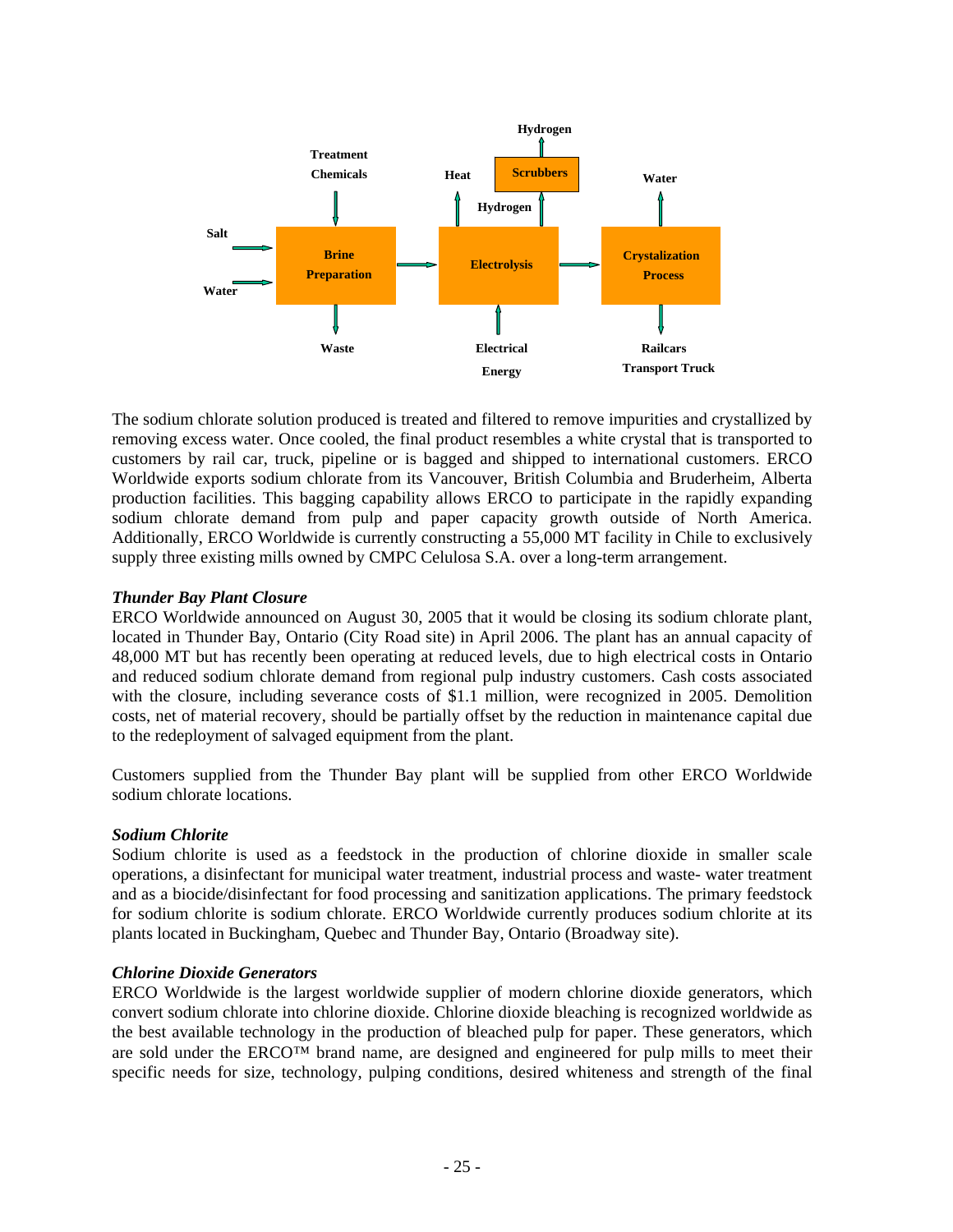

The sodium chlorate solution produced is treated and filtered to remove impurities and crystallized by removing excess water. Once cooled, the final product resembles a white crystal that is transported to customers by rail car, truck, pipeline or is bagged and shipped to international customers. ERCO Worldwide exports sodium chlorate from its Vancouver, British Columbia and Bruderheim, Alberta production facilities. This bagging capability allows ERCO to participate in the rapidly expanding sodium chlorate demand from pulp and paper capacity growth outside of North America. Additionally, ERCO Worldwide is currently constructing a 55,000 MT facility in Chile to exclusively supply three existing mills owned by CMPC Celulosa S.A. over a long-term arrangement.

### *Thunder Bay Plant Closure*

ERCO Worldwide announced on August 30, 2005 that it would be closing its sodium chlorate plant, located in Thunder Bay, Ontario (City Road site) in April 2006. The plant has an annual capacity of 48,000 MT but has recently been operating at reduced levels, due to high electrical costs in Ontario and reduced sodium chlorate demand from regional pulp industry customers. Cash costs associated with the closure, including severance costs of \$1.1 million, were recognized in 2005. Demolition costs, net of material recovery, should be partially offset by the reduction in maintenance capital due to the redeployment of salvaged equipment from the plant.

Customers supplied from the Thunder Bay plant will be supplied from other ERCO Worldwide sodium chlorate locations.

### *Sodium Chlorite*

Sodium chlorite is used as a feedstock in the production of chlorine dioxide in smaller scale operations, a disinfectant for municipal water treatment, industrial process and waste- water treatment and as a biocide/disinfectant for food processing and sanitization applications. The primary feedstock for sodium chlorite is sodium chlorate. ERCO Worldwide currently produces sodium chlorite at its plants located in Buckingham, Quebec and Thunder Bay, Ontario (Broadway site).

### *Chlorine Dioxide Generators*

ERCO Worldwide is the largest worldwide supplier of modern chlorine dioxide generators, which convert sodium chlorate into chlorine dioxide. Chlorine dioxide bleaching is recognized worldwide as the best available technology in the production of bleached pulp for paper. These generators, which are sold under the ERCO™ brand name, are designed and engineered for pulp mills to meet their specific needs for size, technology, pulping conditions, desired whiteness and strength of the final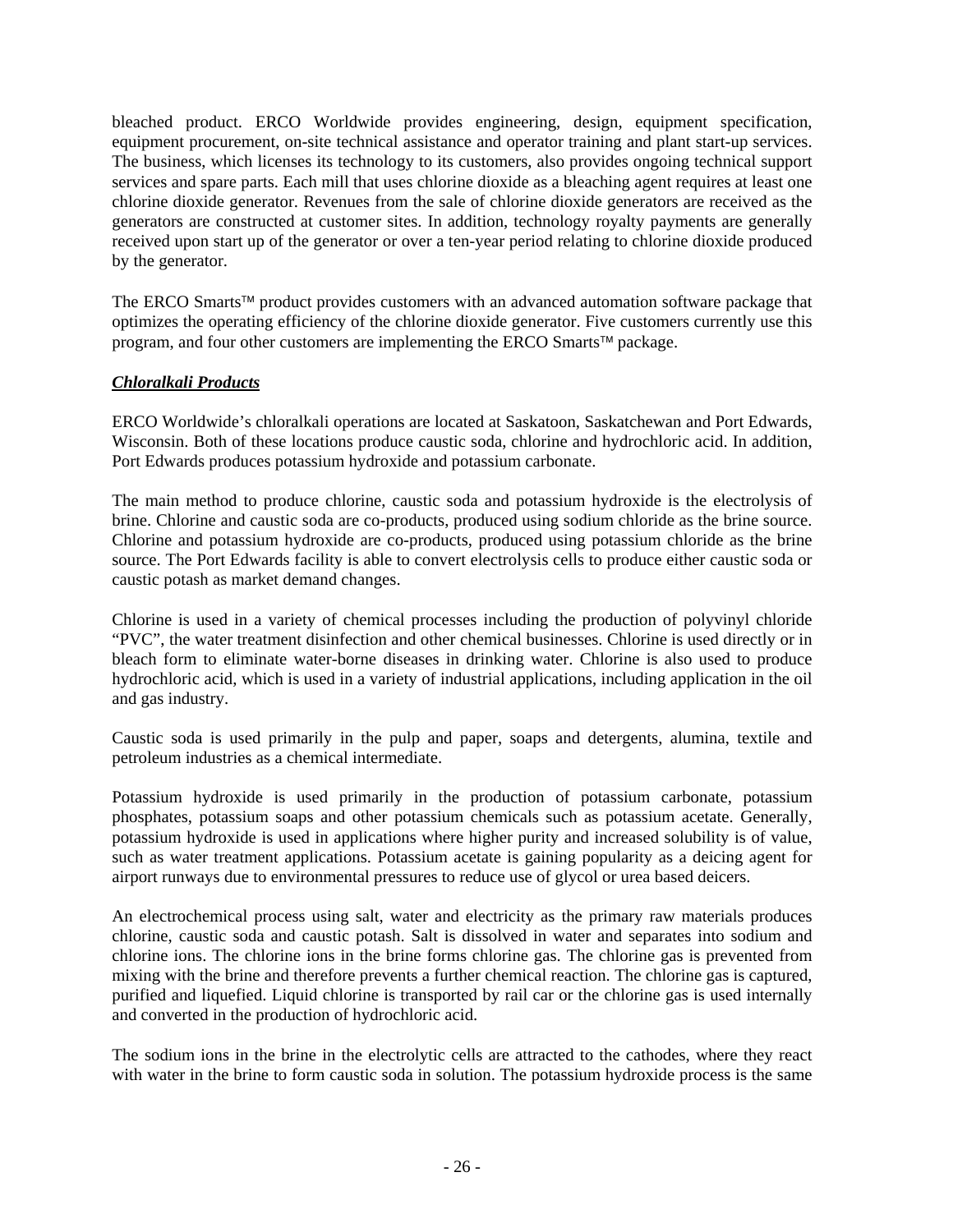bleached product. ERCO Worldwide provides engineering, design, equipment specification, equipment procurement, on-site technical assistance and operator training and plant start-up services. The business, which licenses its technology to its customers, also provides ongoing technical support services and spare parts. Each mill that uses chlorine dioxide as a bleaching agent requires at least one chlorine dioxide generator. Revenues from the sale of chlorine dioxide generators are received as the generators are constructed at customer sites. In addition, technology royalty payments are generally received upon start up of the generator or over a ten-year period relating to chlorine dioxide produced by the generator.

The ERCO Smarts™ product provides customers with an advanced automation software package that optimizes the operating efficiency of the chlorine dioxide generator. Five customers currently use this program, and four other customers are implementing the ERCO Smarts™ package.

## *Chloralkali Products*

ERCO Worldwide's chloralkali operations are located at Saskatoon, Saskatchewan and Port Edwards, Wisconsin. Both of these locations produce caustic soda, chlorine and hydrochloric acid. In addition, Port Edwards produces potassium hydroxide and potassium carbonate.

The main method to produce chlorine, caustic soda and potassium hydroxide is the electrolysis of brine. Chlorine and caustic soda are co-products, produced using sodium chloride as the brine source. Chlorine and potassium hydroxide are co-products, produced using potassium chloride as the brine source. The Port Edwards facility is able to convert electrolysis cells to produce either caustic soda or caustic potash as market demand changes.

Chlorine is used in a variety of chemical processes including the production of polyvinyl chloride "PVC", the water treatment disinfection and other chemical businesses. Chlorine is used directly or in bleach form to eliminate water-borne diseases in drinking water. Chlorine is also used to produce hydrochloric acid, which is used in a variety of industrial applications, including application in the oil and gas industry.

Caustic soda is used primarily in the pulp and paper, soaps and detergents, alumina, textile and petroleum industries as a chemical intermediate.

Potassium hydroxide is used primarily in the production of potassium carbonate, potassium phosphates, potassium soaps and other potassium chemicals such as potassium acetate. Generally, potassium hydroxide is used in applications where higher purity and increased solubility is of value, such as water treatment applications. Potassium acetate is gaining popularity as a deicing agent for airport runways due to environmental pressures to reduce use of glycol or urea based deicers.

An electrochemical process using salt, water and electricity as the primary raw materials produces chlorine, caustic soda and caustic potash. Salt is dissolved in water and separates into sodium and chlorine ions. The chlorine ions in the brine forms chlorine gas. The chlorine gas is prevented from mixing with the brine and therefore prevents a further chemical reaction. The chlorine gas is captured, purified and liquefied. Liquid chlorine is transported by rail car or the chlorine gas is used internally and converted in the production of hydrochloric acid.

The sodium ions in the brine in the electrolytic cells are attracted to the cathodes, where they react with water in the brine to form caustic soda in solution. The potassium hydroxide process is the same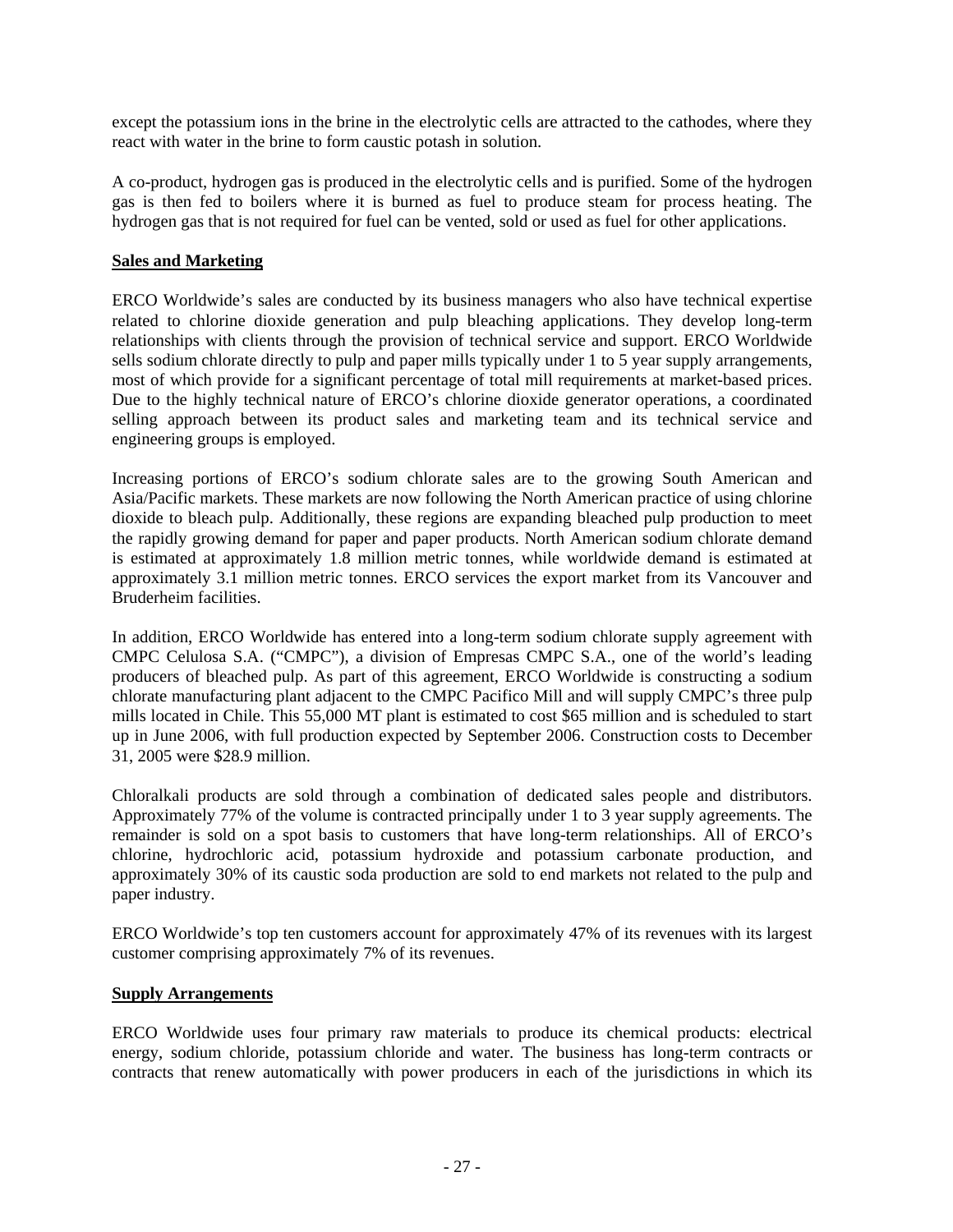except the potassium ions in the brine in the electrolytic cells are attracted to the cathodes, where they react with water in the brine to form caustic potash in solution.

A co-product, hydrogen gas is produced in the electrolytic cells and is purified. Some of the hydrogen gas is then fed to boilers where it is burned as fuel to produce steam for process heating. The hydrogen gas that is not required for fuel can be vented, sold or used as fuel for other applications.

## **Sales and Marketing**

ERCO Worldwide's sales are conducted by its business managers who also have technical expertise related to chlorine dioxide generation and pulp bleaching applications. They develop long-term relationships with clients through the provision of technical service and support. ERCO Worldwide sells sodium chlorate directly to pulp and paper mills typically under 1 to 5 year supply arrangements, most of which provide for a significant percentage of total mill requirements at market-based prices. Due to the highly technical nature of ERCO's chlorine dioxide generator operations, a coordinated selling approach between its product sales and marketing team and its technical service and engineering groups is employed.

Increasing portions of ERCO's sodium chlorate sales are to the growing South American and Asia/Pacific markets. These markets are now following the North American practice of using chlorine dioxide to bleach pulp. Additionally, these regions are expanding bleached pulp production to meet the rapidly growing demand for paper and paper products. North American sodium chlorate demand is estimated at approximately 1.8 million metric tonnes, while worldwide demand is estimated at approximately 3.1 million metric tonnes. ERCO services the export market from its Vancouver and Bruderheim facilities.

In addition, ERCO Worldwide has entered into a long-term sodium chlorate supply agreement with CMPC Celulosa S.A. ("CMPC"), a division of Empresas CMPC S.A., one of the world's leading producers of bleached pulp. As part of this agreement, ERCO Worldwide is constructing a sodium chlorate manufacturing plant adjacent to the CMPC Pacifico Mill and will supply CMPC's three pulp mills located in Chile. This 55,000 MT plant is estimated to cost \$65 million and is scheduled to start up in June 2006, with full production expected by September 2006. Construction costs to December 31, 2005 were \$28.9 million.

Chloralkali products are sold through a combination of dedicated sales people and distributors. Approximately 77% of the volume is contracted principally under 1 to 3 year supply agreements. The remainder is sold on a spot basis to customers that have long-term relationships. All of ERCO's chlorine, hydrochloric acid, potassium hydroxide and potassium carbonate production, and approximately 30% of its caustic soda production are sold to end markets not related to the pulp and paper industry.

ERCO Worldwide's top ten customers account for approximately 47% of its revenues with its largest customer comprising approximately 7% of its revenues.

### **Supply Arrangements**

ERCO Worldwide uses four primary raw materials to produce its chemical products: electrical energy, sodium chloride, potassium chloride and water. The business has long-term contracts or contracts that renew automatically with power producers in each of the jurisdictions in which its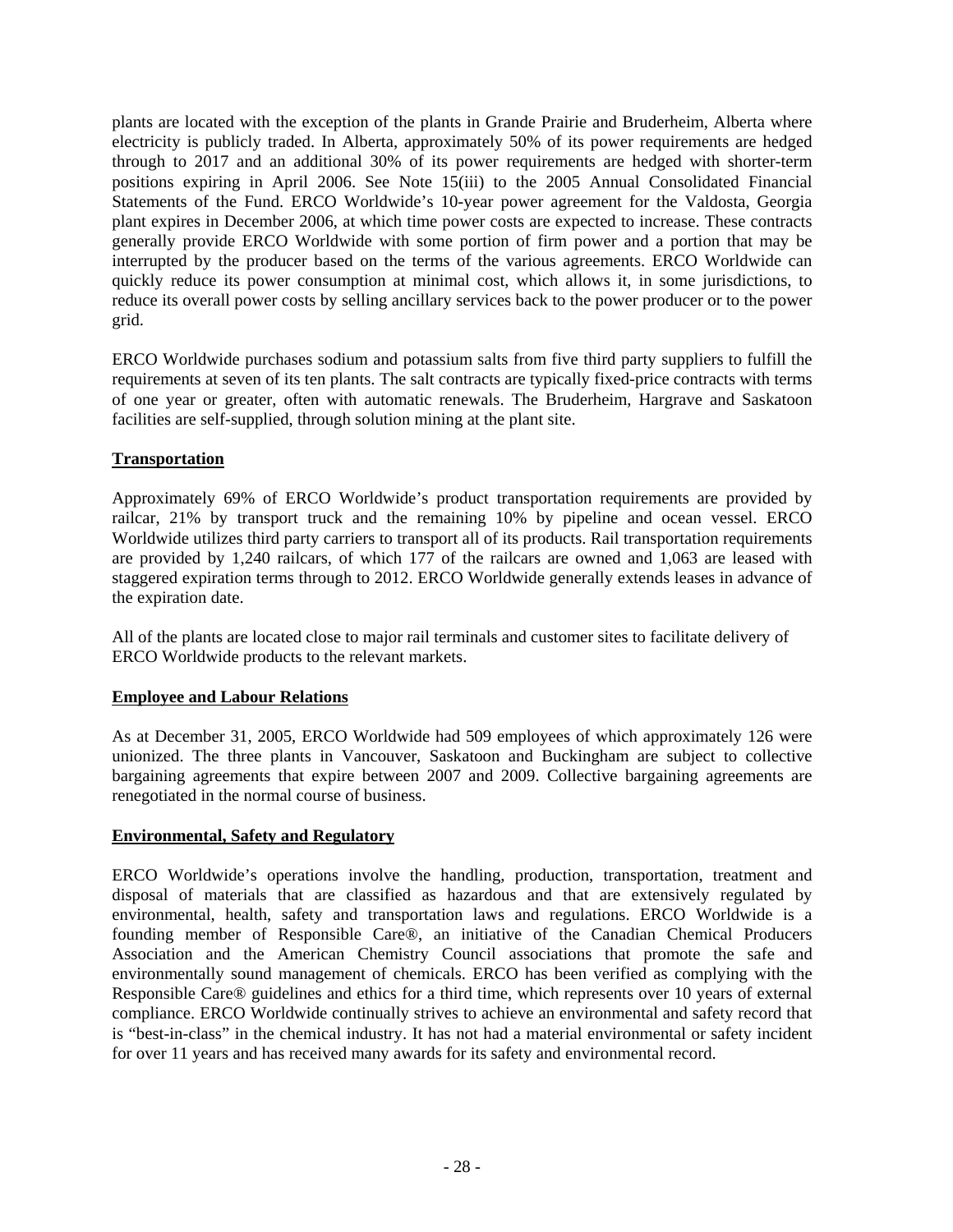plants are located with the exception of the plants in Grande Prairie and Bruderheim, Alberta where electricity is publicly traded. In Alberta, approximately 50% of its power requirements are hedged through to 2017 and an additional 30% of its power requirements are hedged with shorter-term positions expiring in April 2006. See Note 15(iii) to the 2005 Annual Consolidated Financial Statements of the Fund. ERCO Worldwide's 10-year power agreement for the Valdosta, Georgia plant expires in December 2006, at which time power costs are expected to increase. These contracts generally provide ERCO Worldwide with some portion of firm power and a portion that may be interrupted by the producer based on the terms of the various agreements. ERCO Worldwide can quickly reduce its power consumption at minimal cost, which allows it, in some jurisdictions, to reduce its overall power costs by selling ancillary services back to the power producer or to the power grid.

ERCO Worldwide purchases sodium and potassium salts from five third party suppliers to fulfill the requirements at seven of its ten plants. The salt contracts are typically fixed-price contracts with terms of one year or greater, often with automatic renewals. The Bruderheim, Hargrave and Saskatoon facilities are self-supplied, through solution mining at the plant site.

## **Transportation**

Approximately 69% of ERCO Worldwide's product transportation requirements are provided by railcar, 21% by transport truck and the remaining 10% by pipeline and ocean vessel. ERCO Worldwide utilizes third party carriers to transport all of its products. Rail transportation requirements are provided by 1,240 railcars, of which 177 of the railcars are owned and 1,063 are leased with staggered expiration terms through to 2012. ERCO Worldwide generally extends leases in advance of the expiration date.

All of the plants are located close to major rail terminals and customer sites to facilitate delivery of ERCO Worldwide products to the relevant markets.

### **Employee and Labour Relations**

As at December 31, 2005, ERCO Worldwide had 509 employees of which approximately 126 were unionized. The three plants in Vancouver, Saskatoon and Buckingham are subject to collective bargaining agreements that expire between 2007 and 2009. Collective bargaining agreements are renegotiated in the normal course of business.

### **Environmental, Safety and Regulatory**

ERCO Worldwide's operations involve the handling, production, transportation, treatment and disposal of materials that are classified as hazardous and that are extensively regulated by environmental, health, safety and transportation laws and regulations. ERCO Worldwide is a founding member of Responsible Care®, an initiative of the Canadian Chemical Producers Association and the American Chemistry Council associations that promote the safe and environmentally sound management of chemicals. ERCO has been verified as complying with the Responsible Care® guidelines and ethics for a third time, which represents over 10 years of external compliance. ERCO Worldwide continually strives to achieve an environmental and safety record that is "best-in-class" in the chemical industry. It has not had a material environmental or safety incident for over 11 years and has received many awards for its safety and environmental record.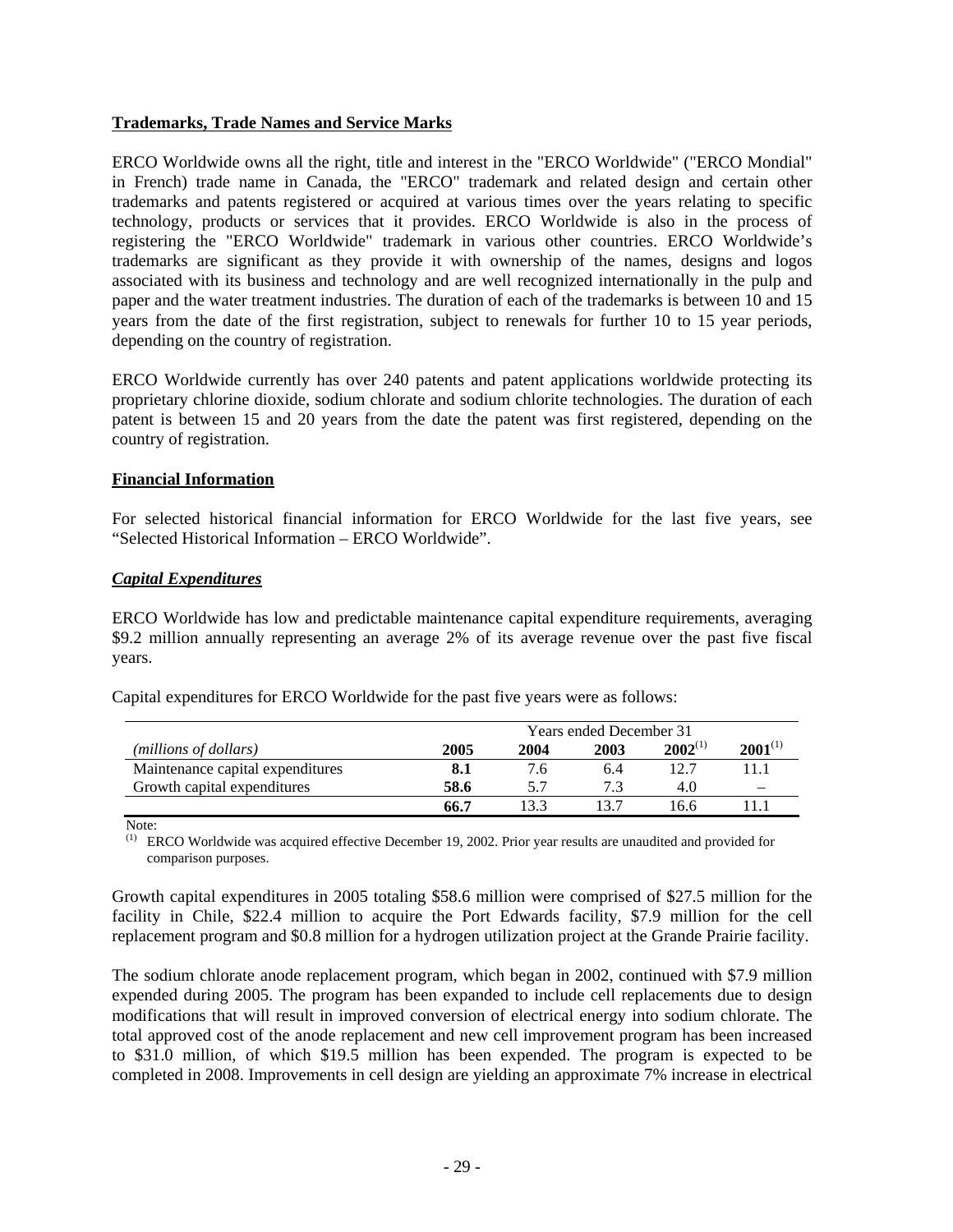### **Trademarks, Trade Names and Service Marks**

ERCO Worldwide owns all the right, title and interest in the "ERCO Worldwide" ("ERCO Mondial" in French) trade name in Canada, the "ERCO" trademark and related design and certain other trademarks and patents registered or acquired at various times over the years relating to specific technology, products or services that it provides. ERCO Worldwide is also in the process of registering the "ERCO Worldwide" trademark in various other countries. ERCO Worldwide's trademarks are significant as they provide it with ownership of the names, designs and logos associated with its business and technology and are well recognized internationally in the pulp and paper and the water treatment industries. The duration of each of the trademarks is between 10 and 15 years from the date of the first registration, subject to renewals for further 10 to 15 year periods, depending on the country of registration.

ERCO Worldwide currently has over 240 patents and patent applications worldwide protecting its proprietary chlorine dioxide, sodium chlorate and sodium chlorite technologies. The duration of each patent is between 15 and 20 years from the date the patent was first registered, depending on the country of registration.

### **Financial Information**

For selected historical financial information for ERCO Worldwide for the last five years, see "Selected Historical Information – ERCO Worldwide".

#### *Capital Expenditures*

ERCO Worldwide has low and predictable maintenance capital expenditure requirements, averaging \$9.2 million annually representing an average 2% of its average revenue over the past five fiscal years.

|                                  | <b>Years ended December 31</b> |      |      |              |                          |
|----------------------------------|--------------------------------|------|------|--------------|--------------------------|
| (millions of dollars)            | 2005                           | 2004 | 2003 | $2002^{(1)}$ | $2001^{(1)}$             |
| Maintenance capital expenditures | 8.1                            | 7.6  | 6.4  | 12.7         | 11.1                     |
| Growth capital expenditures      | 58.6                           | 57   |      | 4.0          | $\overline{\phantom{a}}$ |
|                                  | 66.7                           |      |      | 16.6         |                          |

Capital expenditures for ERCO Worldwide for the past five years were as follows:

Note:

ERCO Worldwide was acquired effective December 19, 2002. Prior year results are unaudited and provided for comparison purposes.

Growth capital expenditures in 2005 totaling \$58.6 million were comprised of \$27.5 million for the facility in Chile, \$22.4 million to acquire the Port Edwards facility, \$7.9 million for the cell replacement program and \$0.8 million for a hydrogen utilization project at the Grande Prairie facility.

The sodium chlorate anode replacement program, which began in 2002, continued with \$7.9 million expended during 2005. The program has been expanded to include cell replacements due to design modifications that will result in improved conversion of electrical energy into sodium chlorate. The total approved cost of the anode replacement and new cell improvement program has been increased to \$31.0 million, of which \$19.5 million has been expended. The program is expected to be completed in 2008. Improvements in cell design are yielding an approximate 7% increase in electrical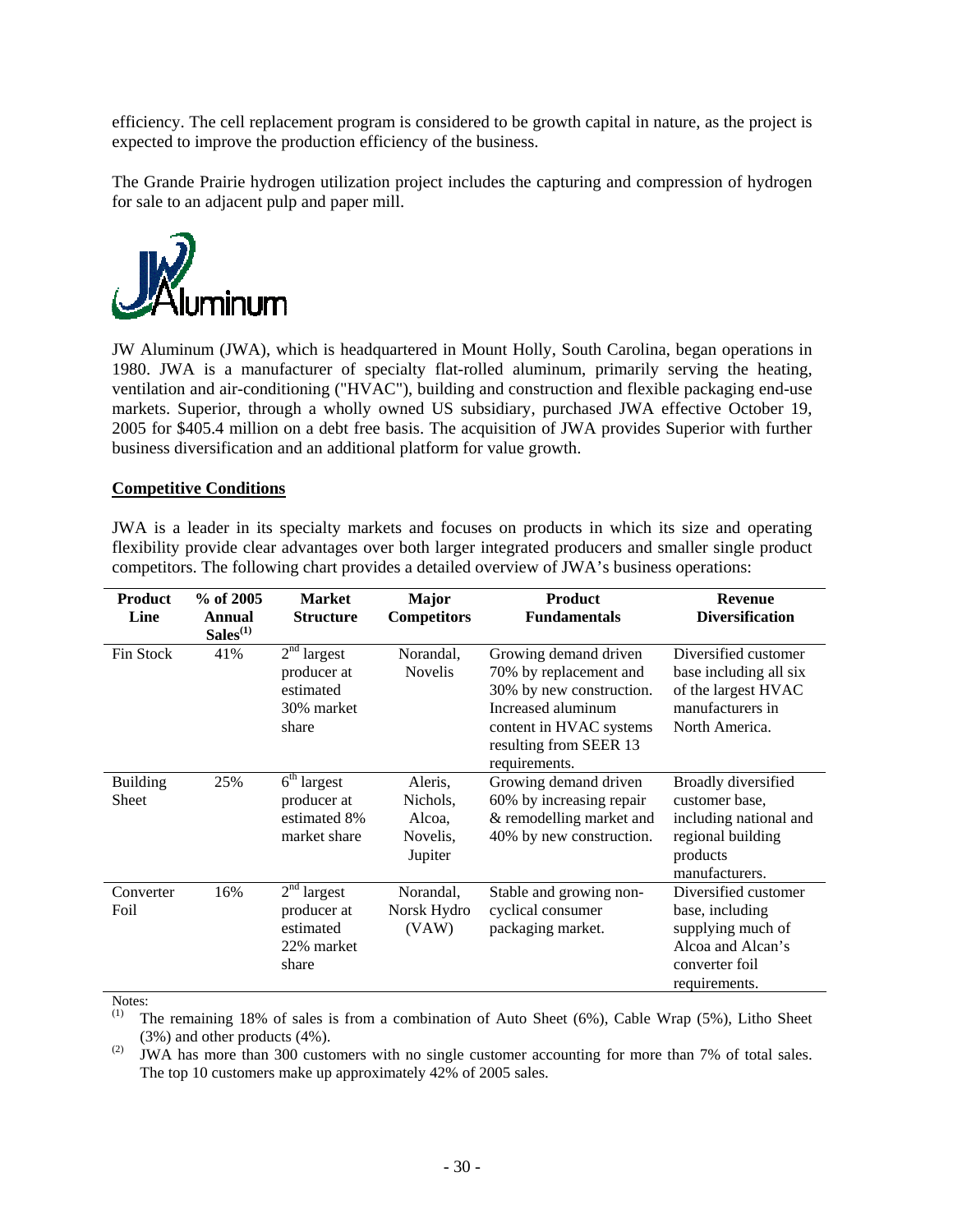efficiency. The cell replacement program is considered to be growth capital in nature, as the project is expected to improve the production efficiency of the business.

The Grande Prairie hydrogen utilization project includes the capturing and compression of hydrogen for sale to an adjacent pulp and paper mill.



JW Aluminum (JWA), which is headquartered in Mount Holly, South Carolina, began operations in 1980. JWA is a manufacturer of specialty flat-rolled aluminum, primarily serving the heating, ventilation and air-conditioning ("HVAC"), building and construction and flexible packaging end-use markets. Superior, through a wholly owned US subsidiary, purchased JWA effective October 19, 2005 for \$405.4 million on a debt free basis. The acquisition of JWA provides Superior with further business diversification and an additional platform for value growth.

### **Competitive Conditions**

JWA is a leader in its specialty markets and focuses on products in which its size and operating flexibility provide clear advantages over both larger integrated producers and smaller single product competitors. The following chart provides a detailed overview of JWA's business operations:

| <b>Product</b><br>Line          | $%$ of 2005<br>Annual<br>$Sales^{(1)}$ | <b>Market</b><br><b>Structure</b>                                | <b>Major</b><br><b>Competitors</b>                   | Product<br><b>Fundamentals</b>                                                                                                                                          | <b>Revenue</b><br><b>Diversification</b>                                                                             |
|---------------------------------|----------------------------------------|------------------------------------------------------------------|------------------------------------------------------|-------------------------------------------------------------------------------------------------------------------------------------------------------------------------|----------------------------------------------------------------------------------------------------------------------|
| Fin Stock                       | 41%                                    | $2nd$ largest<br>producer at<br>estimated<br>30% market<br>share | Norandal,<br><b>Novelis</b>                          | Growing demand driven<br>70% by replacement and<br>30% by new construction.<br>Increased aluminum<br>content in HVAC systems<br>resulting from SEER 13<br>requirements. | Diversified customer<br>base including all six<br>of the largest HVAC<br>manufacturers in<br>North America.          |
| <b>Building</b><br><b>Sheet</b> | 25%                                    | $6th$ largest<br>producer at<br>estimated 8%<br>market share     | Aleris,<br>Nichols,<br>Alcoa,<br>Novelis,<br>Jupiter | Growing demand driven<br>60% by increasing repair<br>& remodelling market and<br>40% by new construction.                                                               | Broadly diversified<br>customer base.<br>including national and<br>regional building<br>products<br>manufacturers.   |
| Converter<br>Foil               | 16%                                    | $2nd$ largest<br>producer at<br>estimated<br>22% market<br>share | Norandal,<br>Norsk Hydro<br>(VAW)                    | Stable and growing non-<br>cyclical consumer<br>packaging market.                                                                                                       | Diversified customer<br>base, including<br>supplying much of<br>Alcoa and Alcan's<br>converter foil<br>requirements. |

Notes:

(1) The remaining 18% of sales is from a combination of Auto Sheet (6%), Cable Wrap (5%), Litho Sheet (3%) and other products (4%).

(2) JWA has more than 300 customers with no single customer accounting for more than 7% of total sales. The top 10 customers make up approximately 42% of 2005 sales.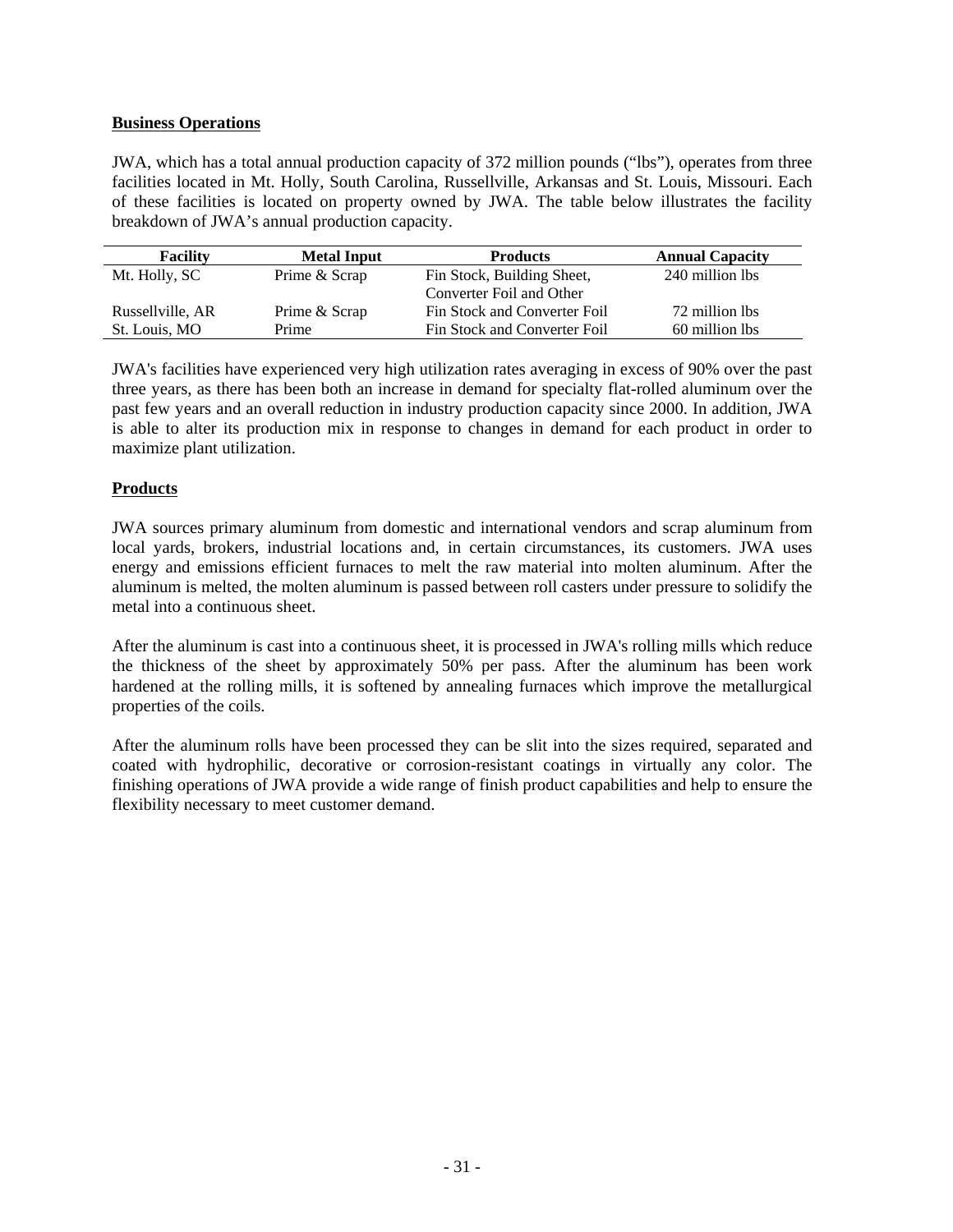### **Business Operations**

JWA, which has a total annual production capacity of 372 million pounds ("lbs"), operates from three facilities located in Mt. Holly, South Carolina, Russellville, Arkansas and St. Louis, Missouri. Each of these facilities is located on property owned by JWA. The table below illustrates the facility breakdown of JWA's annual production capacity.

| <b>Facility</b>  | <b>Metal Input</b> | <b>Products</b>              | <b>Annual Capacity</b> |
|------------------|--------------------|------------------------------|------------------------|
| Mt. Holly, SC    | Prime & Scrap      | Fin Stock, Building Sheet,   | 240 million lbs        |
|                  |                    | Converter Foil and Other     |                        |
| Russellville, AR | Prime & Scrap      | Fin Stock and Converter Foil | 72 million lbs         |
| St. Louis, MO    | Prime              | Fin Stock and Converter Foil | 60 million lbs         |

JWA's facilities have experienced very high utilization rates averaging in excess of 90% over the past three years, as there has been both an increase in demand for specialty flat-rolled aluminum over the past few years and an overall reduction in industry production capacity since 2000. In addition, JWA is able to alter its production mix in response to changes in demand for each product in order to maximize plant utilization.

## **Products**

JWA sources primary aluminum from domestic and international vendors and scrap aluminum from local yards, brokers, industrial locations and, in certain circumstances, its customers. JWA uses energy and emissions efficient furnaces to melt the raw material into molten aluminum. After the aluminum is melted, the molten aluminum is passed between roll casters under pressure to solidify the metal into a continuous sheet.

After the aluminum is cast into a continuous sheet, it is processed in JWA's rolling mills which reduce the thickness of the sheet by approximately 50% per pass. After the aluminum has been work hardened at the rolling mills, it is softened by annealing furnaces which improve the metallurgical properties of the coils.

After the aluminum rolls have been processed they can be slit into the sizes required, separated and coated with hydrophilic, decorative or corrosion-resistant coatings in virtually any color. The finishing operations of JWA provide a wide range of finish product capabilities and help to ensure the flexibility necessary to meet customer demand.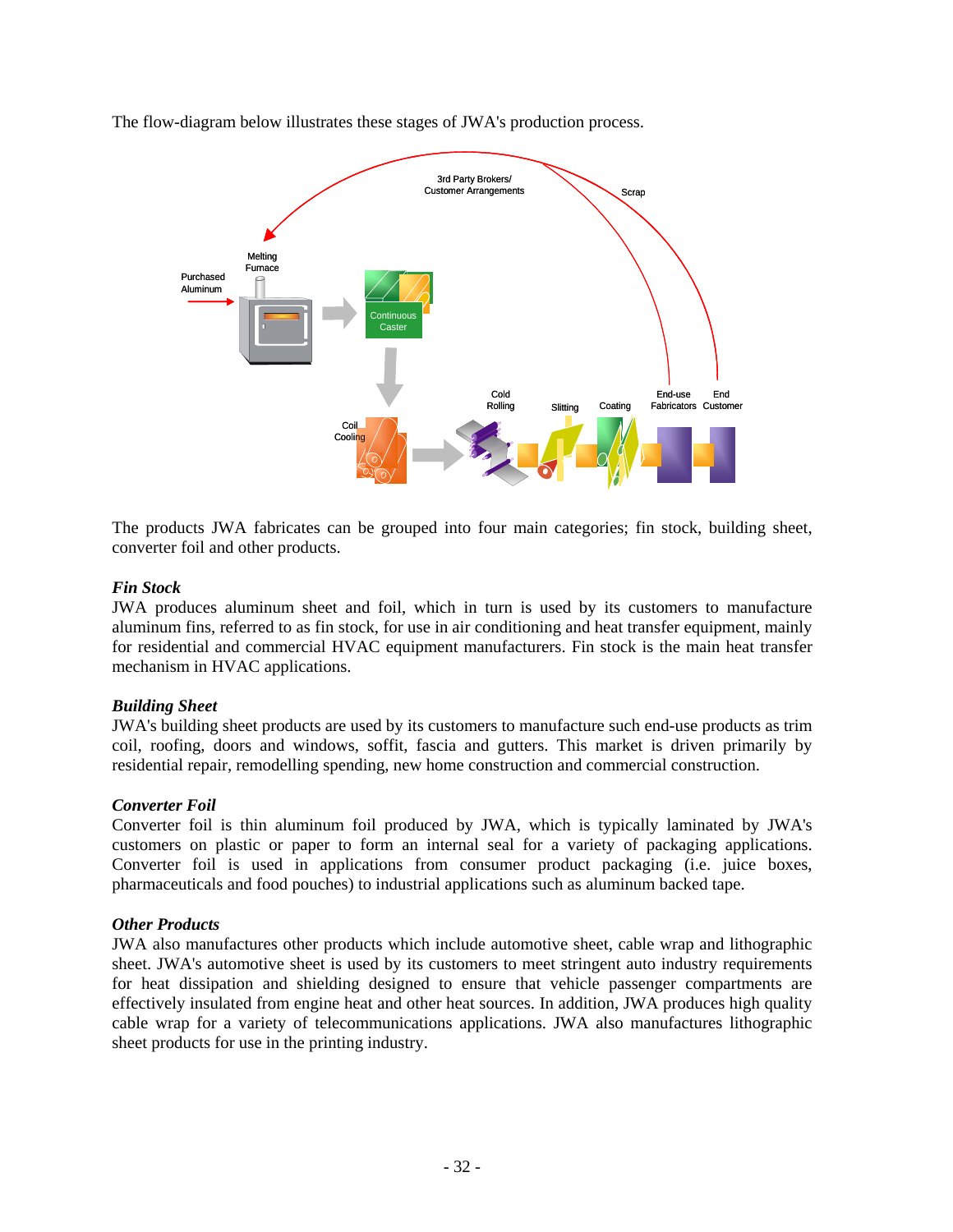The flow-diagram below illustrates these stages of JWA's production process.



The products JWA fabricates can be grouped into four main categories; fin stock, building sheet, converter foil and other products.

### *Fin Stock*

JWA produces aluminum sheet and foil, which in turn is used by its customers to manufacture aluminum fins, referred to as fin stock, for use in air conditioning and heat transfer equipment, mainly for residential and commercial HVAC equipment manufacturers. Fin stock is the main heat transfer mechanism in HVAC applications.

#### *Building Sheet*

JWA's building sheet products are used by its customers to manufacture such end-use products as trim coil, roofing, doors and windows, soffit, fascia and gutters. This market is driven primarily by residential repair, remodelling spending, new home construction and commercial construction.

#### *Converter Foil*

Converter foil is thin aluminum foil produced by JWA, which is typically laminated by JWA's customers on plastic or paper to form an internal seal for a variety of packaging applications. Converter foil is used in applications from consumer product packaging (i.e. juice boxes, pharmaceuticals and food pouches) to industrial applications such as aluminum backed tape.

#### *Other Products*

JWA also manufactures other products which include automotive sheet, cable wrap and lithographic sheet. JWA's automotive sheet is used by its customers to meet stringent auto industry requirements for heat dissipation and shielding designed to ensure that vehicle passenger compartments are effectively insulated from engine heat and other heat sources. In addition, JWA produces high quality cable wrap for a variety of telecommunications applications. JWA also manufactures lithographic sheet products for use in the printing industry.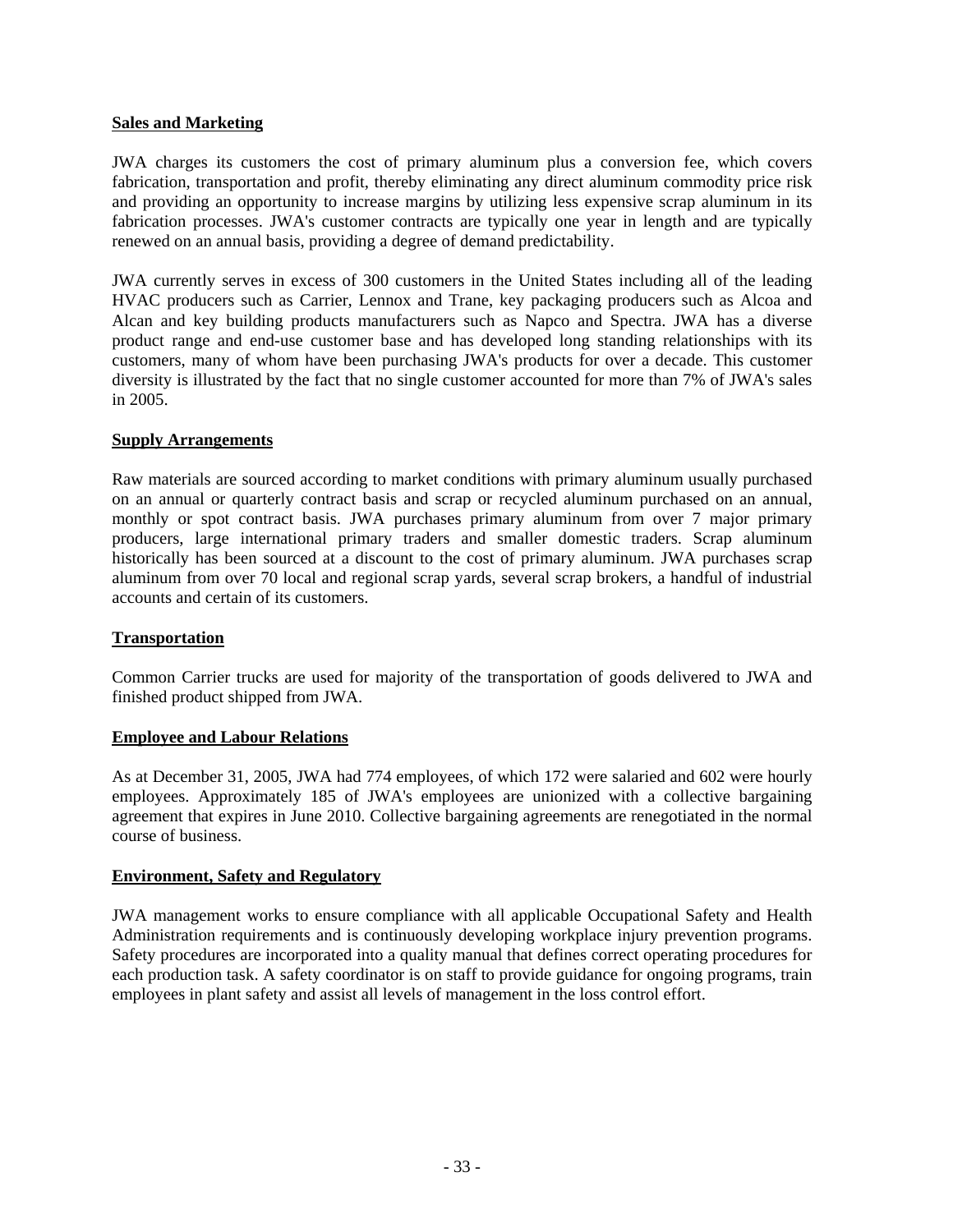### **Sales and Marketing**

JWA charges its customers the cost of primary aluminum plus a conversion fee, which covers fabrication, transportation and profit, thereby eliminating any direct aluminum commodity price risk and providing an opportunity to increase margins by utilizing less expensive scrap aluminum in its fabrication processes. JWA's customer contracts are typically one year in length and are typically renewed on an annual basis, providing a degree of demand predictability.

JWA currently serves in excess of 300 customers in the United States including all of the leading HVAC producers such as Carrier, Lennox and Trane, key packaging producers such as Alcoa and Alcan and key building products manufacturers such as Napco and Spectra. JWA has a diverse product range and end-use customer base and has developed long standing relationships with its customers, many of whom have been purchasing JWA's products for over a decade. This customer diversity is illustrated by the fact that no single customer accounted for more than 7% of JWA's sales in 2005.

### **Supply Arrangements**

Raw materials are sourced according to market conditions with primary aluminum usually purchased on an annual or quarterly contract basis and scrap or recycled aluminum purchased on an annual, monthly or spot contract basis. JWA purchases primary aluminum from over 7 major primary producers, large international primary traders and smaller domestic traders. Scrap aluminum historically has been sourced at a discount to the cost of primary aluminum. JWA purchases scrap aluminum from over 70 local and regional scrap yards, several scrap brokers, a handful of industrial accounts and certain of its customers.

### **Transportation**

Common Carrier trucks are used for majority of the transportation of goods delivered to JWA and finished product shipped from JWA.

#### **Employee and Labour Relations**

As at December 31, 2005, JWA had 774 employees, of which 172 were salaried and 602 were hourly employees. Approximately 185 of JWA's employees are unionized with a collective bargaining agreement that expires in June 2010. Collective bargaining agreements are renegotiated in the normal course of business.

#### **Environment, Safety and Regulatory**

JWA management works to ensure compliance with all applicable Occupational Safety and Health Administration requirements and is continuously developing workplace injury prevention programs. Safety procedures are incorporated into a quality manual that defines correct operating procedures for each production task. A safety coordinator is on staff to provide guidance for ongoing programs, train employees in plant safety and assist all levels of management in the loss control effort.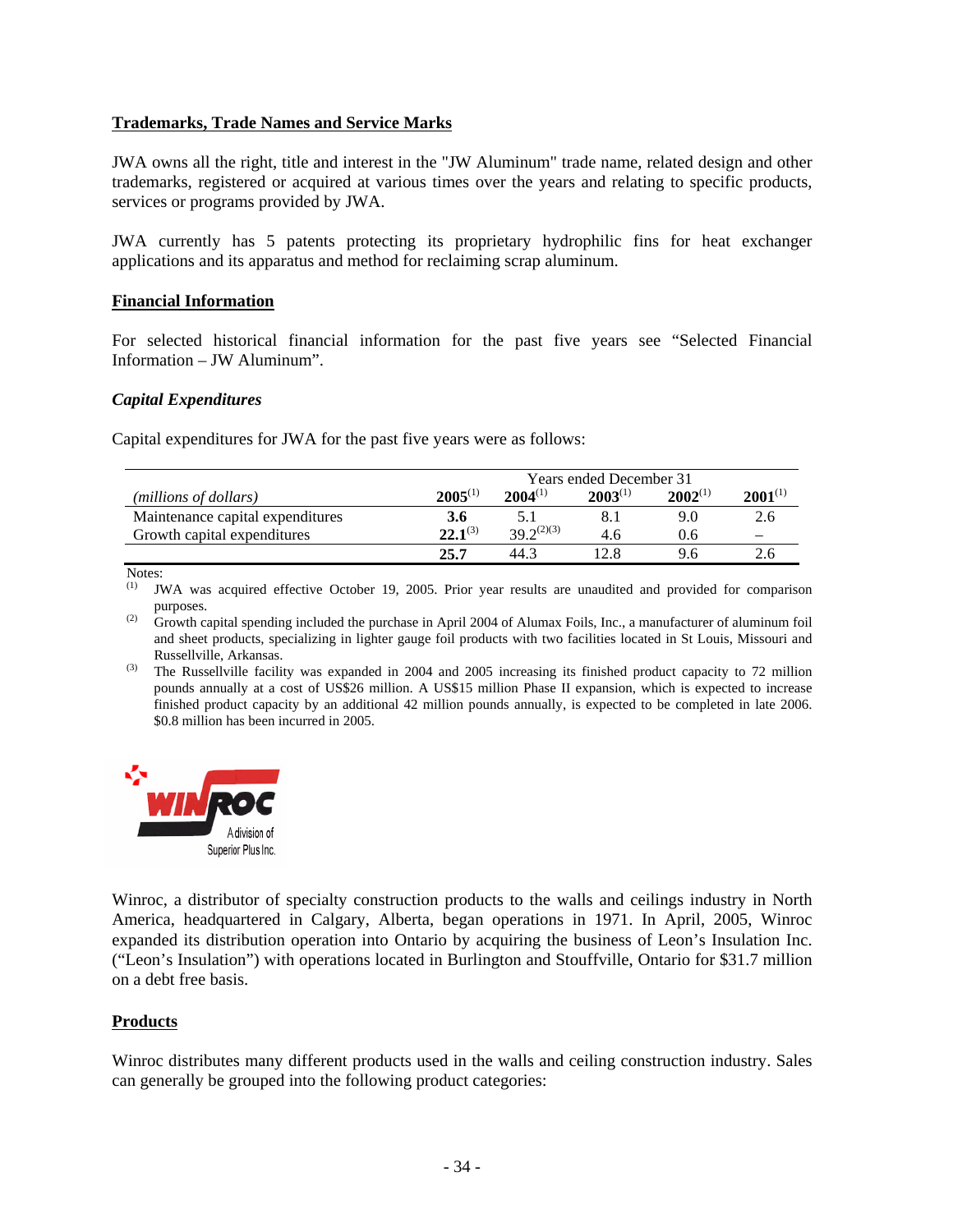### **Trademarks, Trade Names and Service Marks**

JWA owns all the right, title and interest in the "JW Aluminum" trade name, related design and other trademarks, registered or acquired at various times over the years and relating to specific products, services or programs provided by JWA.

JWA currently has 5 patents protecting its proprietary hydrophilic fins for heat exchanger applications and its apparatus and method for reclaiming scrap aluminum.

#### **Financial Information**

For selected historical financial information for the past five years see "Selected Financial Information – JW Aluminum".

#### *Capital Expenditures*

Capital expenditures for JWA for the past five years were as follows:

|                                  | <b>Years ended December 31</b> |                 |              |              |              |
|----------------------------------|--------------------------------|-----------------|--------------|--------------|--------------|
| (millions of dollars)            | $2005^{(1)}$                   | $2004^{(1)}$    | $2003^{(1)}$ | $2002^{(1)}$ | $2001^{(1)}$ |
| Maintenance capital expenditures | 3.6                            | 5.1             |              | 9.0          | 2.6          |
| Growth capital expenditures      | $22.1^{(3)}$                   | $39.2^{(2)(3)}$ | 4.6          | 0.6          |              |
|                                  | 25.7                           | 44.3            |              | 9.6          |              |

Notes:

JWA was acquired effective October 19, 2005. Prior year results are unaudited and provided for comparison purposes.

(2) Growth capital spending included the purchase in April 2004 of Alumax Foils, Inc., a manufacturer of aluminum foil and sheet products, specializing in lighter gauge foil products with two facilities located in St Louis, Missouri and Russellville, Arkansas.

 $^{(3)}$  The Russellville facility was expanded in 2004 and 2005 increasing its finished product capacity to 72 million pounds annually at a cost of US\$26 million. A US\$15 million Phase II expansion, which is expected to increase finished product capacity by an additional 42 million pounds annually, is expected to be completed in late 2006. \$0.8 million has been incurred in 2005.



Winroc, a distributor of specialty construction products to the walls and ceilings industry in North America, headquartered in Calgary, Alberta, began operations in 1971. In April, 2005, Winroc expanded its distribution operation into Ontario by acquiring the business of Leon's Insulation Inc. ("Leon's Insulation") with operations located in Burlington and Stouffville, Ontario for \$31.7 million on a debt free basis.

### **Products**

Winroc distributes many different products used in the walls and ceiling construction industry. Sales can generally be grouped into the following product categories: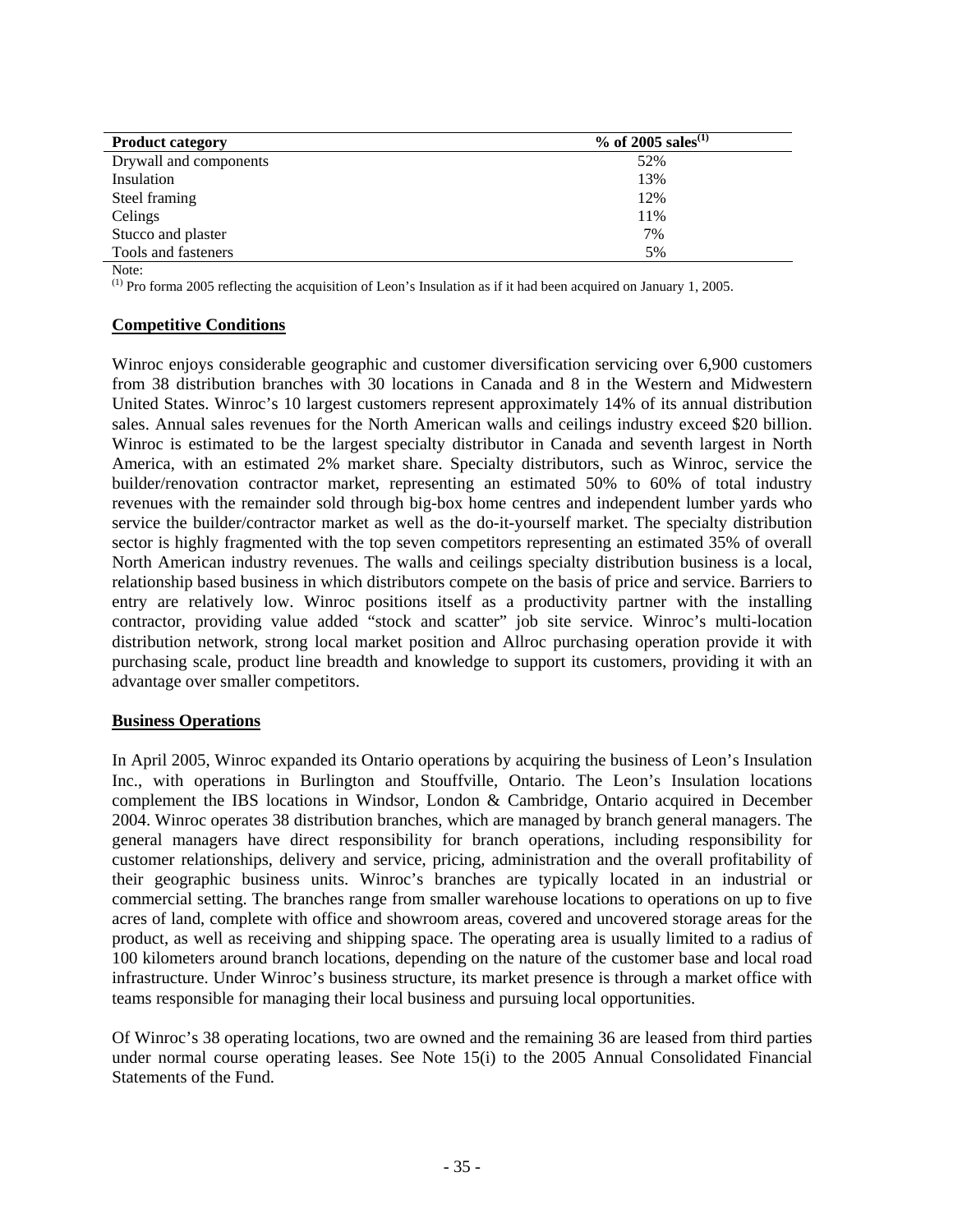| <b>Product category</b> | % of 2005 sales <sup>(1)</sup> |
|-------------------------|--------------------------------|
| Drywall and components  | 52%                            |
| Insulation              | 13%                            |
| Steel framing           | 12%                            |
| Celings                 | 11%                            |
| Stucco and plaster      | 7%                             |
| Tools and fasteners     | 5%                             |

Note:

(1) Pro forma 2005 reflecting the acquisition of Leon's Insulation as if it had been acquired on January 1, 2005.

### **Competitive Conditions**

Winroc enjoys considerable geographic and customer diversification servicing over 6,900 customers from 38 distribution branches with 30 locations in Canada and 8 in the Western and Midwestern United States. Winroc's 10 largest customers represent approximately 14% of its annual distribution sales. Annual sales revenues for the North American walls and ceilings industry exceed \$20 billion. Winroc is estimated to be the largest specialty distributor in Canada and seventh largest in North America, with an estimated 2% market share. Specialty distributors, such as Winroc, service the builder/renovation contractor market, representing an estimated 50% to 60% of total industry revenues with the remainder sold through big-box home centres and independent lumber yards who service the builder/contractor market as well as the do-it-yourself market. The specialty distribution sector is highly fragmented with the top seven competitors representing an estimated 35% of overall North American industry revenues. The walls and ceilings specialty distribution business is a local, relationship based business in which distributors compete on the basis of price and service. Barriers to entry are relatively low. Winroc positions itself as a productivity partner with the installing contractor, providing value added "stock and scatter" job site service. Winroc's multi-location distribution network, strong local market position and Allroc purchasing operation provide it with purchasing scale, product line breadth and knowledge to support its customers, providing it with an advantage over smaller competitors.

### **Business Operations**

In April 2005, Winroc expanded its Ontario operations by acquiring the business of Leon's Insulation Inc., with operations in Burlington and Stouffville, Ontario. The Leon's Insulation locations complement the IBS locations in Windsor, London & Cambridge, Ontario acquired in December 2004. Winroc operates 38 distribution branches, which are managed by branch general managers. The general managers have direct responsibility for branch operations, including responsibility for customer relationships, delivery and service, pricing, administration and the overall profitability of their geographic business units. Winroc's branches are typically located in an industrial or commercial setting. The branches range from smaller warehouse locations to operations on up to five acres of land, complete with office and showroom areas, covered and uncovered storage areas for the product, as well as receiving and shipping space. The operating area is usually limited to a radius of 100 kilometers around branch locations, depending on the nature of the customer base and local road infrastructure. Under Winroc's business structure, its market presence is through a market office with teams responsible for managing their local business and pursuing local opportunities.

Of Winroc's 38 operating locations, two are owned and the remaining 36 are leased from third parties under normal course operating leases. See Note 15(i) to the 2005 Annual Consolidated Financial Statements of the Fund.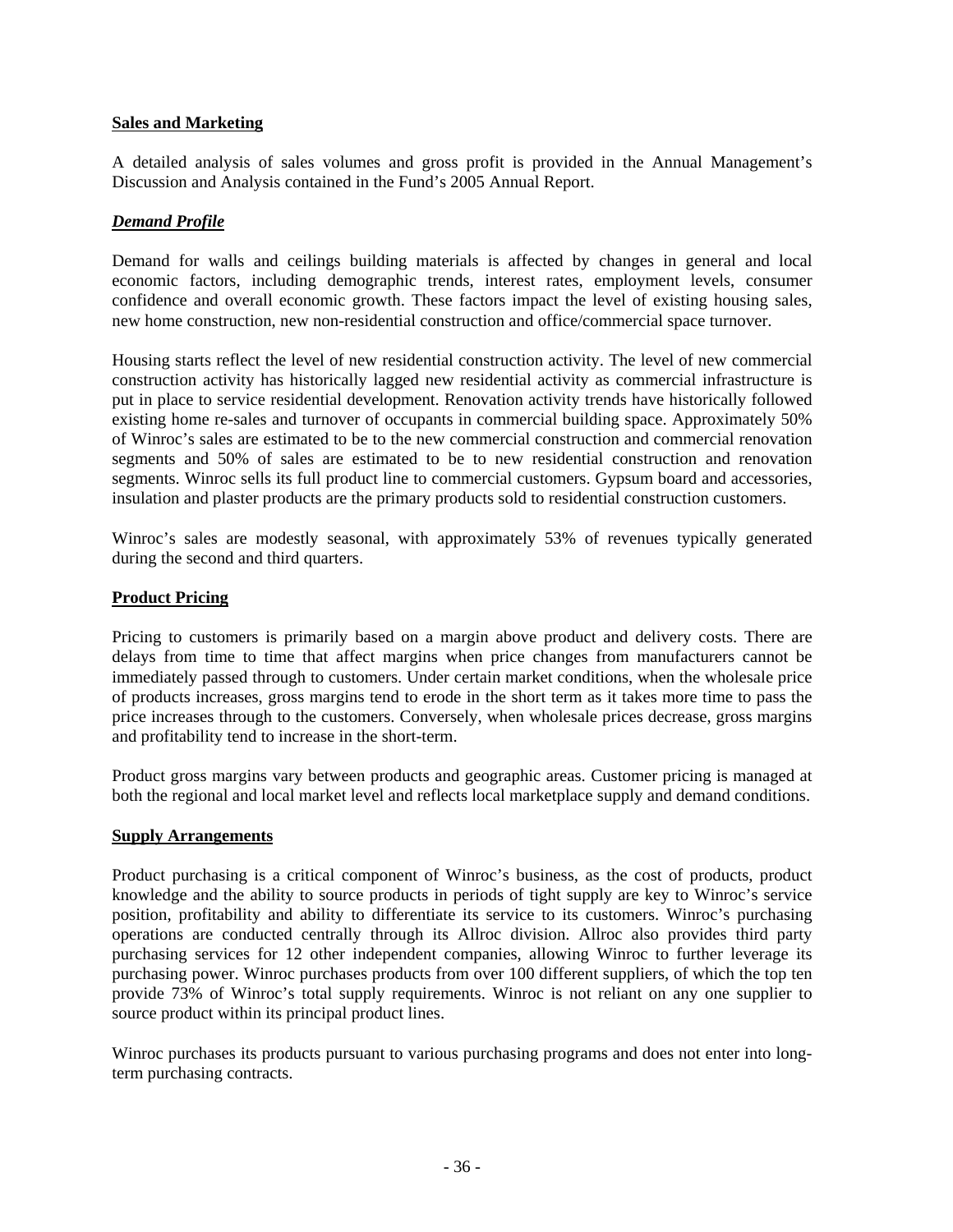### **Sales and Marketing**

A detailed analysis of sales volumes and gross profit is provided in the Annual Management's Discussion and Analysis contained in the Fund's 2005 Annual Report.

# *Demand Profile*

Demand for walls and ceilings building materials is affected by changes in general and local economic factors, including demographic trends, interest rates, employment levels, consumer confidence and overall economic growth. These factors impact the level of existing housing sales, new home construction, new non-residential construction and office/commercial space turnover.

Housing starts reflect the level of new residential construction activity. The level of new commercial construction activity has historically lagged new residential activity as commercial infrastructure is put in place to service residential development. Renovation activity trends have historically followed existing home re-sales and turnover of occupants in commercial building space. Approximately 50% of Winroc's sales are estimated to be to the new commercial construction and commercial renovation segments and 50% of sales are estimated to be to new residential construction and renovation segments. Winroc sells its full product line to commercial customers. Gypsum board and accessories, insulation and plaster products are the primary products sold to residential construction customers.

Winroc's sales are modestly seasonal, with approximately 53% of revenues typically generated during the second and third quarters.

### **Product Pricing**

Pricing to customers is primarily based on a margin above product and delivery costs. There are delays from time to time that affect margins when price changes from manufacturers cannot be immediately passed through to customers. Under certain market conditions, when the wholesale price of products increases, gross margins tend to erode in the short term as it takes more time to pass the price increases through to the customers. Conversely, when wholesale prices decrease, gross margins and profitability tend to increase in the short-term.

Product gross margins vary between products and geographic areas. Customer pricing is managed at both the regional and local market level and reflects local marketplace supply and demand conditions.

### **Supply Arrangements**

Product purchasing is a critical component of Winroc's business, as the cost of products, product knowledge and the ability to source products in periods of tight supply are key to Winroc's service position, profitability and ability to differentiate its service to its customers. Winroc's purchasing operations are conducted centrally through its Allroc division. Allroc also provides third party purchasing services for 12 other independent companies, allowing Winroc to further leverage its purchasing power. Winroc purchases products from over 100 different suppliers, of which the top ten provide 73% of Winroc's total supply requirements. Winroc is not reliant on any one supplier to source product within its principal product lines.

Winroc purchases its products pursuant to various purchasing programs and does not enter into longterm purchasing contracts.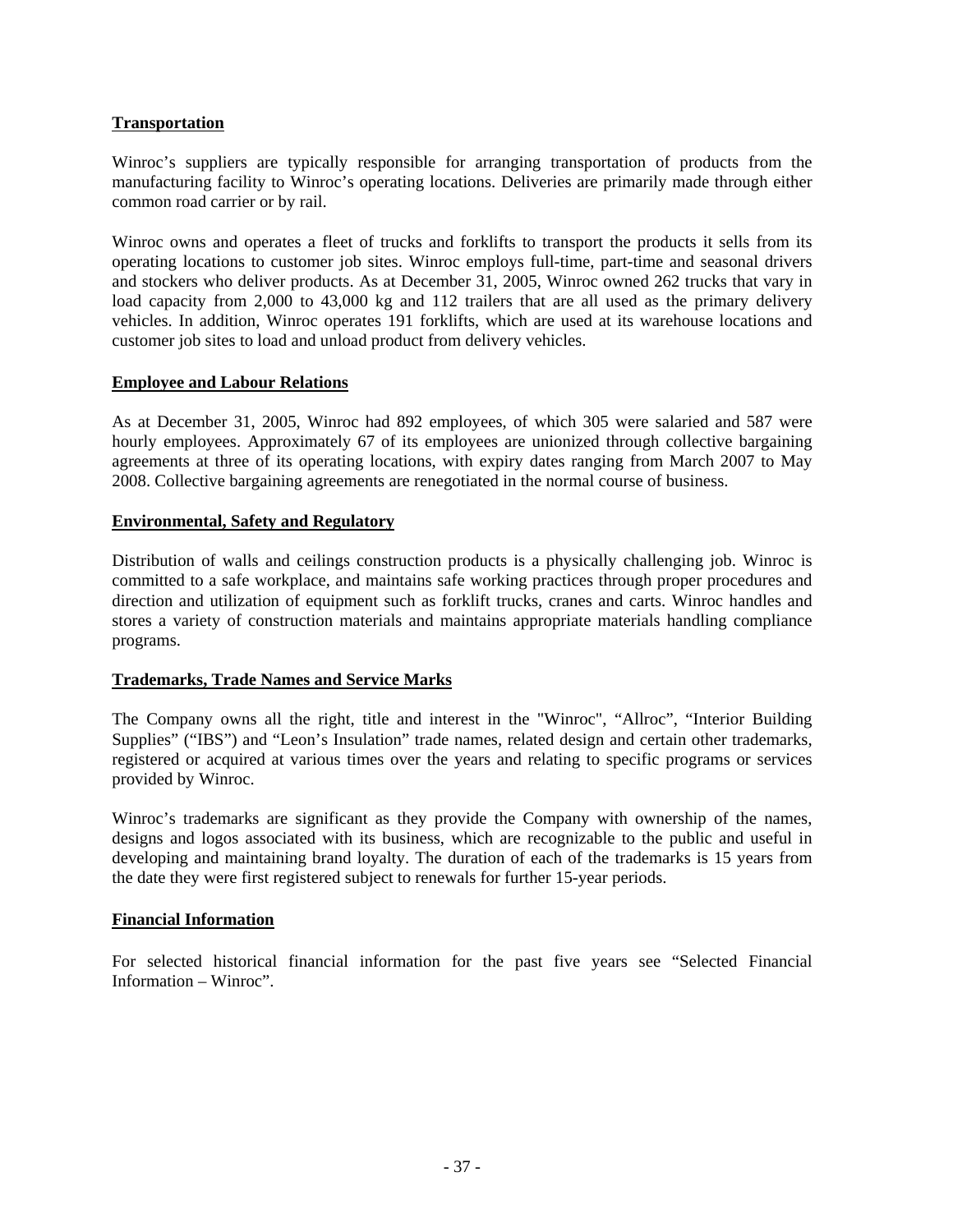### **Transportation**

Winroc's suppliers are typically responsible for arranging transportation of products from the manufacturing facility to Winroc's operating locations. Deliveries are primarily made through either common road carrier or by rail.

Winroc owns and operates a fleet of trucks and forklifts to transport the products it sells from its operating locations to customer job sites. Winroc employs full-time, part-time and seasonal drivers and stockers who deliver products. As at December 31, 2005, Winroc owned 262 trucks that vary in load capacity from 2,000 to 43,000 kg and 112 trailers that are all used as the primary delivery vehicles. In addition, Winroc operates 191 forklifts, which are used at its warehouse locations and customer job sites to load and unload product from delivery vehicles.

### **Employee and Labour Relations**

As at December 31, 2005, Winroc had 892 employees, of which 305 were salaried and 587 were hourly employees. Approximately 67 of its employees are unionized through collective bargaining agreements at three of its operating locations, with expiry dates ranging from March 2007 to May 2008. Collective bargaining agreements are renegotiated in the normal course of business.

### **Environmental, Safety and Regulatory**

Distribution of walls and ceilings construction products is a physically challenging job. Winroc is committed to a safe workplace, and maintains safe working practices through proper procedures and direction and utilization of equipment such as forklift trucks, cranes and carts. Winroc handles and stores a variety of construction materials and maintains appropriate materials handling compliance programs.

### **Trademarks, Trade Names and Service Marks**

The Company owns all the right, title and interest in the "Winroc", "Allroc", "Interior Building Supplies" ("IBS") and "Leon's Insulation" trade names, related design and certain other trademarks, registered or acquired at various times over the years and relating to specific programs or services provided by Winroc.

Winroc's trademarks are significant as they provide the Company with ownership of the names, designs and logos associated with its business, which are recognizable to the public and useful in developing and maintaining brand loyalty. The duration of each of the trademarks is 15 years from the date they were first registered subject to renewals for further 15-year periods.

### **Financial Information**

For selected historical financial information for the past five years see "Selected Financial Information – Winroc".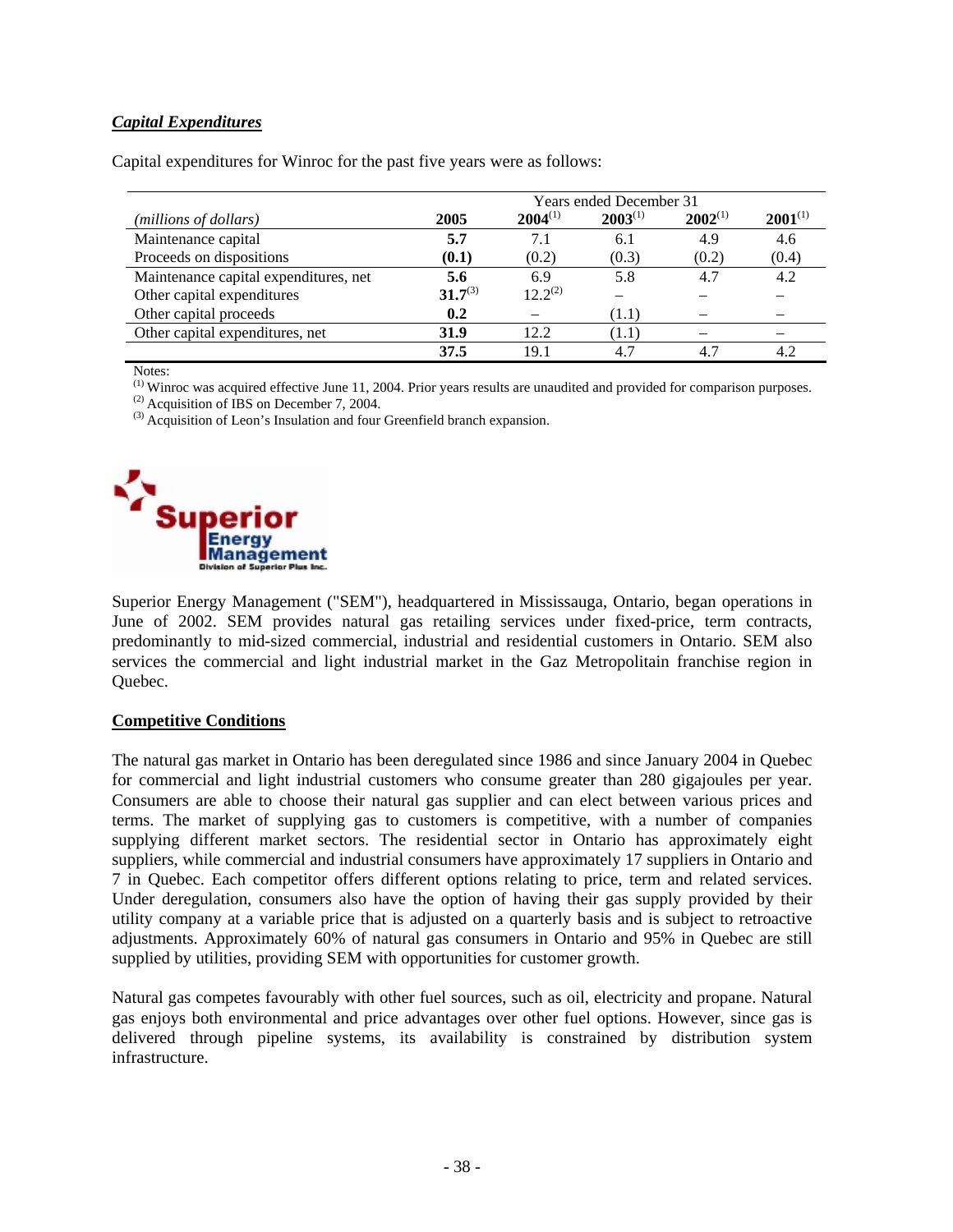## *Capital Expenditures*

Capital expenditures for Winroc for the past five years were as follows:

|                                       | <b>Years ended December 31</b> |              |              |              |              |
|---------------------------------------|--------------------------------|--------------|--------------|--------------|--------------|
| (millions of dollars)                 | 2005                           | $2004^{(1)}$ | $2003^{(1)}$ | $2002^{(1)}$ | $2001^{(1)}$ |
| Maintenance capital                   | 5.7                            | 7.1          | 6.1          | 4.9          | 4.6          |
| Proceeds on dispositions              | (0.1)                          | (0.2)        | (0.3)        | (0.2)        | (0.4)        |
| Maintenance capital expenditures, net | 5.6                            | 6.9          | 5.8          | 4.7          | 4.2          |
| Other capital expenditures            | $31.7^{(3)}$                   | $12.2^{(2)}$ |              |              |              |
| Other capital proceeds                | 0.2                            |              | (1.1)        |              |              |
| Other capital expenditures, net       | 31.9                           | 12.2         | (1.1)        |              |              |
|                                       | 37.5                           | 19.1         | 4.7          | 4.7          | 4.2          |

Notes:

(1) Winroc was acquired effective June 11, 2004. Prior years results are unaudited and provided for comparison purposes.

 $(2)$  Acquisition of IBS on December 7, 2004.

<sup>(3)</sup> Acquisition of Leon's Insulation and four Greenfield branch expansion.



Superior Energy Management ("SEM"), headquartered in Mississauga, Ontario, began operations in June of 2002. SEM provides natural gas retailing services under fixed-price, term contracts, predominantly to mid-sized commercial, industrial and residential customers in Ontario. SEM also services the commercial and light industrial market in the Gaz Metropolitain franchise region in Quebec.

#### **Competitive Conditions**

The natural gas market in Ontario has been deregulated since 1986 and since January 2004 in Quebec for commercial and light industrial customers who consume greater than 280 gigajoules per year. Consumers are able to choose their natural gas supplier and can elect between various prices and terms. The market of supplying gas to customers is competitive, with a number of companies supplying different market sectors. The residential sector in Ontario has approximately eight suppliers, while commercial and industrial consumers have approximately 17 suppliers in Ontario and 7 in Quebec. Each competitor offers different options relating to price, term and related services. Under deregulation, consumers also have the option of having their gas supply provided by their utility company at a variable price that is adjusted on a quarterly basis and is subject to retroactive adjustments. Approximately 60% of natural gas consumers in Ontario and 95% in Quebec are still supplied by utilities, providing SEM with opportunities for customer growth.

Natural gas competes favourably with other fuel sources, such as oil, electricity and propane. Natural gas enjoys both environmental and price advantages over other fuel options. However, since gas is delivered through pipeline systems, its availability is constrained by distribution system infrastructure.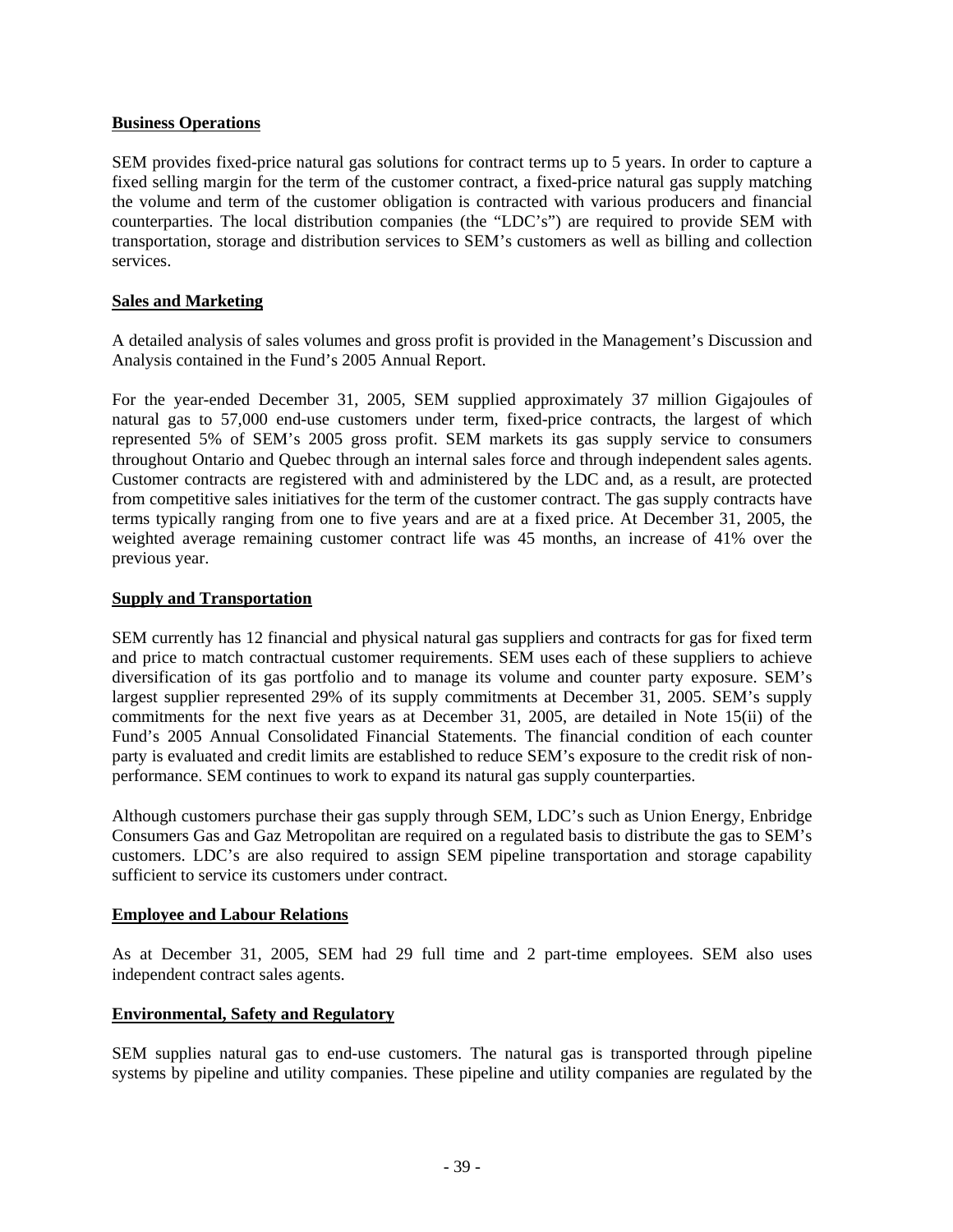### **Business Operations**

SEM provides fixed-price natural gas solutions for contract terms up to 5 years. In order to capture a fixed selling margin for the term of the customer contract, a fixed-price natural gas supply matching the volume and term of the customer obligation is contracted with various producers and financial counterparties. The local distribution companies (the "LDC's") are required to provide SEM with transportation, storage and distribution services to SEM's customers as well as billing and collection services.

## **Sales and Marketing**

A detailed analysis of sales volumes and gross profit is provided in the Management's Discussion and Analysis contained in the Fund's 2005 Annual Report.

For the year-ended December 31, 2005, SEM supplied approximately 37 million Gigajoules of natural gas to 57,000 end-use customers under term, fixed-price contracts, the largest of which represented 5% of SEM's 2005 gross profit. SEM markets its gas supply service to consumers throughout Ontario and Quebec through an internal sales force and through independent sales agents. Customer contracts are registered with and administered by the LDC and, as a result, are protected from competitive sales initiatives for the term of the customer contract. The gas supply contracts have terms typically ranging from one to five years and are at a fixed price. At December 31, 2005, the weighted average remaining customer contract life was 45 months, an increase of 41% over the previous year.

## **Supply and Transportation**

SEM currently has 12 financial and physical natural gas suppliers and contracts for gas for fixed term and price to match contractual customer requirements. SEM uses each of these suppliers to achieve diversification of its gas portfolio and to manage its volume and counter party exposure. SEM's largest supplier represented 29% of its supply commitments at December 31, 2005. SEM's supply commitments for the next five years as at December 31, 2005, are detailed in Note 15(ii) of the Fund's 2005 Annual Consolidated Financial Statements. The financial condition of each counter party is evaluated and credit limits are established to reduce SEM's exposure to the credit risk of nonperformance. SEM continues to work to expand its natural gas supply counterparties.

Although customers purchase their gas supply through SEM, LDC's such as Union Energy, Enbridge Consumers Gas and Gaz Metropolitan are required on a regulated basis to distribute the gas to SEM's customers. LDC's are also required to assign SEM pipeline transportation and storage capability sufficient to service its customers under contract.

### **Employee and Labour Relations**

As at December 31, 2005, SEM had 29 full time and 2 part-time employees. SEM also uses independent contract sales agents.

# **Environmental, Safety and Regulatory**

SEM supplies natural gas to end-use customers. The natural gas is transported through pipeline systems by pipeline and utility companies. These pipeline and utility companies are regulated by the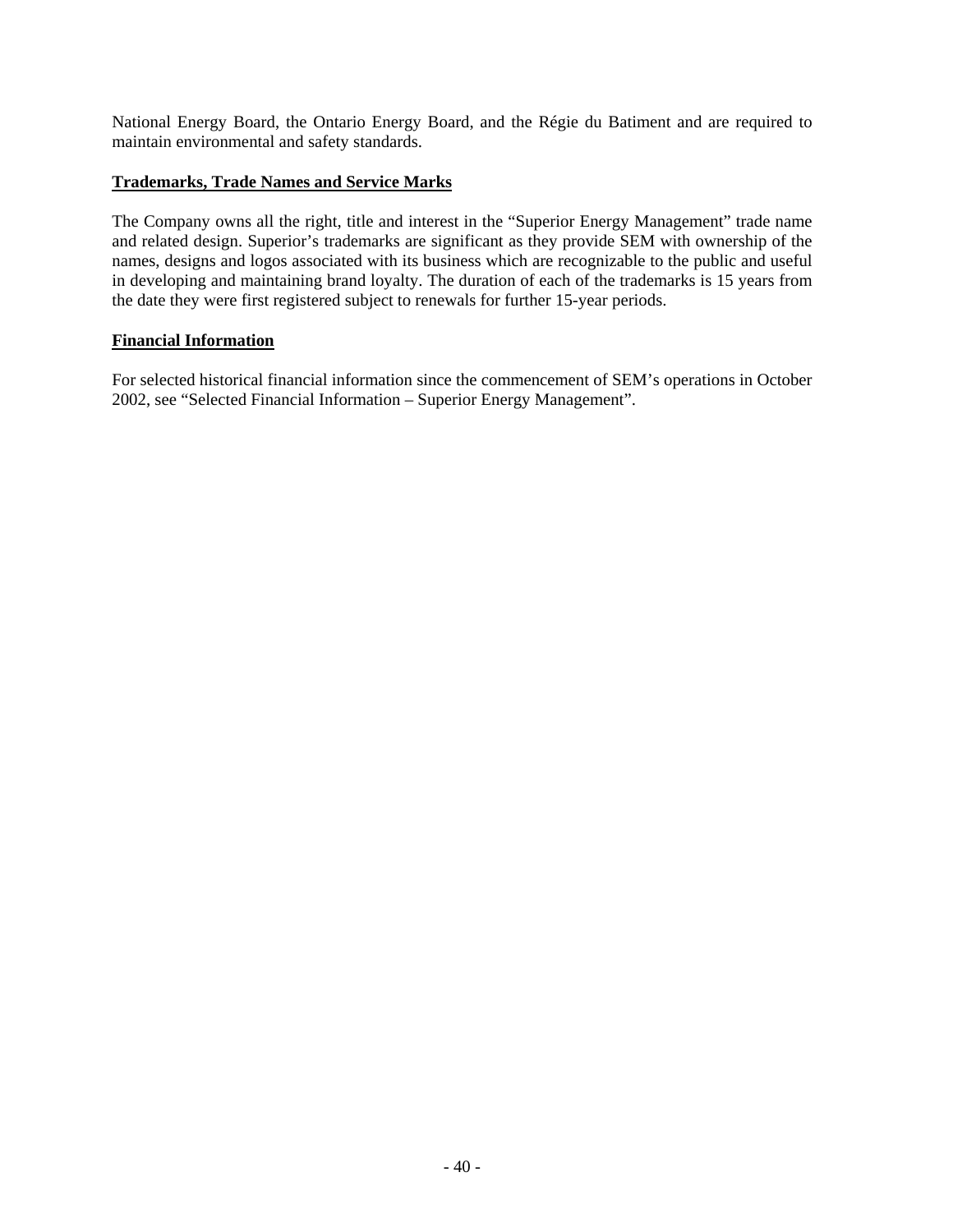National Energy Board, the Ontario Energy Board, and the Régie du Batiment and are required to maintain environmental and safety standards.

### **Trademarks, Trade Names and Service Marks**

The Company owns all the right, title and interest in the "Superior Energy Management" trade name and related design. Superior's trademarks are significant as they provide SEM with ownership of the names, designs and logos associated with its business which are recognizable to the public and useful in developing and maintaining brand loyalty. The duration of each of the trademarks is 15 years from the date they were first registered subject to renewals for further 15-year periods.

## **Financial Information**

For selected historical financial information since the commencement of SEM's operations in October 2002, see "Selected Financial Information – Superior Energy Management".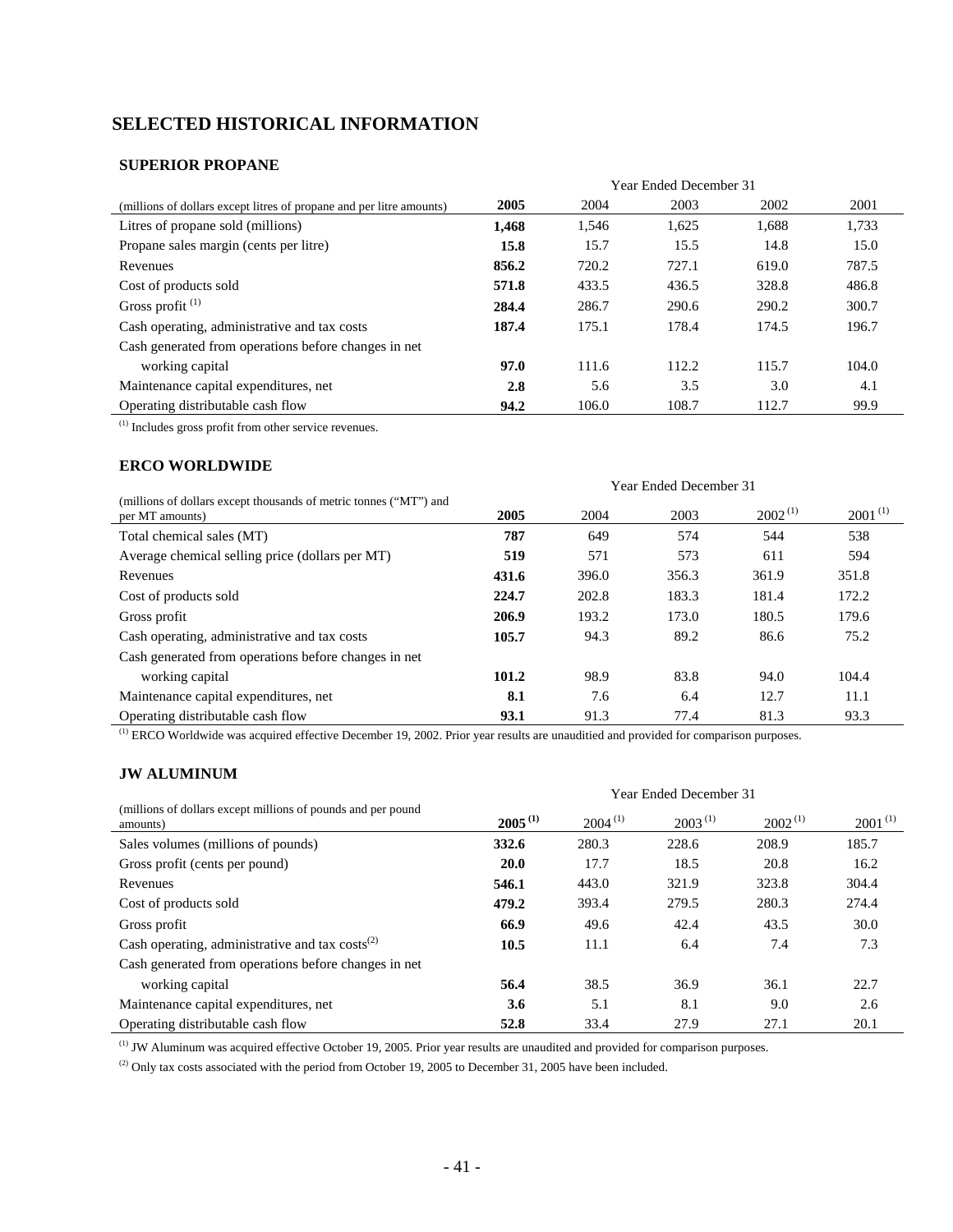# **SELECTED HISTORICAL INFORMATION**

## **SUPERIOR PROPANE**

|                                                                      | <b>Year Ended December 31</b> |       |       |       |       |
|----------------------------------------------------------------------|-------------------------------|-------|-------|-------|-------|
| (millions of dollars except litres of propane and per litre amounts) | 2005                          | 2004  | 2003  | 2002  | 2001  |
| Litres of propane sold (millions)                                    | 1,468                         | 1,546 | 1,625 | 1.688 | 1,733 |
| Propane sales margin (cents per litre)                               | 15.8                          | 15.7  | 15.5  | 14.8  | 15.0  |
| Revenues                                                             | 856.2                         | 720.2 | 727.1 | 619.0 | 787.5 |
| Cost of products sold                                                | 571.8                         | 433.5 | 436.5 | 328.8 | 486.8 |
| Gross profit <sup>(1)</sup>                                          | 284.4                         | 286.7 | 290.6 | 290.2 | 300.7 |
| Cash operating, administrative and tax costs                         | 187.4                         | 175.1 | 178.4 | 174.5 | 196.7 |
| Cash generated from operations before changes in net                 |                               |       |       |       |       |
| working capital                                                      | 97.0                          | 111.6 | 112.2 | 115.7 | 104.0 |
| Maintenance capital expenditures, net                                | 2.8                           | 5.6   | 3.5   | 3.0   | 4.1   |
| Operating distributable cash flow                                    | 94.2                          | 106.0 | 108.7 | 112.7 | 99.9  |

(1) Includes gross profit from other service revenues.

### **ERCO WORLDWIDE**

|                                                                                      | <b>Year Ended December 31</b> |       |       |              |              |
|--------------------------------------------------------------------------------------|-------------------------------|-------|-------|--------------|--------------|
| (millions of dollars except thousands of metric tonnes ("MT") and<br>per MT amounts) | 2005                          | 2004  | 2003  | $2002^{(1)}$ | $2001^{(1)}$ |
| Total chemical sales (MT)                                                            | 787                           | 649   | 574   | 544          | 538          |
| Average chemical selling price (dollars per MT)                                      | 519                           | 571   | 573   | 611          | 594          |
| Revenues                                                                             | 431.6                         | 396.0 | 356.3 | 361.9        | 351.8        |
| Cost of products sold                                                                | 224.7                         | 202.8 | 183.3 | 181.4        | 172.2        |
| Gross profit                                                                         | 206.9                         | 193.2 | 173.0 | 180.5        | 179.6        |
| Cash operating, administrative and tax costs                                         | 105.7                         | 94.3  | 89.2  | 86.6         | 75.2         |
| Cash generated from operations before changes in net                                 |                               |       |       |              |              |
| working capital                                                                      | 101.2                         | 98.9  | 83.8  | 94.0         | 104.4        |
| Maintenance capital expenditures, net                                                | 8.1                           | 7.6   | 6.4   | 12.7         | 11.1         |
| Operating distributable cash flow                                                    | 93.1                          | 91.3  | 77.4  | 81.3         | 93.3         |

<sup>(1)</sup> ERCO Worldwide was acquired effective December 19, 2002. Prior year results are unauditied and provided for comparison purposes.

## **JW ALUMINUM**

|                                                                          | <b>Year Ended December 31</b> |              |              |              |              |  |
|--------------------------------------------------------------------------|-------------------------------|--------------|--------------|--------------|--------------|--|
| (millions of dollars except millions of pounds and per pound<br>amounts) | $2005^{(1)}$                  | $2004^{(1)}$ | $2003^{(1)}$ | $2002^{(1)}$ | $2001^{(1)}$ |  |
| Sales volumes (millions of pounds)                                       | 332.6                         | 280.3        | 228.6        | 208.9        | 185.7        |  |
| Gross profit (cents per pound)                                           | <b>20.0</b>                   | 17.7         | 18.5         | 20.8         | 16.2         |  |
| Revenues                                                                 | 546.1                         | 443.0        | 321.9        | 323.8        | 304.4        |  |
| Cost of products sold                                                    | 479.2                         | 393.4        | 279.5        | 280.3        | 274.4        |  |
| Gross profit                                                             | 66.9                          | 49.6         | 42.4         | 43.5         | 30.0         |  |
| Cash operating, administrative and tax $costs^{(2)}$                     | 10.5                          | 11.1         | 6.4          | 7.4          | 7.3          |  |
| Cash generated from operations before changes in net                     |                               |              |              |              |              |  |
| working capital                                                          | 56.4                          | 38.5         | 36.9         | 36.1         | 22.7         |  |
| Maintenance capital expenditures, net                                    | 3.6                           | 5.1          | 8.1          | 9.0          | 2.6          |  |
| Operating distributable cash flow                                        | 52.8                          | 33.4         | 27.9         | 27.1         | 20.1         |  |

(1) JW Aluminum was acquired effective October 19, 2005. Prior year results are unaudited and provided for comparison purposes.

<sup>(2)</sup> Only tax costs associated with the period from October 19, 2005 to December 31, 2005 have been included.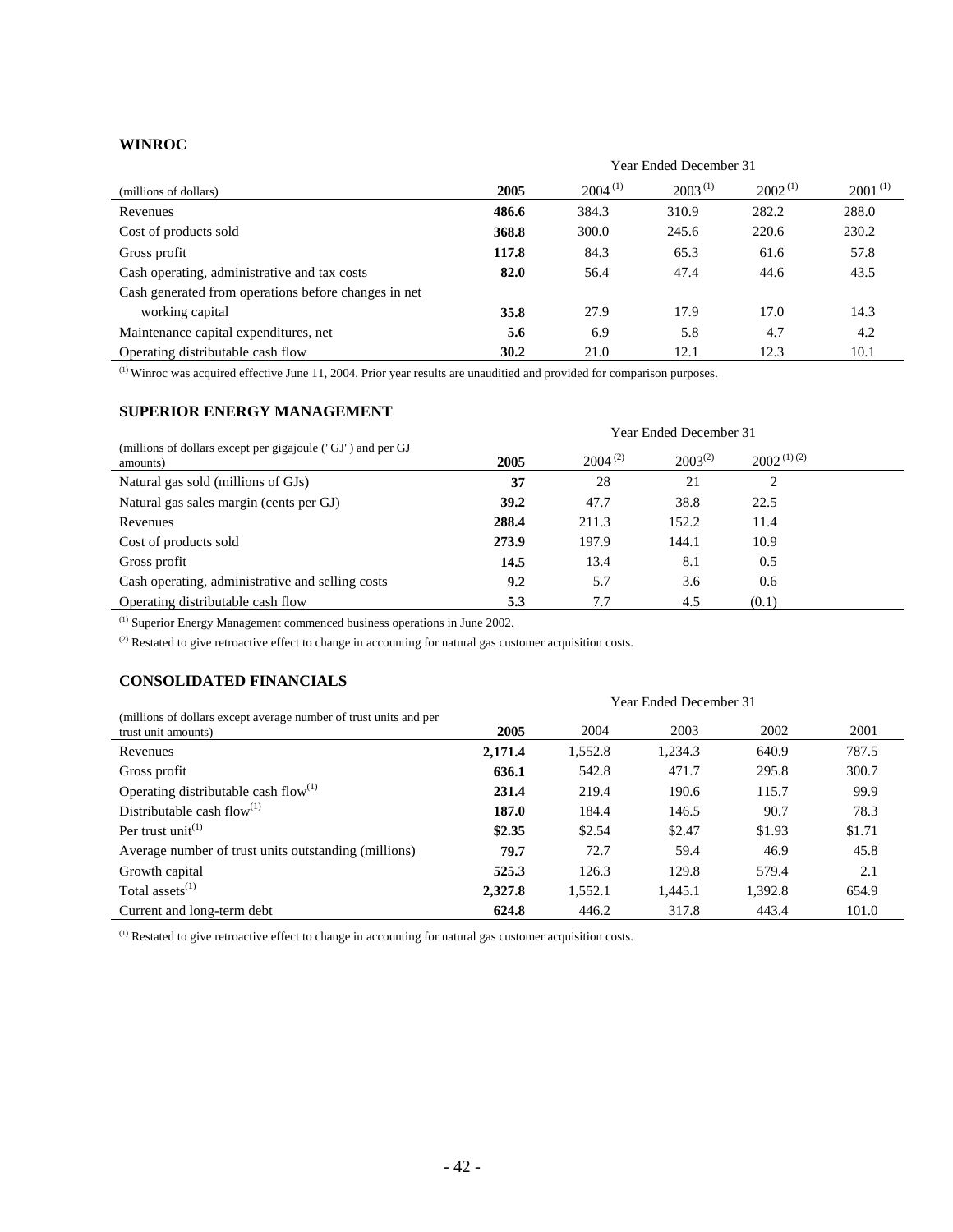#### **WINROC**

|                                                      | Year Ended December 31 |              |              |              |              |
|------------------------------------------------------|------------------------|--------------|--------------|--------------|--------------|
| (millions of dollars)                                | 2005                   | $2004^{(1)}$ | $2003^{(1)}$ | $2002^{(1)}$ | $2001^{(1)}$ |
| Revenues                                             | 486.6                  | 384.3        | 310.9        | 282.2        | 288.0        |
| Cost of products sold                                | 368.8                  | 300.0        | 245.6        | 220.6        | 230.2        |
| Gross profit                                         | 117.8                  | 84.3         | 65.3         | 61.6         | 57.8         |
| Cash operating, administrative and tax costs         | 82.0                   | 56.4         | 47.4         | 44.6         | 43.5         |
| Cash generated from operations before changes in net |                        |              |              |              |              |
| working capital                                      | 35.8                   | 27.9         | 17.9         | 17.0         | 14.3         |
| Maintenance capital expenditures, net                | 5.6                    | 6.9          | 5.8          | 4.7          | 4.2          |
| Operating distributable cash flow                    | 30.2                   | 21.0         | 12.1         | 12.3         | 10.1         |

(1) Winroc was acquired effective June 11, 2004. Prior year results are unauditied and provided for comparison purposes.

#### **SUPERIOR ENERGY MANAGEMENT**

|                                                                         | Year Ended December 31 |              |              |                 |  |
|-------------------------------------------------------------------------|------------------------|--------------|--------------|-----------------|--|
| (millions of dollars except per gigajoule ("GJ") and per GJ<br>amounts) | 2005                   | $2004^{(2)}$ | $2003^{(2)}$ | $2002^{(1)(2)}$ |  |
| Natural gas sold (millions of GJs)                                      | 37                     | 28           | 21           | 2               |  |
| Natural gas sales margin (cents per GJ)                                 | 39.2                   | 47.7         | 38.8         | 22.5            |  |
| Revenues                                                                | 288.4                  | 211.3        | 152.2        | 11.4            |  |
| Cost of products sold                                                   | 273.9                  | 197.9        | 144.1        | 10.9            |  |
| Gross profit                                                            | 14.5                   | 13.4         | 8.1          | 0.5             |  |
| Cash operating, administrative and selling costs                        | 9.2                    | 5.7          | 3.6          | 0.6             |  |
| Operating distributable cash flow                                       | 5.3                    | 7.7          | 4.5          | (0.1)           |  |

(1) Superior Energy Management commenced business operations in June 2002.

<sup>(2)</sup> Restated to give retroactive effect to change in accounting for natural gas customer acquisition costs.

### **CONSOLIDATED FINANCIALS**

| (millions of dollars except average number of trust units and per |  |  |
|-------------------------------------------------------------------|--|--|
|                                                                   |  |  |

| (millions of dollars except average number of trust units and per<br>trust unit amounts) | 2005    | 2004    | 2003    | 2002    | 2001   |
|------------------------------------------------------------------------------------------|---------|---------|---------|---------|--------|
| Revenues                                                                                 | 2,171.4 | 1,552.8 | 1,234.3 | 640.9   | 787.5  |
| Gross profit                                                                             | 636.1   | 542.8   | 471.7   | 295.8   | 300.7  |
| Operating distributable cash $flow^{(1)}$                                                | 231.4   | 219.4   | 190.6   | 115.7   | 99.9   |
| Distributable cash flow $^{(1)}$                                                         | 187.0   | 184.4   | 146.5   | 90.7    | 78.3   |
| Per trust unit <sup>(1)</sup>                                                            | \$2.35  | \$2.54  | \$2.47  | \$1.93  | \$1.71 |
| Average number of trust units outstanding (millions)                                     | 79.7    | 72.7    | 59.4    | 46.9    | 45.8   |
| Growth capital                                                                           | 525.3   | 126.3   | 129.8   | 579.4   | 2.1    |
| Total assets <sup>(1)</sup>                                                              | 2,327.8 | 1,552.1 | 1,445.1 | 1,392.8 | 654.9  |
| Current and long-term debt                                                               | 624.8   | 446.2   | 317.8   | 443.4   | 101.0  |

Year Ended December 31

 $(1)$  Restated to give retroactive effect to change in accounting for natural gas customer acquisition costs.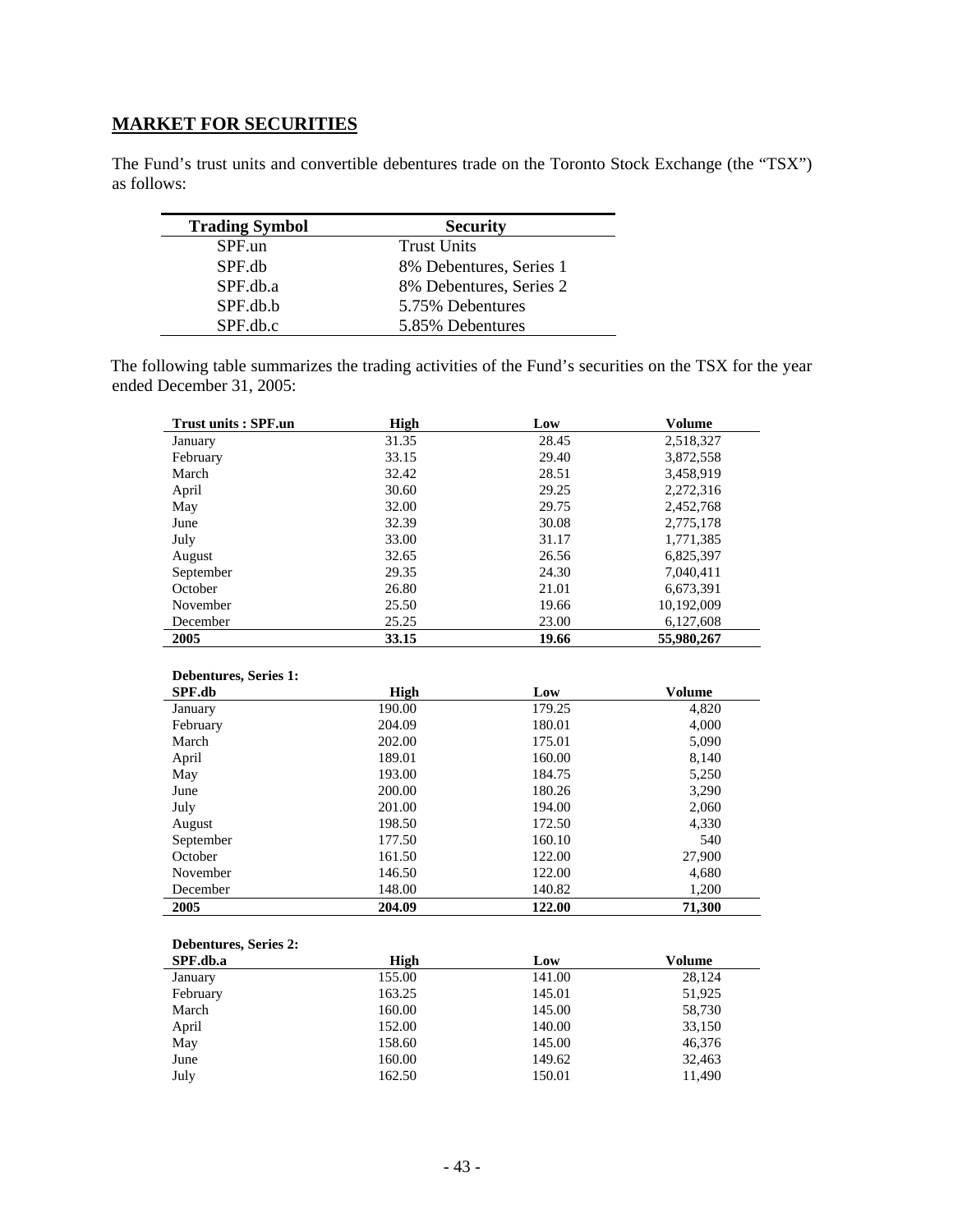# **MARKET FOR SECURITIES**

The Fund's trust units and convertible debentures trade on the Toronto Stock Exchange (the "TSX") as follows:

| <b>Trading Symbol</b> | <b>Security</b>         |
|-----------------------|-------------------------|
| SPF.un                | <b>Trust Units</b>      |
| SPF.db                | 8% Debentures, Series 1 |
| SPF.db.a              | 8% Debentures, Series 2 |
| SPF.db.b              | 5.75% Debentures        |
| SPF.db.c              | 5.85% Debentures        |

The following table summarizes the trading activities of the Fund's securities on the TSX for the year ended December 31, 2005:

| <b>Trust units: SPF.un</b> | High  | Low   | <b>Volume</b> |
|----------------------------|-------|-------|---------------|
| January                    | 31.35 | 28.45 | 2,518,327     |
| February                   | 33.15 | 29.40 | 3,872,558     |
| March                      | 32.42 | 28.51 | 3,458,919     |
| April                      | 30.60 | 29.25 | 2,272,316     |
| May                        | 32.00 | 29.75 | 2,452,768     |
| June                       | 32.39 | 30.08 | 2,775,178     |
| July                       | 33.00 | 31.17 | 1,771,385     |
| August                     | 32.65 | 26.56 | 6,825,397     |
| September                  | 29.35 | 24.30 | 7,040,411     |
| October                    | 26.80 | 21.01 | 6,673,391     |
| November                   | 25.50 | 19.66 | 10,192,009    |
| December                   | 25.25 | 23.00 | 6,127,608     |
| 2005                       | 33.15 | 19.66 | 55,980,267    |

#### **Debentures, Series 1:**

| SPF.db    | High   | Low    | <b>Volume</b> |
|-----------|--------|--------|---------------|
| January   | 190.00 | 179.25 | 4,820         |
| February  | 204.09 | 180.01 | 4,000         |
| March     | 202.00 | 175.01 | 5,090         |
| April     | 189.01 | 160.00 | 8,140         |
| May       | 193.00 | 184.75 | 5,250         |
| June      | 200.00 | 180.26 | 3,290         |
| July      | 201.00 | 194.00 | 2,060         |
| August    | 198.50 | 172.50 | 4,330         |
| September | 177.50 | 160.10 | 540           |
| October   | 161.50 | 122.00 | 27,900        |
| November  | 146.50 | 122.00 | 4,680         |
| December  | 148.00 | 140.82 | 1,200         |
| 2005      | 204.09 | 122.00 | 71,300        |

#### **Debentures, Series 2:**

| SPF.db.a | High   | Low    | Volume |
|----------|--------|--------|--------|
| January  | 155.00 | 141.00 | 28,124 |
| February | 163.25 | 145.01 | 51,925 |
| March    | 160.00 | 145.00 | 58,730 |
| April    | 152.00 | 140.00 | 33,150 |
| May      | 158.60 | 145.00 | 46,376 |
| June     | 160.00 | 149.62 | 32.463 |
| July     | 162.50 | 150.01 | 11.490 |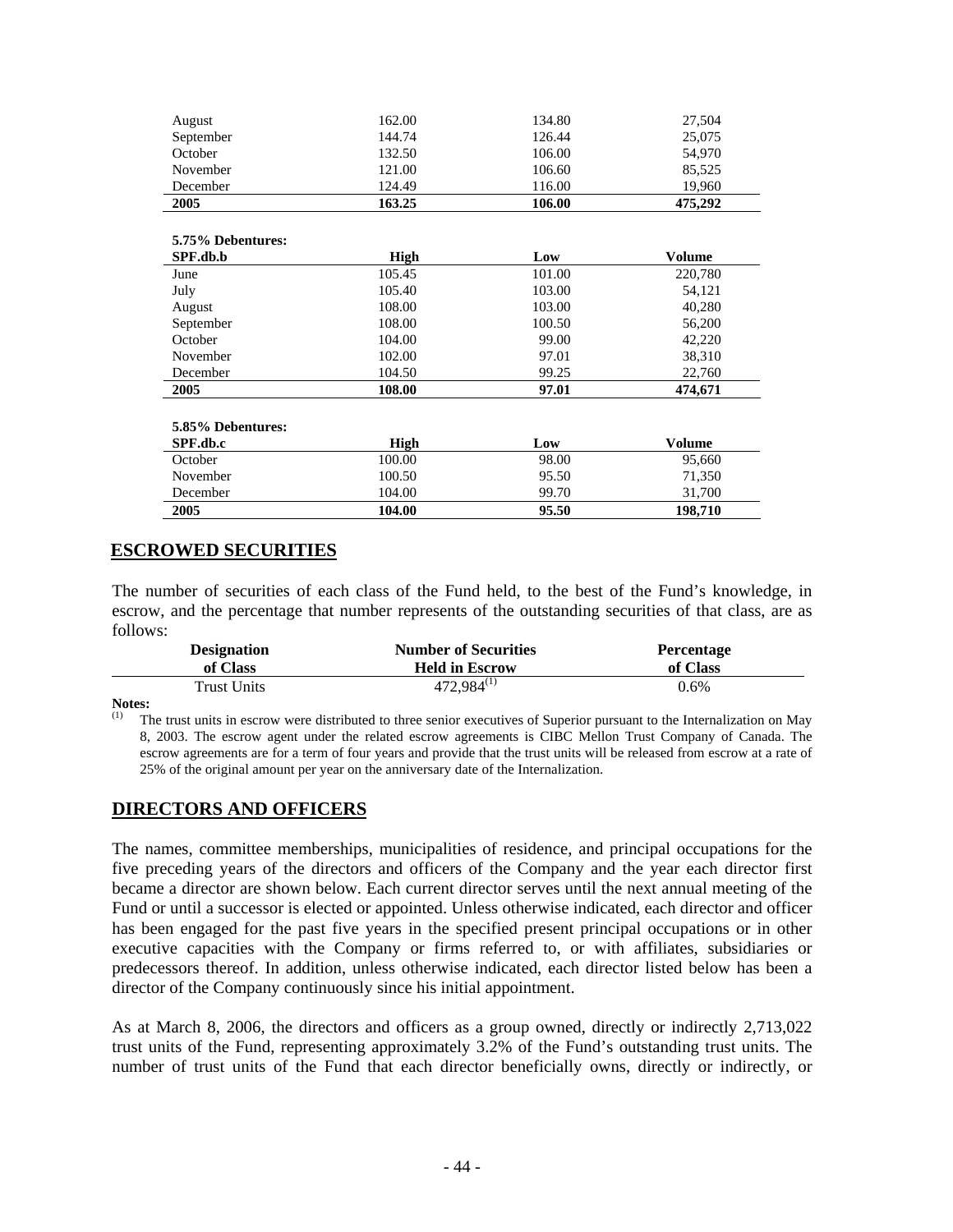|             |        | 27,504        |
|-------------|--------|---------------|
| 144.74      | 126.44 | 25,075        |
| 132.50      | 106.00 | 54,970        |
| 121.00      | 106.60 | 85,525        |
| 124.49      | 116.00 | 19,960        |
| 163.25      | 106.00 | 475,292       |
|             |        |               |
|             |        |               |
| <b>High</b> | Low    | <b>Volume</b> |
| 105.45      | 101.00 | 220,780       |
| 105.40      | 103.00 | 54,121        |
| 108.00      | 103.00 | 40,280        |
| 108.00      | 100.50 | 56,200        |
| 104.00      | 99.00  | 42,220        |
| 102.00      | 97.01  | 38,310        |
| 104.50      | 99.25  | 22,760        |
| 108.00      | 97.01  | 474,671       |
|             |        |               |
|             |        |               |
| <b>High</b> | Low    | <b>Volume</b> |
| 100.00      | 98.00  | 95,660        |
| 100.50      | 95.50  | 71,350        |
| 104.00      | 99.70  | 31,700        |
| 104.00      | 95.50  | 198,710       |
|             | 162.00 | 134.80        |

## **ESCROWED SECURITIES**

The number of securities of each class of the Fund held, to the best of the Fund's knowledge, in escrow, and the percentage that number represents of the outstanding securities of that class, are as follows:

| <b>Designation</b> | <b>Number of Securities</b> | <b>Percentage</b> |
|--------------------|-----------------------------|-------------------|
| of Class           | <b>Held in Escrow</b>       | of Class          |
| Trust Units        | $472,984^{(1)}$             | $0.6\%$           |

**Notes:**<br>(1) TH

The trust units in escrow were distributed to three senior executives of Superior pursuant to the Internalization on May 8, 2003. The escrow agent under the related escrow agreements is CIBC Mellon Trust Company of Canada. The escrow agreements are for a term of four years and provide that the trust units will be released from escrow at a rate of 25% of the original amount per year on the anniversary date of the Internalization.

### **DIRECTORS AND OFFICERS**

The names, committee memberships, municipalities of residence, and principal occupations for the five preceding years of the directors and officers of the Company and the year each director first became a director are shown below. Each current director serves until the next annual meeting of the Fund or until a successor is elected or appointed. Unless otherwise indicated, each director and officer has been engaged for the past five years in the specified present principal occupations or in other executive capacities with the Company or firms referred to, or with affiliates, subsidiaries or predecessors thereof. In addition, unless otherwise indicated, each director listed below has been a director of the Company continuously since his initial appointment.

As at March 8, 2006, the directors and officers as a group owned, directly or indirectly 2,713,022 trust units of the Fund, representing approximately 3.2% of the Fund's outstanding trust units. The number of trust units of the Fund that each director beneficially owns, directly or indirectly, or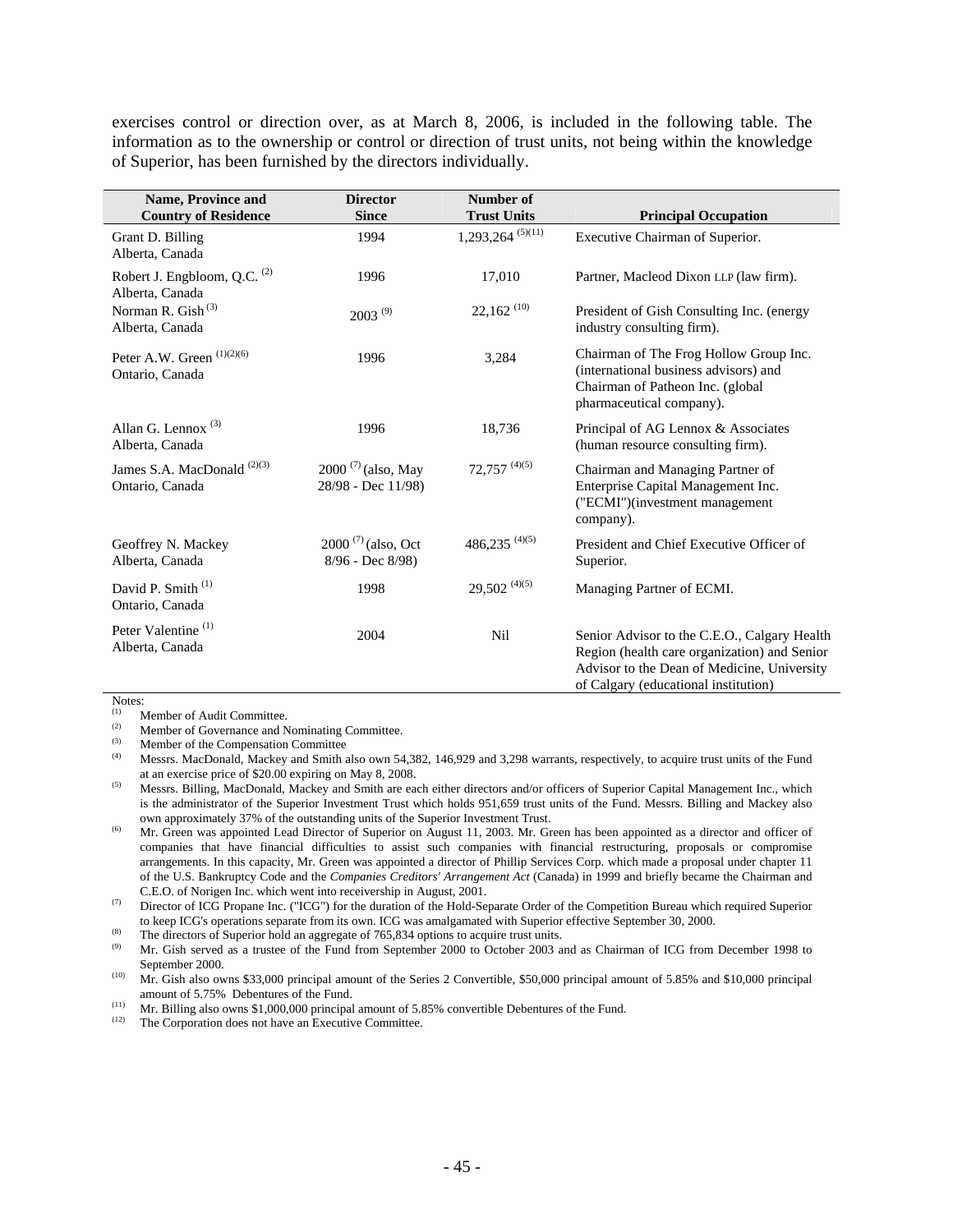exercises control or direction over, as at March 8, 2006, is included in the following table. The information as to the ownership or control or direction of trust units, not being within the knowledge of Superior, has been furnished by the directors individually.

| <b>Name, Province and</b><br><b>Country of Residence</b>   | <b>Director</b><br><b>Since</b>               | Number of<br><b>Trust Units</b> | <b>Principal Occupation</b>                                                                                                                                                         |
|------------------------------------------------------------|-----------------------------------------------|---------------------------------|-------------------------------------------------------------------------------------------------------------------------------------------------------------------------------------|
|                                                            |                                               |                                 |                                                                                                                                                                                     |
| Grant D. Billing<br>Alberta, Canada                        | 1994                                          | $1,293,264$ <sup>(5)(11)</sup>  | Executive Chairman of Superior.                                                                                                                                                     |
| Robert J. Engbloom, Q.C. <sup>(2)</sup><br>Alberta, Canada | 1996                                          | 17,010                          | Partner, Macleod Dixon LLP (law firm).                                                                                                                                              |
| Norman R. Gish <sup>(3)</sup><br>Alberta, Canada           | $2003^{(9)}$                                  | $22,162$ <sup>(10)</sup>        | President of Gish Consulting Inc. (energy<br>industry consulting firm).                                                                                                             |
| Peter A.W. Green (1)(2)(6)<br>Ontario, Canada              | 1996                                          | 3,284                           | Chairman of The Frog Hollow Group Inc.<br>(international business advisors) and<br>Chairman of Patheon Inc. (global<br>pharmaceutical company).                                     |
| Allan G. Lennox $(3)$<br>Alberta, Canada                   | 1996                                          | 18,736                          | Principal of AG Lennox & Associates<br>(human resource consulting firm).                                                                                                            |
| James S.A. MacDonald <sup>(2)(3)</sup><br>Ontario, Canada  | $2000^{(7)}$ (also, May<br>28/98 - Dec 11/98) | $72,757$ <sup>(4)(5)</sup>      | Chairman and Managing Partner of<br>Enterprise Capital Management Inc.<br>("ECMI")(investment management<br>company).                                                               |
| Geoffrey N. Mackey<br>Alberta, Canada                      | $2000^{(7)}$ (also, Oct<br>8/96 - Dec 8/98)   | $486,235$ <sup>(4)(5)</sup>     | President and Chief Executive Officer of<br>Superior.                                                                                                                               |
| David P. Smith <sup>(1)</sup><br>Ontario, Canada           | 1998                                          | $29,502^{(4)(5)}$               | Managing Partner of ECMI.                                                                                                                                                           |
| Peter Valentine <sup>(1)</sup><br>Alberta, Canada          | 2004                                          | Nil                             | Senior Advisor to the C.E.O., Calgary Health<br>Region (health care organization) and Senior<br>Advisor to the Dean of Medicine, University<br>of Calgary (educational institution) |

Notes:

(1) Member of Audit Committee.<br>(2) Momber of Governance and N

(2) Member of Governance and Nominating Committee.<br>
Momber of the Companeation Committee.

 $(4)$  Member of the Compensation Committee

(4) Messrs. MacDonald, Mackey and Smith also own 54,382, 146,929 and 3,298 warrants, respectively, to acquire trust units of the Fund

at an exercise price of \$20.00 expiring on May 8, 2008.<br>
<sup>(5)</sup> Messrs. Billing, MacDonald, Mackey and Smith are each either directors and/or officers of Superior Capital Management Inc., which is the administrator of the Superior Investment Trust which holds 951,659 trust units of the Fund. Messrs. Billing and Mackey also

own approximately 37% of the outstanding units of the Superior Investment Trust.<br>Mr. Green was appointed Lead Director of Superior on August 11, 2003. Mr. Green has been appointed as a director and officer of companies that have financial difficulties to assist such companies with financial restructuring, proposals or compromise arrangements. In this capacity, Mr. Green was appointed a director of Phillip Services Corp. which made a proposal under chapter 11 of the U.S. Bankruptcy Code and the *Companies Creditors' Arrangement Act* (Canada) in 1999 and briefly became the Chairman and

C.E.O. of Norigen Inc. which went into receivership in August, 2001.<br>
<sup>(7)</sup> Director of ICG Propane Inc. ("ICG") for the duration of the Hold-Separate Order of the Competition Bureau which required Superior

to keep ICG's operations separate from its own. ICG was amalgamated with Superior effective September 30, 2000.<br>
The directors of Superior hold an aggregate of 765,834 options to acquire trust units.<br>
Mr. Gish served as a September 2000.<br>
Mr. Gish also owns \$33,000 principal amount of the Series 2 Convertible, \$50,000 principal amount of 5.85% and \$10,000 principal

amount of 5.75% Debentures of the Fund.<br>
(11) Mr. Billing also owns \$1,000,000 principal amount of 5.85% convertible Debentures of the Fund.<br>
(12) The Corporation does not beye an Executive Committee.

The Corporation does not have an Executive Committee.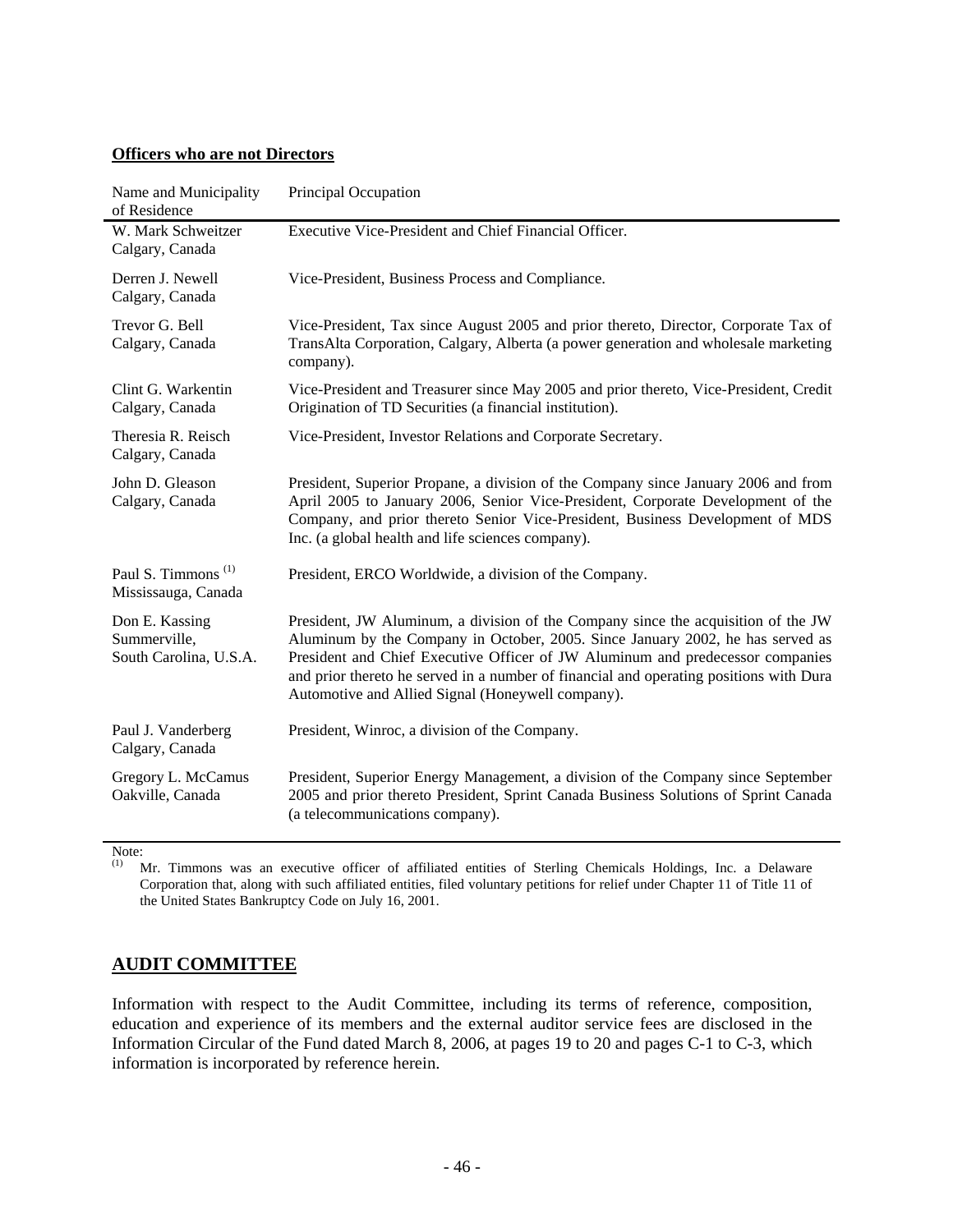### **Officers who are not Directors**

| Name and Municipality<br>of Residence                    | Principal Occupation                                                                                                                                                                                                                                                                                                                                                                                 |
|----------------------------------------------------------|------------------------------------------------------------------------------------------------------------------------------------------------------------------------------------------------------------------------------------------------------------------------------------------------------------------------------------------------------------------------------------------------------|
| W. Mark Schweitzer<br>Calgary, Canada                    | Executive Vice-President and Chief Financial Officer.                                                                                                                                                                                                                                                                                                                                                |
| Derren J. Newell<br>Calgary, Canada                      | Vice-President, Business Process and Compliance.                                                                                                                                                                                                                                                                                                                                                     |
| Trevor G. Bell<br>Calgary, Canada                        | Vice-President, Tax since August 2005 and prior thereto, Director, Corporate Tax of<br>TransAlta Corporation, Calgary, Alberta (a power generation and wholesale marketing<br>company).                                                                                                                                                                                                              |
| Clint G. Warkentin<br>Calgary, Canada                    | Vice-President and Treasurer since May 2005 and prior thereto, Vice-President, Credit<br>Origination of TD Securities (a financial institution).                                                                                                                                                                                                                                                     |
| Theresia R. Reisch<br>Calgary, Canada                    | Vice-President, Investor Relations and Corporate Secretary.                                                                                                                                                                                                                                                                                                                                          |
| John D. Gleason<br>Calgary, Canada                       | President, Superior Propane, a division of the Company since January 2006 and from<br>April 2005 to January 2006, Senior Vice-President, Corporate Development of the<br>Company, and prior thereto Senior Vice-President, Business Development of MDS<br>Inc. (a global health and life sciences company).                                                                                          |
| Paul S. Timmons <sup>(1)</sup><br>Mississauga, Canada    | President, ERCO Worldwide, a division of the Company.                                                                                                                                                                                                                                                                                                                                                |
| Don E. Kassing<br>Summerville,<br>South Carolina, U.S.A. | President, JW Aluminum, a division of the Company since the acquisition of the JW<br>Aluminum by the Company in October, 2005. Since January 2002, he has served as<br>President and Chief Executive Officer of JW Aluminum and predecessor companies<br>and prior thereto he served in a number of financial and operating positions with Dura<br>Automotive and Allied Signal (Honeywell company). |
| Paul J. Vanderberg<br>Calgary, Canada                    | President, Winroc, a division of the Company.                                                                                                                                                                                                                                                                                                                                                        |
| Gregory L. McCamus<br>Oakville, Canada                   | President, Superior Energy Management, a division of the Company since September<br>2005 and prior thereto President, Sprint Canada Business Solutions of Sprint Canada<br>(a telecommunications company).                                                                                                                                                                                           |

Note:<br> $(1)$  N

(1) Mr. Timmons was an executive officer of affiliated entities of Sterling Chemicals Holdings, Inc. a Delaware Corporation that, along with such affiliated entities, filed voluntary petitions for relief under Chapter 11 of Title 11 of the United States Bankruptcy Code on July 16, 2001.

# **AUDIT COMMITTEE**

Information with respect to the Audit Committee, including its terms of reference, composition, education and experience of its members and the external auditor service fees are disclosed in the Information Circular of the Fund dated March 8, 2006, at pages 19 to 20 and pages C-1 to C-3, which information is incorporated by reference herein.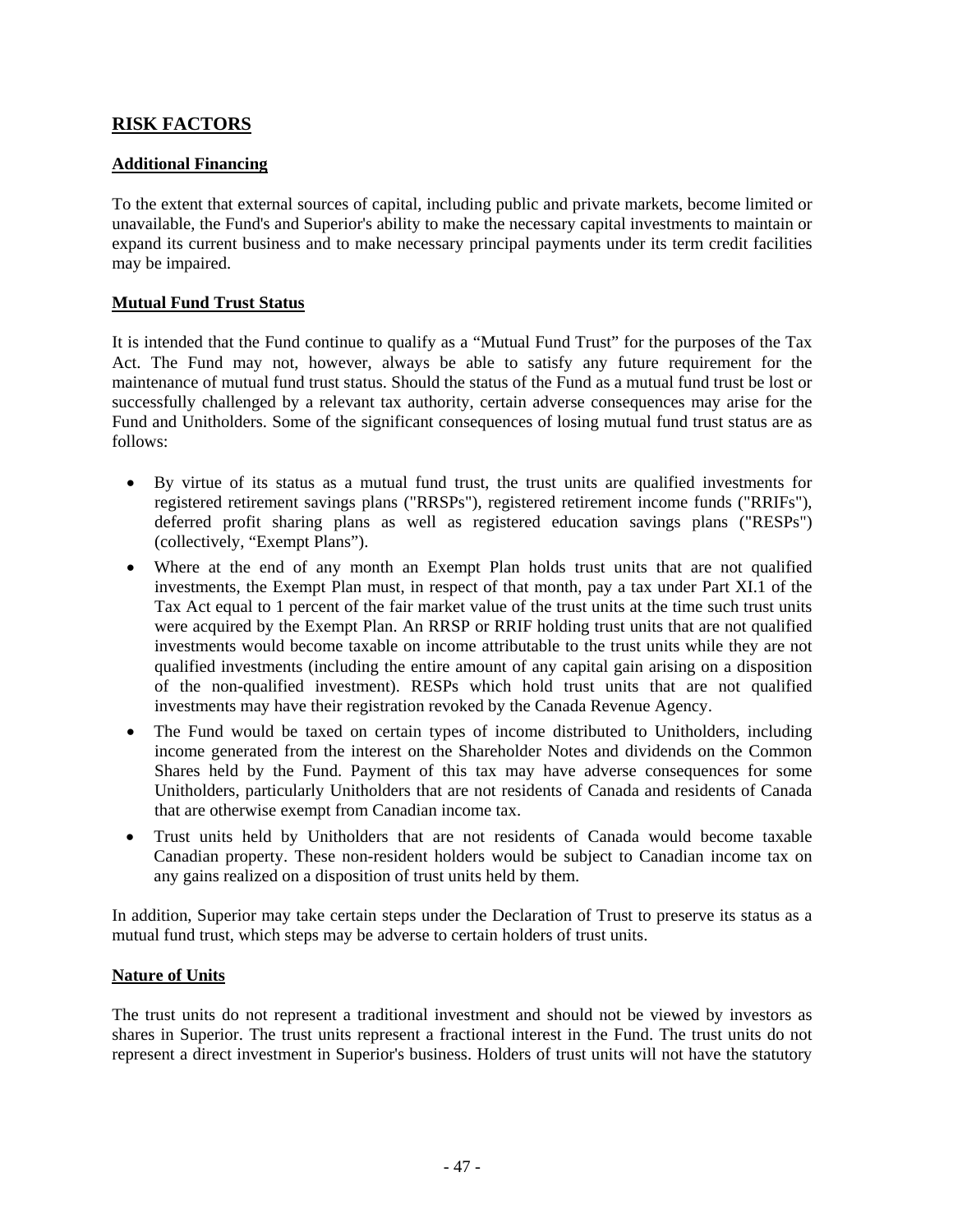# **RISK FACTORS**

### **Additional Financing**

To the extent that external sources of capital, including public and private markets, become limited or unavailable, the Fund's and Superior's ability to make the necessary capital investments to maintain or expand its current business and to make necessary principal payments under its term credit facilities may be impaired.

### **Mutual Fund Trust Status**

It is intended that the Fund continue to qualify as a "Mutual Fund Trust" for the purposes of the Tax Act. The Fund may not, however, always be able to satisfy any future requirement for the maintenance of mutual fund trust status. Should the status of the Fund as a mutual fund trust be lost or successfully challenged by a relevant tax authority, certain adverse consequences may arise for the Fund and Unitholders. Some of the significant consequences of losing mutual fund trust status are as follows:

- By virtue of its status as a mutual fund trust, the trust units are qualified investments for registered retirement savings plans ("RRSPs"), registered retirement income funds ("RRIFs"), deferred profit sharing plans as well as registered education savings plans ("RESPs") (collectively, "Exempt Plans").
- Where at the end of any month an Exempt Plan holds trust units that are not qualified investments, the Exempt Plan must, in respect of that month, pay a tax under Part XI.1 of the Tax Act equal to 1 percent of the fair market value of the trust units at the time such trust units were acquired by the Exempt Plan. An RRSP or RRIF holding trust units that are not qualified investments would become taxable on income attributable to the trust units while they are not qualified investments (including the entire amount of any capital gain arising on a disposition of the non-qualified investment). RESPs which hold trust units that are not qualified investments may have their registration revoked by the Canada Revenue Agency.
- The Fund would be taxed on certain types of income distributed to Unitholders, including income generated from the interest on the Shareholder Notes and dividends on the Common Shares held by the Fund. Payment of this tax may have adverse consequences for some Unitholders, particularly Unitholders that are not residents of Canada and residents of Canada that are otherwise exempt from Canadian income tax.
- Trust units held by Unitholders that are not residents of Canada would become taxable Canadian property. These non-resident holders would be subject to Canadian income tax on any gains realized on a disposition of trust units held by them.

In addition, Superior may take certain steps under the Declaration of Trust to preserve its status as a mutual fund trust, which steps may be adverse to certain holders of trust units.

### **Nature of Units**

The trust units do not represent a traditional investment and should not be viewed by investors as shares in Superior. The trust units represent a fractional interest in the Fund. The trust units do not represent a direct investment in Superior's business. Holders of trust units will not have the statutory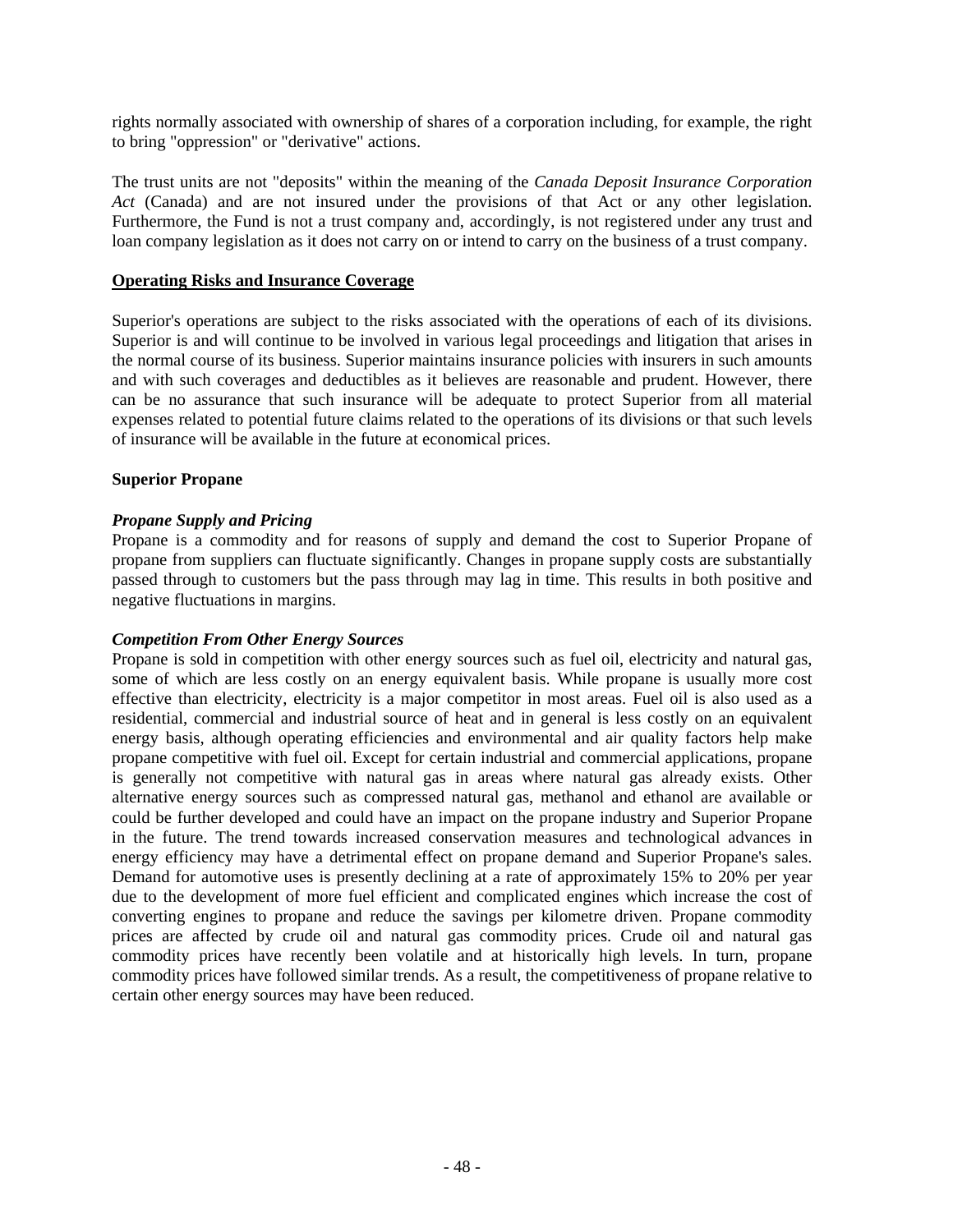rights normally associated with ownership of shares of a corporation including, for example, the right to bring "oppression" or "derivative" actions.

The trust units are not "deposits" within the meaning of the *Canada Deposit Insurance Corporation Act* (Canada) and are not insured under the provisions of that Act or any other legislation. Furthermore, the Fund is not a trust company and, accordingly, is not registered under any trust and loan company legislation as it does not carry on or intend to carry on the business of a trust company.

### **Operating Risks and Insurance Coverage**

Superior's operations are subject to the risks associated with the operations of each of its divisions. Superior is and will continue to be involved in various legal proceedings and litigation that arises in the normal course of its business. Superior maintains insurance policies with insurers in such amounts and with such coverages and deductibles as it believes are reasonable and prudent. However, there can be no assurance that such insurance will be adequate to protect Superior from all material expenses related to potential future claims related to the operations of its divisions or that such levels of insurance will be available in the future at economical prices.

#### **Superior Propane**

#### *Propane Supply and Pricing*

Propane is a commodity and for reasons of supply and demand the cost to Superior Propane of propane from suppliers can fluctuate significantly. Changes in propane supply costs are substantially passed through to customers but the pass through may lag in time. This results in both positive and negative fluctuations in margins.

### *Competition From Other Energy Sources*

Propane is sold in competition with other energy sources such as fuel oil, electricity and natural gas, some of which are less costly on an energy equivalent basis. While propane is usually more cost effective than electricity, electricity is a major competitor in most areas. Fuel oil is also used as a residential, commercial and industrial source of heat and in general is less costly on an equivalent energy basis, although operating efficiencies and environmental and air quality factors help make propane competitive with fuel oil. Except for certain industrial and commercial applications, propane is generally not competitive with natural gas in areas where natural gas already exists. Other alternative energy sources such as compressed natural gas, methanol and ethanol are available or could be further developed and could have an impact on the propane industry and Superior Propane in the future. The trend towards increased conservation measures and technological advances in energy efficiency may have a detrimental effect on propane demand and Superior Propane's sales. Demand for automotive uses is presently declining at a rate of approximately 15% to 20% per year due to the development of more fuel efficient and complicated engines which increase the cost of converting engines to propane and reduce the savings per kilometre driven. Propane commodity prices are affected by crude oil and natural gas commodity prices. Crude oil and natural gas commodity prices have recently been volatile and at historically high levels. In turn, propane commodity prices have followed similar trends. As a result, the competitiveness of propane relative to certain other energy sources may have been reduced.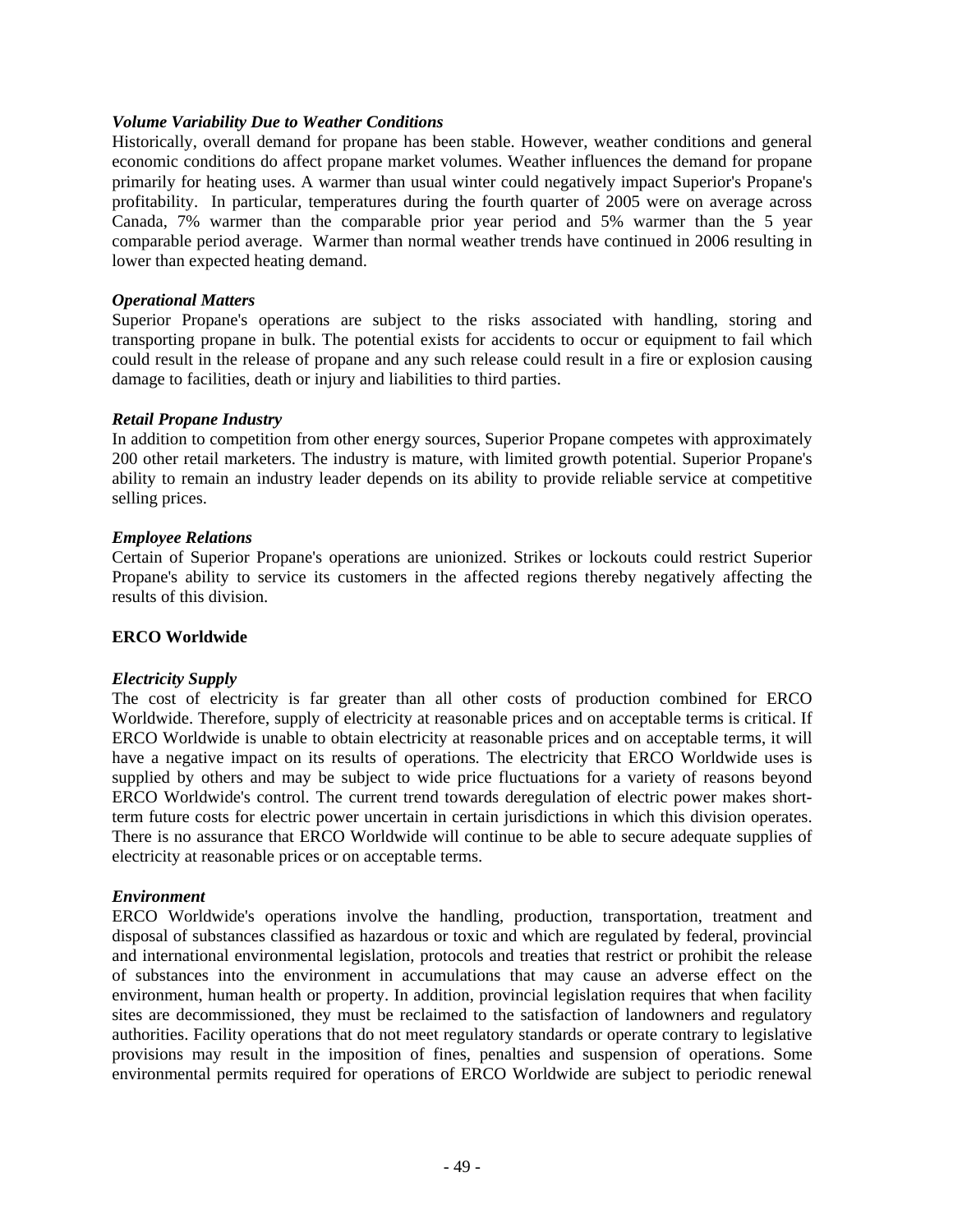#### *Volume Variability Due to Weather Conditions*

Historically, overall demand for propane has been stable. However, weather conditions and general economic conditions do affect propane market volumes. Weather influences the demand for propane primarily for heating uses. A warmer than usual winter could negatively impact Superior's Propane's profitability. In particular, temperatures during the fourth quarter of 2005 were on average across Canada, 7% warmer than the comparable prior year period and 5% warmer than the 5 year comparable period average. Warmer than normal weather trends have continued in 2006 resulting in lower than expected heating demand.

#### *Operational Matters*

Superior Propane's operations are subject to the risks associated with handling, storing and transporting propane in bulk. The potential exists for accidents to occur or equipment to fail which could result in the release of propane and any such release could result in a fire or explosion causing damage to facilities, death or injury and liabilities to third parties.

#### *Retail Propane Industry*

In addition to competition from other energy sources, Superior Propane competes with approximately 200 other retail marketers. The industry is mature, with limited growth potential. Superior Propane's ability to remain an industry leader depends on its ability to provide reliable service at competitive selling prices.

#### *Employee Relations*

Certain of Superior Propane's operations are unionized. Strikes or lockouts could restrict Superior Propane's ability to service its customers in the affected regions thereby negatively affecting the results of this division.

### **ERCO Worldwide**

#### *Electricity Supply*

The cost of electricity is far greater than all other costs of production combined for ERCO Worldwide. Therefore, supply of electricity at reasonable prices and on acceptable terms is critical. If ERCO Worldwide is unable to obtain electricity at reasonable prices and on acceptable terms, it will have a negative impact on its results of operations. The electricity that ERCO Worldwide uses is supplied by others and may be subject to wide price fluctuations for a variety of reasons beyond ERCO Worldwide's control. The current trend towards deregulation of electric power makes shortterm future costs for electric power uncertain in certain jurisdictions in which this division operates. There is no assurance that ERCO Worldwide will continue to be able to secure adequate supplies of electricity at reasonable prices or on acceptable terms.

### *Environment*

ERCO Worldwide's operations involve the handling, production, transportation, treatment and disposal of substances classified as hazardous or toxic and which are regulated by federal, provincial and international environmental legislation, protocols and treaties that restrict or prohibit the release of substances into the environment in accumulations that may cause an adverse effect on the environment, human health or property. In addition, provincial legislation requires that when facility sites are decommissioned, they must be reclaimed to the satisfaction of landowners and regulatory authorities. Facility operations that do not meet regulatory standards or operate contrary to legislative provisions may result in the imposition of fines, penalties and suspension of operations. Some environmental permits required for operations of ERCO Worldwide are subject to periodic renewal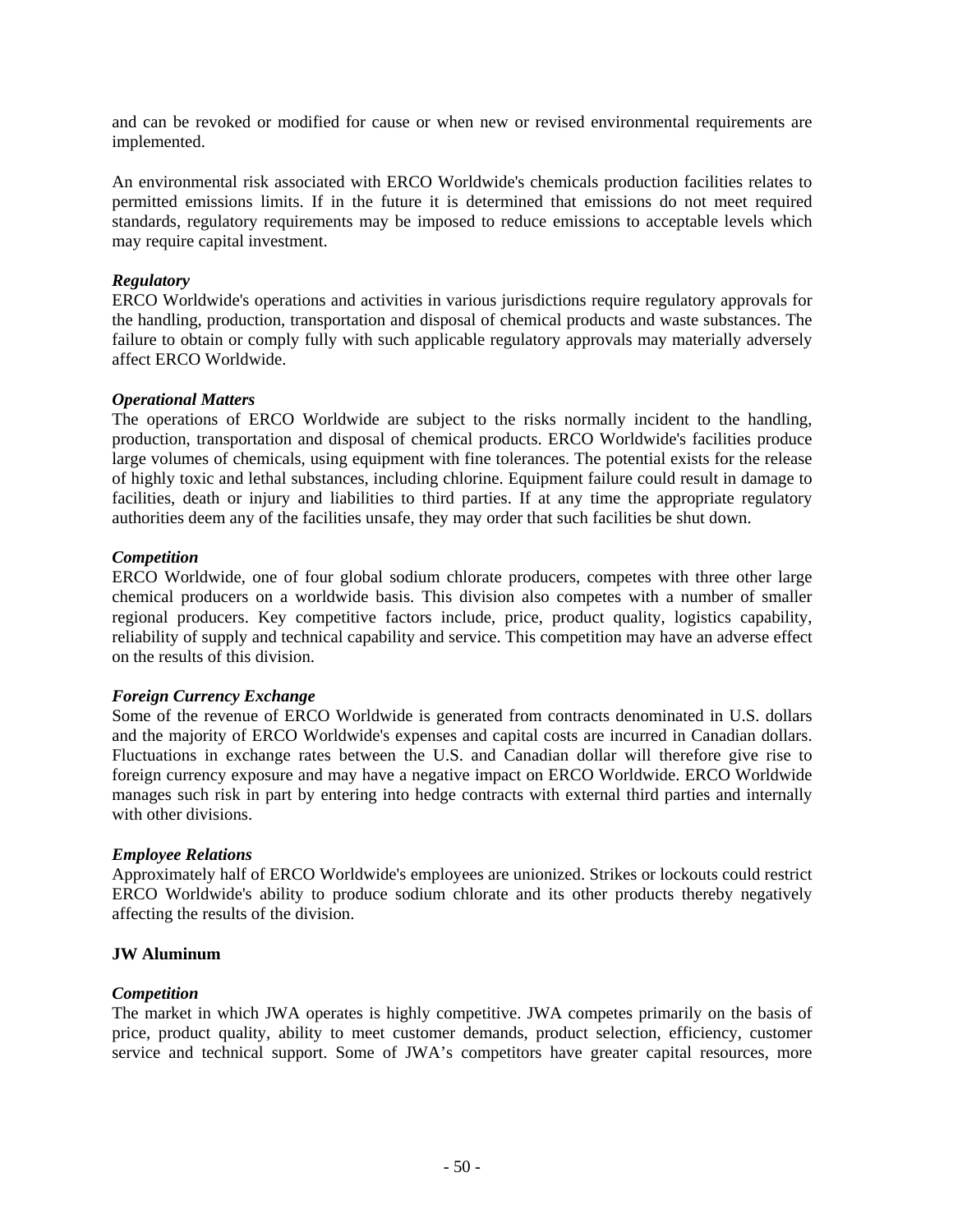and can be revoked or modified for cause or when new or revised environmental requirements are implemented.

An environmental risk associated with ERCO Worldwide's chemicals production facilities relates to permitted emissions limits. If in the future it is determined that emissions do not meet required standards, regulatory requirements may be imposed to reduce emissions to acceptable levels which may require capital investment.

### *Regulatory*

ERCO Worldwide's operations and activities in various jurisdictions require regulatory approvals for the handling, production, transportation and disposal of chemical products and waste substances. The failure to obtain or comply fully with such applicable regulatory approvals may materially adversely affect ERCO Worldwide.

#### *Operational Matters*

The operations of ERCO Worldwide are subject to the risks normally incident to the handling, production, transportation and disposal of chemical products. ERCO Worldwide's facilities produce large volumes of chemicals, using equipment with fine tolerances. The potential exists for the release of highly toxic and lethal substances, including chlorine. Equipment failure could result in damage to facilities, death or injury and liabilities to third parties. If at any time the appropriate regulatory authorities deem any of the facilities unsafe, they may order that such facilities be shut down.

#### *Competition*

ERCO Worldwide, one of four global sodium chlorate producers, competes with three other large chemical producers on a worldwide basis. This division also competes with a number of smaller regional producers. Key competitive factors include, price, product quality, logistics capability, reliability of supply and technical capability and service. This competition may have an adverse effect on the results of this division.

### *Foreign Currency Exchange*

Some of the revenue of ERCO Worldwide is generated from contracts denominated in U.S. dollars and the majority of ERCO Worldwide's expenses and capital costs are incurred in Canadian dollars. Fluctuations in exchange rates between the U.S. and Canadian dollar will therefore give rise to foreign currency exposure and may have a negative impact on ERCO Worldwide. ERCO Worldwide manages such risk in part by entering into hedge contracts with external third parties and internally with other divisions.

### *Employee Relations*

Approximately half of ERCO Worldwide's employees are unionized. Strikes or lockouts could restrict ERCO Worldwide's ability to produce sodium chlorate and its other products thereby negatively affecting the results of the division.

### **JW Aluminum**

### *Competition*

The market in which JWA operates is highly competitive. JWA competes primarily on the basis of price, product quality, ability to meet customer demands, product selection, efficiency, customer service and technical support. Some of JWA's competitors have greater capital resources, more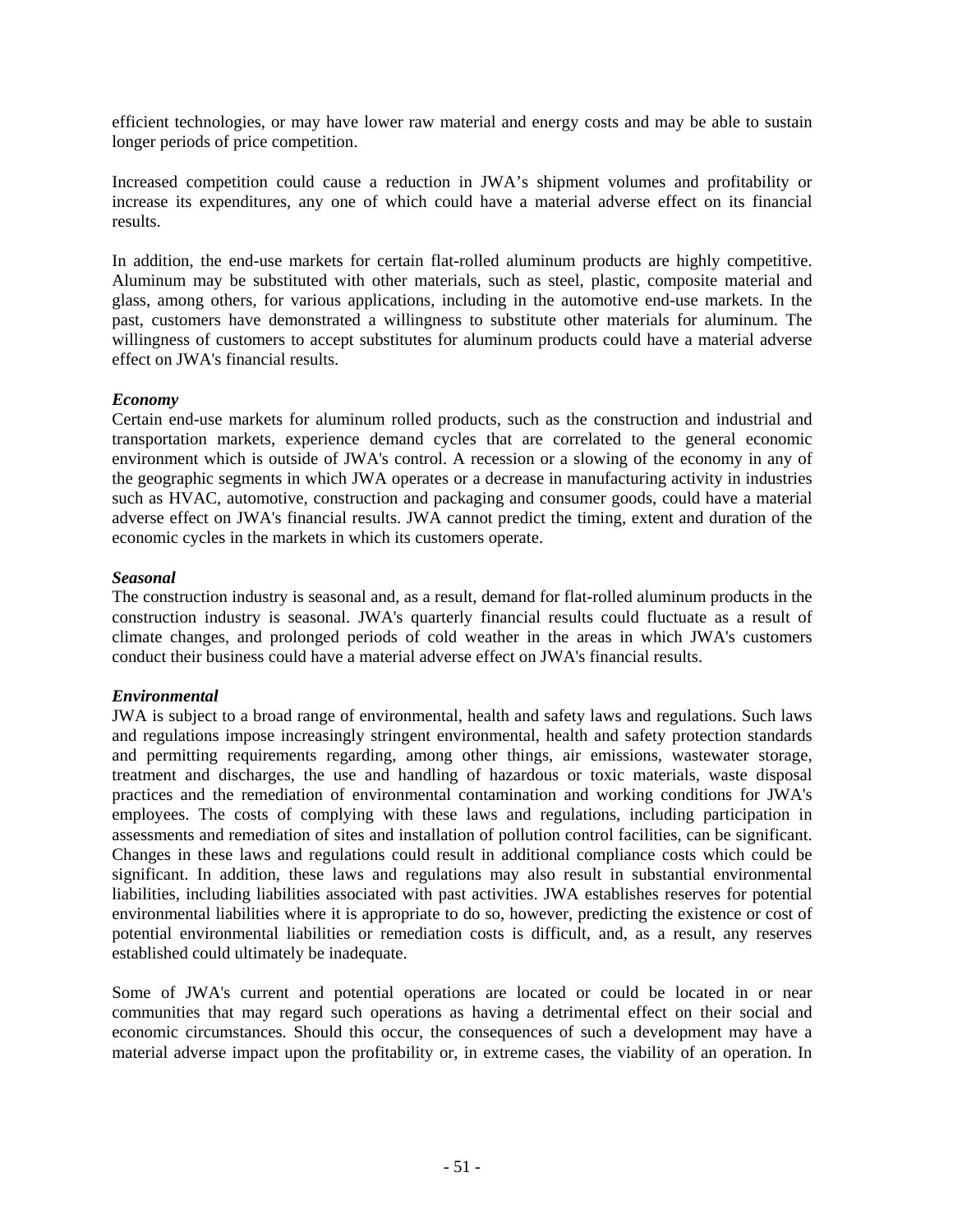efficient technologies, or may have lower raw material and energy costs and may be able to sustain longer periods of price competition.

Increased competition could cause a reduction in JWA's shipment volumes and profitability or increase its expenditures, any one of which could have a material adverse effect on its financial results.

In addition, the end-use markets for certain flat-rolled aluminum products are highly competitive. Aluminum may be substituted with other materials, such as steel, plastic, composite material and glass, among others, for various applications, including in the automotive end-use markets. In the past, customers have demonstrated a willingness to substitute other materials for aluminum. The willingness of customers to accept substitutes for aluminum products could have a material adverse effect on JWA's financial results.

### *Economy*

Certain end-use markets for aluminum rolled products, such as the construction and industrial and transportation markets, experience demand cycles that are correlated to the general economic environment which is outside of JWA's control. A recession or a slowing of the economy in any of the geographic segments in which JWA operates or a decrease in manufacturing activity in industries such as HVAC, automotive, construction and packaging and consumer goods, could have a material adverse effect on JWA's financial results. JWA cannot predict the timing, extent and duration of the economic cycles in the markets in which its customers operate.

### *Seasonal*

The construction industry is seasonal and, as a result, demand for flat-rolled aluminum products in the construction industry is seasonal. JWA's quarterly financial results could fluctuate as a result of climate changes, and prolonged periods of cold weather in the areas in which JWA's customers conduct their business could have a material adverse effect on JWA's financial results.

### *Environmental*

JWA is subject to a broad range of environmental, health and safety laws and regulations. Such laws and regulations impose increasingly stringent environmental, health and safety protection standards and permitting requirements regarding, among other things, air emissions, wastewater storage, treatment and discharges, the use and handling of hazardous or toxic materials, waste disposal practices and the remediation of environmental contamination and working conditions for JWA's employees. The costs of complying with these laws and regulations, including participation in assessments and remediation of sites and installation of pollution control facilities, can be significant. Changes in these laws and regulations could result in additional compliance costs which could be significant. In addition, these laws and regulations may also result in substantial environmental liabilities, including liabilities associated with past activities. JWA establishes reserves for potential environmental liabilities where it is appropriate to do so, however, predicting the existence or cost of potential environmental liabilities or remediation costs is difficult, and, as a result, any reserves established could ultimately be inadequate.

Some of JWA's current and potential operations are located or could be located in or near communities that may regard such operations as having a detrimental effect on their social and economic circumstances. Should this occur, the consequences of such a development may have a material adverse impact upon the profitability or, in extreme cases, the viability of an operation. In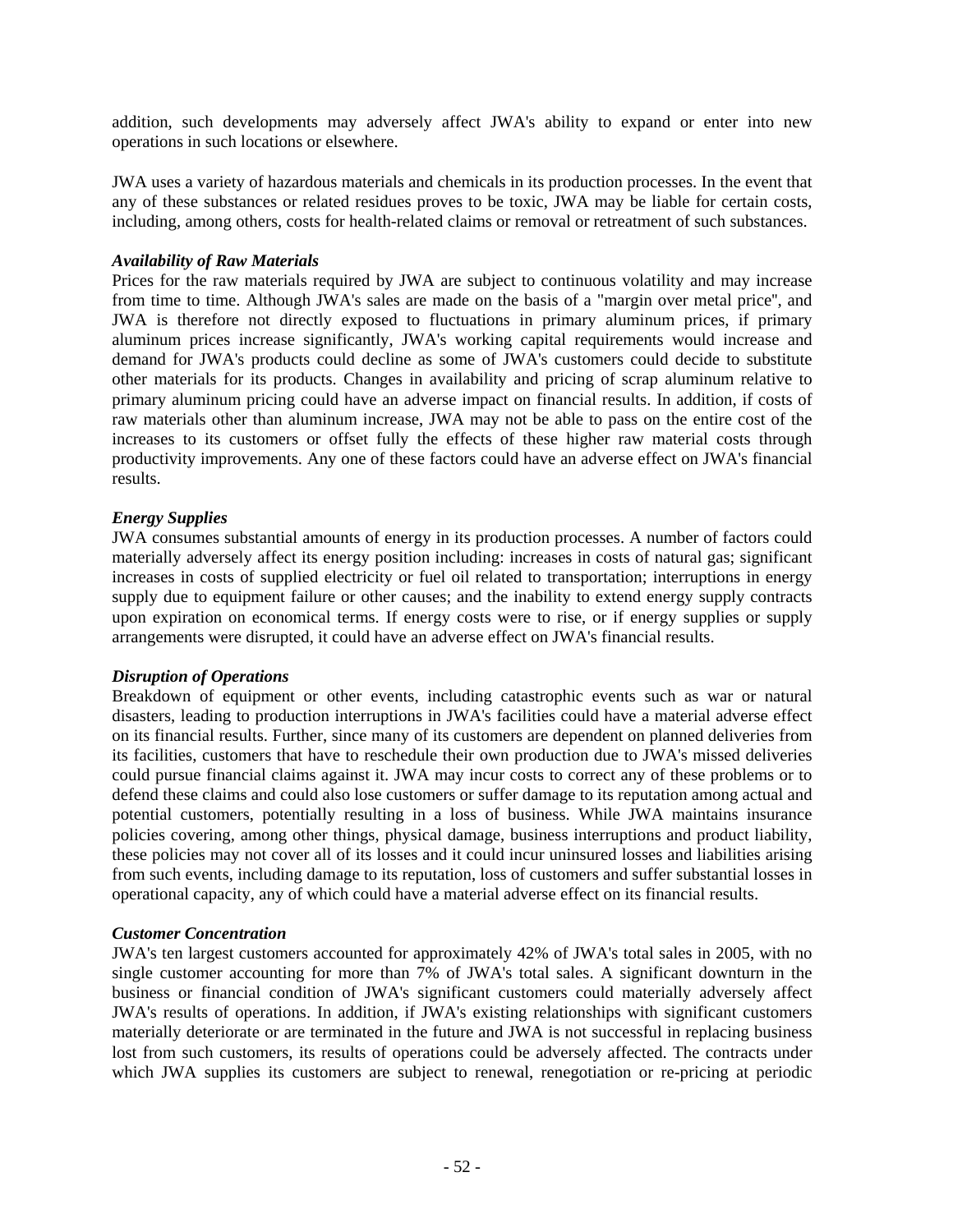addition, such developments may adversely affect JWA's ability to expand or enter into new operations in such locations or elsewhere.

JWA uses a variety of hazardous materials and chemicals in its production processes. In the event that any of these substances or related residues proves to be toxic, JWA may be liable for certain costs, including, among others, costs for health-related claims or removal or retreatment of such substances.

#### *Availability of Raw Materials*

Prices for the raw materials required by JWA are subject to continuous volatility and may increase from time to time. Although JWA's sales are made on the basis of a "margin over metal price'', and JWA is therefore not directly exposed to fluctuations in primary aluminum prices, if primary aluminum prices increase significantly, JWA's working capital requirements would increase and demand for JWA's products could decline as some of JWA's customers could decide to substitute other materials for its products. Changes in availability and pricing of scrap aluminum relative to primary aluminum pricing could have an adverse impact on financial results. In addition, if costs of raw materials other than aluminum increase, JWA may not be able to pass on the entire cost of the increases to its customers or offset fully the effects of these higher raw material costs through productivity improvements. Any one of these factors could have an adverse effect on JWA's financial results.

### *Energy Supplies*

JWA consumes substantial amounts of energy in its production processes. A number of factors could materially adversely affect its energy position including: increases in costs of natural gas; significant increases in costs of supplied electricity or fuel oil related to transportation; interruptions in energy supply due to equipment failure or other causes; and the inability to extend energy supply contracts upon expiration on economical terms. If energy costs were to rise, or if energy supplies or supply arrangements were disrupted, it could have an adverse effect on JWA's financial results.

#### *Disruption of Operations*

Breakdown of equipment or other events, including catastrophic events such as war or natural disasters, leading to production interruptions in JWA's facilities could have a material adverse effect on its financial results. Further, since many of its customers are dependent on planned deliveries from its facilities, customers that have to reschedule their own production due to JWA's missed deliveries could pursue financial claims against it. JWA may incur costs to correct any of these problems or to defend these claims and could also lose customers or suffer damage to its reputation among actual and potential customers, potentially resulting in a loss of business. While JWA maintains insurance policies covering, among other things, physical damage, business interruptions and product liability, these policies may not cover all of its losses and it could incur uninsured losses and liabilities arising from such events, including damage to its reputation, loss of customers and suffer substantial losses in operational capacity, any of which could have a material adverse effect on its financial results.

### *Customer Concentration*

JWA's ten largest customers accounted for approximately 42% of JWA's total sales in 2005, with no single customer accounting for more than 7% of JWA's total sales. A significant downturn in the business or financial condition of JWA's significant customers could materially adversely affect JWA's results of operations. In addition, if JWA's existing relationships with significant customers materially deteriorate or are terminated in the future and JWA is not successful in replacing business lost from such customers, its results of operations could be adversely affected. The contracts under which JWA supplies its customers are subject to renewal, renegotiation or re-pricing at periodic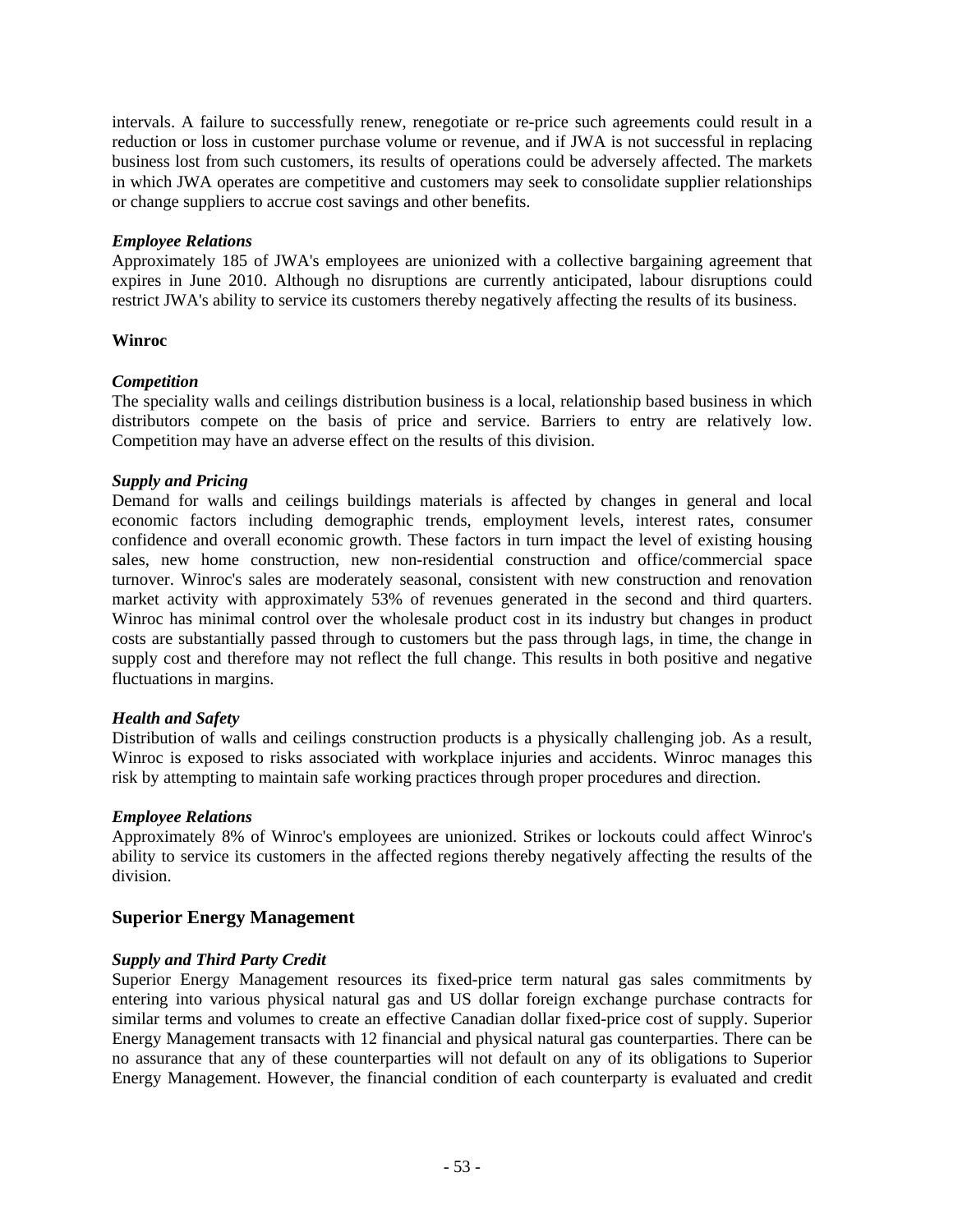intervals. A failure to successfully renew, renegotiate or re-price such agreements could result in a reduction or loss in customer purchase volume or revenue, and if JWA is not successful in replacing business lost from such customers, its results of operations could be adversely affected. The markets in which JWA operates are competitive and customers may seek to consolidate supplier relationships or change suppliers to accrue cost savings and other benefits.

#### *Employee Relations*

Approximately 185 of JWA's employees are unionized with a collective bargaining agreement that expires in June 2010. Although no disruptions are currently anticipated, labour disruptions could restrict JWA's ability to service its customers thereby negatively affecting the results of its business.

### **Winroc**

### *Competition*

The speciality walls and ceilings distribution business is a local, relationship based business in which distributors compete on the basis of price and service. Barriers to entry are relatively low. Competition may have an adverse effect on the results of this division.

#### *Supply and Pricing*

Demand for walls and ceilings buildings materials is affected by changes in general and local economic factors including demographic trends, employment levels, interest rates, consumer confidence and overall economic growth. These factors in turn impact the level of existing housing sales, new home construction, new non-residential construction and office/commercial space turnover. Winroc's sales are moderately seasonal, consistent with new construction and renovation market activity with approximately 53% of revenues generated in the second and third quarters. Winroc has minimal control over the wholesale product cost in its industry but changes in product costs are substantially passed through to customers but the pass through lags, in time, the change in supply cost and therefore may not reflect the full change. This results in both positive and negative fluctuations in margins.

### *Health and Safety*

Distribution of walls and ceilings construction products is a physically challenging job. As a result, Winroc is exposed to risks associated with workplace injuries and accidents. Winroc manages this risk by attempting to maintain safe working practices through proper procedures and direction.

#### *Employee Relations*

Approximately 8% of Winroc's employees are unionized. Strikes or lockouts could affect Winroc's ability to service its customers in the affected regions thereby negatively affecting the results of the division.

### **Superior Energy Management**

### *Supply and Third Party Credit*

Superior Energy Management resources its fixed-price term natural gas sales commitments by entering into various physical natural gas and US dollar foreign exchange purchase contracts for similar terms and volumes to create an effective Canadian dollar fixed-price cost of supply. Superior Energy Management transacts with 12 financial and physical natural gas counterparties. There can be no assurance that any of these counterparties will not default on any of its obligations to Superior Energy Management. However, the financial condition of each counterparty is evaluated and credit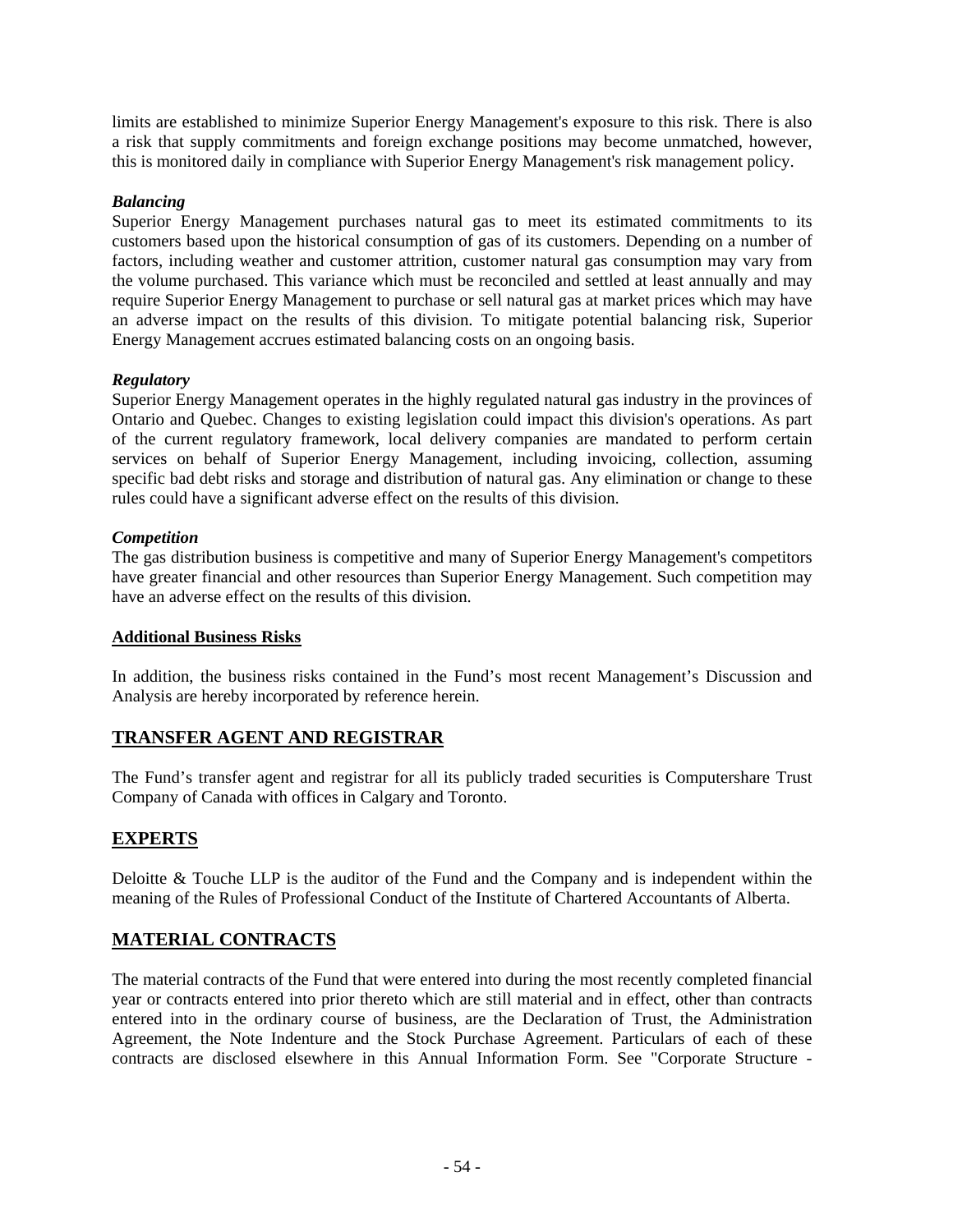limits are established to minimize Superior Energy Management's exposure to this risk. There is also a risk that supply commitments and foreign exchange positions may become unmatched, however, this is monitored daily in compliance with Superior Energy Management's risk management policy.

## *Balancing*

Superior Energy Management purchases natural gas to meet its estimated commitments to its customers based upon the historical consumption of gas of its customers. Depending on a number of factors, including weather and customer attrition, customer natural gas consumption may vary from the volume purchased. This variance which must be reconciled and settled at least annually and may require Superior Energy Management to purchase or sell natural gas at market prices which may have an adverse impact on the results of this division. To mitigate potential balancing risk, Superior Energy Management accrues estimated balancing costs on an ongoing basis.

## *Regulatory*

Superior Energy Management operates in the highly regulated natural gas industry in the provinces of Ontario and Quebec. Changes to existing legislation could impact this division's operations. As part of the current regulatory framework, local delivery companies are mandated to perform certain services on behalf of Superior Energy Management, including invoicing, collection, assuming specific bad debt risks and storage and distribution of natural gas. Any elimination or change to these rules could have a significant adverse effect on the results of this division.

## *Competition*

The gas distribution business is competitive and many of Superior Energy Management's competitors have greater financial and other resources than Superior Energy Management. Such competition may have an adverse effect on the results of this division.

# **Additional Business Risks**

In addition, the business risks contained in the Fund's most recent Management's Discussion and Analysis are hereby incorporated by reference herein.

# **TRANSFER AGENT AND REGISTRAR**

The Fund's transfer agent and registrar for all its publicly traded securities is Computershare Trust Company of Canada with offices in Calgary and Toronto.

# **EXPERTS**

Deloitte & Touche LLP is the auditor of the Fund and the Company and is independent within the meaning of the Rules of Professional Conduct of the Institute of Chartered Accountants of Alberta.

# **MATERIAL CONTRACTS**

The material contracts of the Fund that were entered into during the most recently completed financial year or contracts entered into prior thereto which are still material and in effect, other than contracts entered into in the ordinary course of business, are the Declaration of Trust, the Administration Agreement, the Note Indenture and the Stock Purchase Agreement. Particulars of each of these contracts are disclosed elsewhere in this Annual Information Form. See "Corporate Structure -